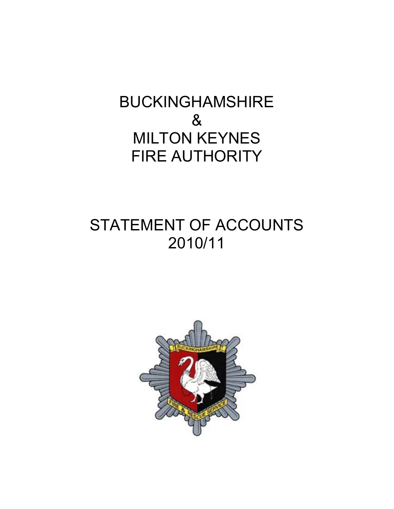# BUCKINGHAMSHIRE & MILTON KEYNES FIRE AUTHORITY

# STATEMENT OF ACCOUNTS 2010/11

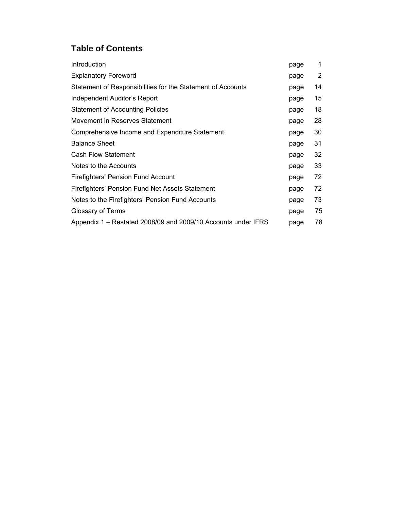# **Table of Contents**

| Introduction                                                  | page | 1  |
|---------------------------------------------------------------|------|----|
| <b>Explanatory Foreword</b>                                   | page | 2  |
| Statement of Responsibilities for the Statement of Accounts   | page | 14 |
| Independent Auditor's Report                                  | page | 15 |
| <b>Statement of Accounting Policies</b>                       | page | 18 |
| Movement in Reserves Statement                                | page | 28 |
| Comprehensive Income and Expenditure Statement                | page | 30 |
| <b>Balance Sheet</b>                                          | page | 31 |
| <b>Cash Flow Statement</b>                                    | page | 32 |
| Notes to the Accounts                                         | page | 33 |
| Firefighters' Pension Fund Account                            | page | 72 |
| Firefighters' Pension Fund Net Assets Statement               | page | 72 |
| Notes to the Firefighters' Pension Fund Accounts              | page | 73 |
| Glossary of Terms                                             | page | 75 |
| Appendix 1 – Restated 2008/09 and 2009/10 Accounts under IFRS | page | 78 |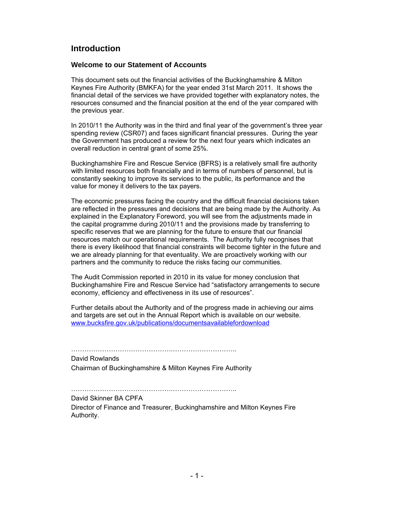## **Introduction**

#### **Welcome to our Statement of Accounts**

This document sets out the financial activities of the Buckinghamshire & Milton Keynes Fire Authority (BMKFA) for the year ended 31st March 2011. It shows the financial detail of the services we have provided together with explanatory notes, the resources consumed and the financial position at the end of the year compared with the previous year.

In 2010/11 the Authority was in the third and final year of the government's three year spending review (CSR07) and faces significant financial pressures. During the year the Government has produced a review for the next four years which indicates an overall reduction in central grant of some 25%.

Buckinghamshire Fire and Rescue Service (BFRS) is a relatively small fire authority with limited resources both financially and in terms of numbers of personnel, but is constantly seeking to improve its services to the public, its performance and the value for money it delivers to the tax payers.

The economic pressures facing the country and the difficult financial decisions taken are reflected in the pressures and decisions that are being made by the Authority. As explained in the Explanatory Foreword, you will see from the adjustments made in the capital programme during 2010/11 and the provisions made by transferring to specific reserves that we are planning for the future to ensure that our financial resources match our operational requirements. The Authority fully recognises that there is every likelihood that financial constraints will become tighter in the future and we are already planning for that eventuality. We are proactively working with our partners and the community to reduce the risks facing our communities.

The Audit Commission reported in 2010 in its value for money conclusion that Buckinghamshire Fire and Rescue Service had "satisfactory arrangements to secure economy, efficiency and effectiveness in its use of resources".

Further details about the Authority and of the progress made in achieving our aims and targets are set out in the Annual Report which is available on our website. www.bucksfire.gov.uk/publications/documentsavailablefordownload

……………………………………….……………………….. David Rowlands

Chairman of Buckinghamshire & Milton Keynes Fire Authority

……………………………………….………………………..

David Skinner BA CPFA

Director of Finance and Treasurer, Buckinghamshire and Milton Keynes Fire Authority.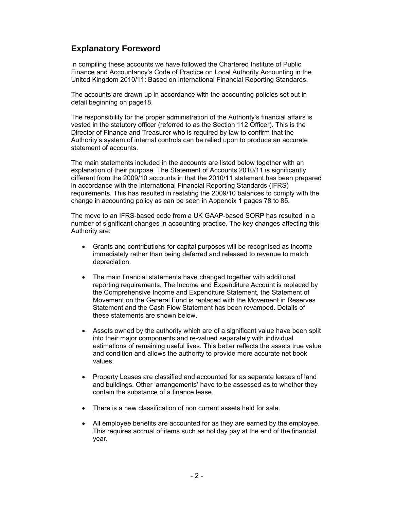# **Explanatory Foreword**

In compiling these accounts we have followed the Chartered Institute of Public Finance and Accountancy's Code of Practice on Local Authority Accounting in the United Kingdom 2010/11: Based on International Financial Reporting Standards.

The accounts are drawn up in accordance with the accounting policies set out in detail beginning on page18.

The responsibility for the proper administration of the Authority's financial affairs is vested in the statutory officer (referred to as the Section 112 Officer). This is the Director of Finance and Treasurer who is required by law to confirm that the Authority's system of internal controls can be relied upon to produce an accurate statement of accounts.

The main statements included in the accounts are listed below together with an explanation of their purpose. The Statement of Accounts 2010/11 is significantly different from the 2009/10 accounts in that the 2010/11 statement has been prepared in accordance with the International Financial Reporting Standards (IFRS) requirements. This has resulted in restating the 2009/10 balances to comply with the change in accounting policy as can be seen in Appendix 1 pages 78 to 85.

The move to an IFRS-based code from a UK GAAP-based SORP has resulted in a number of significant changes in accounting practice. The key changes affecting this Authority are:

- Grants and contributions for capital purposes will be recognised as income immediately rather than being deferred and released to revenue to match depreciation.
- The main financial statements have changed together with additional reporting requirements. The Income and Expenditure Account is replaced by the Comprehensive Income and Expenditure Statement, the Statement of Movement on the General Fund is replaced with the Movement in Reserves Statement and the Cash Flow Statement has been revamped. Details of these statements are shown below.
- Assets owned by the authority which are of a significant value have been split into their major components and re-valued separately with individual estimations of remaining useful lives. This better reflects the assets true value and condition and allows the authority to provide more accurate net book values.
- Property Leases are classified and accounted for as separate leases of land and buildings. Other 'arrangements' have to be assessed as to whether they contain the substance of a finance lease.
- There is a new classification of non current assets held for sale.
- All employee benefits are accounted for as they are earned by the employee. This requires accrual of items such as holiday pay at the end of the financial year.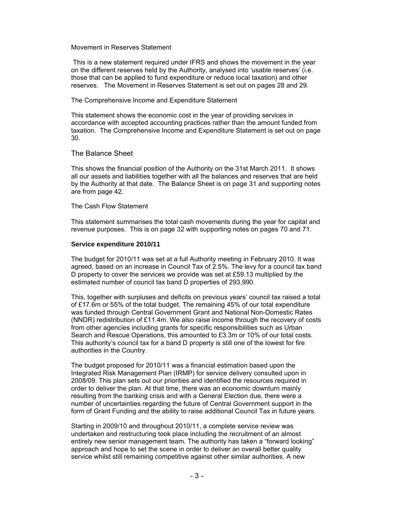#### Movement in Reserves Statement

 This is a new statement required under IFRS and shows the movement in the year on the different reserves held by the Authority, analysed into 'usable reserves' (i.e. those that can be applied to fund expenditure or reduce local taxation) and other reserves. The Movement in Reserves Statement is set out on pages 28 and 29.

#### The Comprehensive Income and Expenditure Statement

This statement shows the economic cost in the year of providing services in accordance with accepted accounting practices rather than the amount funded from taxation. The Comprehensive Income and Expenditure Statement is set out on page 30.

#### The Balance Sheet

This shows the financial position of the Authority on the 31st March 2011. It shows all our assets and liabilities together with all the balances and reserves that are held by the Authority at that date. The Balance Sheet is on page 31 and supporting notes are from page 42.

#### The Cash Flow Statement

This statement summarises the total cash movements during the year for capital and revenue purposes. This is on page 32 with supporting notes on pages 70 and 71.

#### **Service expenditure 2010/11**

The budget for 2010/11 was set at a full Authority meeting in February 2010. It was agreed, based on an increase in Council Tax of 2.5%. The levy for a council tax band D property to cover the services we provide was set at £59.13 multiplied by the estimated number of council tax band D properties of 293,990.

This, together with surpluses and deficits on previous years' council tax raised a total of £17.6m or 55% of the total budget. The remaining 45% of our total expenditure was funded through Central Government Grant and National Non-Domestic Rates (NNDR) redistribution of £11.4m. We also raise income through the recovery of costs from other agencies including grants for specific responsibilities such as Urban Search and Rescue Operations, this amounted to £3.3m or 10% of our total costs. This authority's council tax for a band D property is still one of the lowest for fire authorities in the Country.

The budget proposed for 2010/11 was a financial estimation based upon the Integrated Risk Management Plan (IRMP) for service delivery consulted upon in 2008/09. This plan sets out our priorities and identified the resources required in order to deliver the plan. At that time, there was an economic downturn mainly resulting from the banking crisis and with a General Election due, there were a number of uncertainties regarding the future of Central Government support in the form of Grant Funding and the ability to raise additional Council Tax in future years.

Starting in 2009/10 and throughout 2010/11, a complete service review was undertaken and restructuring took place including the recruitment of an almost entirely new senior management team. The authority has taken a "forward looking" approach and hope to set the scene in order to deliver an overall better quality service whilst still remaining competitive against other similar authorities. A new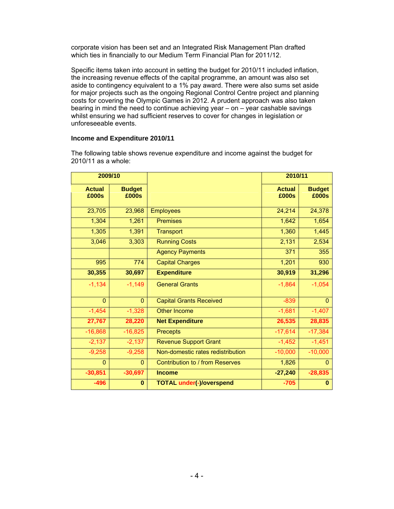corporate vision has been set and an Integrated Risk Management Plan drafted which ties in financially to our Medium Term Financial Plan for 2011/12.

Specific items taken into account in setting the budget for 2010/11 included inflation, the increasing revenue effects of the capital programme, an amount was also set aside to contingency equivalent to a 1% pay award. There were also sums set aside for major projects such as the ongoing Regional Control Centre project and planning costs for covering the Olympic Games in 2012. A prudent approach was also taken bearing in mind the need to continue achieving year – on – year cashable savings whilst ensuring we had sufficient reserves to cover for changes in legislation or unforeseeable events.

#### **Income and Expenditure 2010/11**

| 2009/10                |                        |                                   | 2010/11                |                        |  |  |
|------------------------|------------------------|-----------------------------------|------------------------|------------------------|--|--|
| <b>Actual</b><br>£000s | <b>Budget</b><br>£000s |                                   | <b>Actual</b><br>£000s | <b>Budget</b><br>£000s |  |  |
| 23,705                 | 23,968                 | <b>Employees</b>                  | 24,214                 | 24,378                 |  |  |
| 1,304                  | 1,261                  | <b>Premises</b>                   | 1,642                  | 1,654                  |  |  |
| 1,305                  | 1,391                  | <b>Transport</b>                  | 1,360                  | 1,445                  |  |  |
| 3,046                  | 3,303                  | <b>Running Costs</b>              | 2,131                  | 2,534                  |  |  |
|                        |                        | <b>Agency Payments</b>            | 371                    | 355                    |  |  |
| 995                    | 774                    | <b>Capital Charges</b>            | 1,201                  | 930                    |  |  |
| 30,355                 | 30,697                 | <b>Expenditure</b>                | 30,919                 | 31,296                 |  |  |
| $-1,134$               | $-1,149$               | <b>General Grants</b>             | $-1,864$               | $-1,054$               |  |  |
| $\Omega$               | $\mathbf{0}$           | <b>Capital Grants Received</b>    | $-839$                 | $\Omega$               |  |  |
| $-1,454$               | $-1,328$               | <b>Other Income</b>               | $-1,681$               | $-1,407$               |  |  |
| 27,767                 | 28,220                 | <b>Net Expenditure</b>            | 26,535                 | 28,835                 |  |  |
| $-16,868$              | $-16,825$              | <b>Precepts</b>                   | $-17,614$              | $-17,384$              |  |  |
| $-2,137$               | $-2,137$               | <b>Revenue Support Grant</b>      | $-1,452$               | $-1,451$               |  |  |
| $-9,258$               | $-9,258$               | Non-domestic rates redistribution | $-10,000$              | $-10,000$              |  |  |
| $\mathbf{0}$           | $\mathbf{0}$           | Contribution to / from Reserves   | 1,826                  | $\Omega$               |  |  |
| $-30,851$              | $-30,697$              | <b>Income</b>                     | $-27,240$              | $-28,835$              |  |  |
| $-496$                 | $\bf{0}$               | <b>TOTAL under(-)/overspend</b>   | $-705$                 | $\bf{0}$               |  |  |

The following table shows revenue expenditure and income against the budget for 2010/11 as a whole: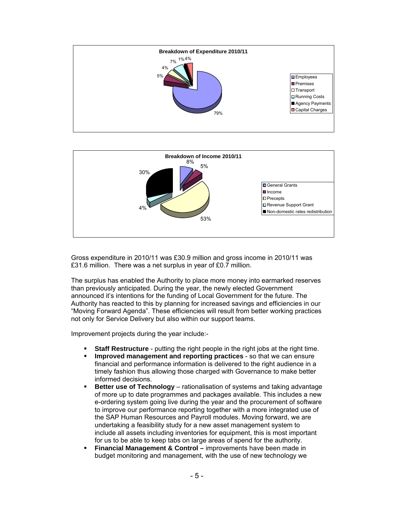



Gross expenditure in 2010/11 was £30.9 million and gross income in 2010/11 was £31.6 million. There was a net surplus in year of £0.7 million.

The surplus has enabled the Authority to place more money into earmarked reserves than previously anticipated. During the year, the newly elected Government announced it's intentions for the funding of Local Government for the future. The Authority has reacted to this by planning for increased savings and efficiencies in our "Moving Forward Agenda". These efficiencies will result from better working practices not only for Service Delivery but also within our support teams.

Improvement projects during the year include:-

- **Staff Restructure**  putting the right people in the right jobs at the right time.
- **Improved management and reporting practices** so that we can ensure financial and performance information is delivered to the right audience in a timely fashion thus allowing those charged with Governance to make better informed decisions.
- **Better use of Technology** rationalisation of systems and taking advantage of more up to date programmes and packages available. This includes a new e-ordering system going live during the year and the procurement of software to improve our performance reporting together with a more integrated use of the SAP Human Resources and Payroll modules. Moving forward, we are undertaking a feasibility study for a new asset management system to include all assets including inventories for equipment, this is most important for us to be able to keep tabs on large areas of spend for the authority.
- **Financial Management & Control** improvements have been made in budget monitoring and management, with the use of new technology we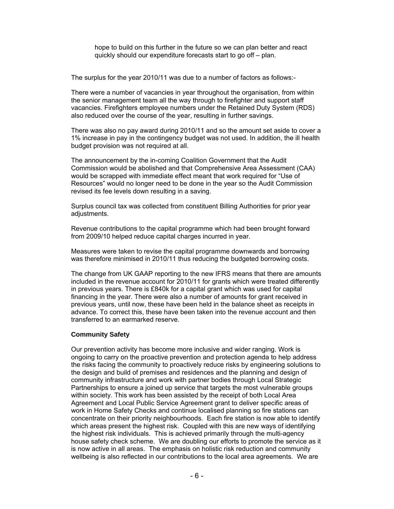hope to build on this further in the future so we can plan better and react quickly should our expenditure forecasts start to go off – plan.

The surplus for the year 2010/11 was due to a number of factors as follows:-

There were a number of vacancies in year throughout the organisation, from within the senior management team all the way through to firefighter and support staff vacancies. Firefighters employee numbers under the Retained Duty System (RDS) also reduced over the course of the year, resulting in further savings.

There was also no pay award during 2010/11 and so the amount set aside to cover a 1% increase in pay in the contingency budget was not used. In addition, the ill health budget provision was not required at all.

The announcement by the in-coming Coalition Government that the Audit Commission would be abolished and that Comprehensive Area Assessment (CAA) would be scrapped with immediate effect meant that work required for "Use of Resources" would no longer need to be done in the year so the Audit Commission revised its fee levels down resulting in a saving.

Surplus council tax was collected from constituent Billing Authorities for prior year adjustments.

Revenue contributions to the capital programme which had been brought forward from 2009/10 helped reduce capital charges incurred in year.

Measures were taken to revise the capital programme downwards and borrowing was therefore minimised in 2010/11 thus reducing the budgeted borrowing costs.

The change from UK GAAP reporting to the new IFRS means that there are amounts included in the revenue account for 2010/11 for grants which were treated differently in previous years. There is £840k for a capital grant which was used for capital financing in the year. There were also a number of amounts for grant received in previous years, until now, these have been held in the balance sheet as receipts in advance. To correct this, these have been taken into the revenue account and then transferred to an earmarked reserve.

#### **Community Safety**

Our prevention activity has become more inclusive and wider ranging. Work is ongoing to carry on the proactive prevention and protection agenda to help address the risks facing the community to proactively reduce risks by engineering solutions to the design and build of premises and residences and the planning and design of community infrastructure and work with partner bodies through Local Strategic Partnerships to ensure a joined up service that targets the most vulnerable groups within society. This work has been assisted by the receipt of both Local Area Agreement and Local Public Service Agreement grant to deliver specific areas of work in Home Safety Checks and continue localised planning so fire stations can concentrate on their priority neighbourhoods. Each fire station is now able to identify which areas present the highest risk. Coupled with this are new ways of identifying the highest risk individuals. This is achieved primarily through the multi-agency house safety check scheme. We are doubling our efforts to promote the service as it is now active in all areas. The emphasis on holistic risk reduction and community wellbeing is also reflected in our contributions to the local area agreements. We are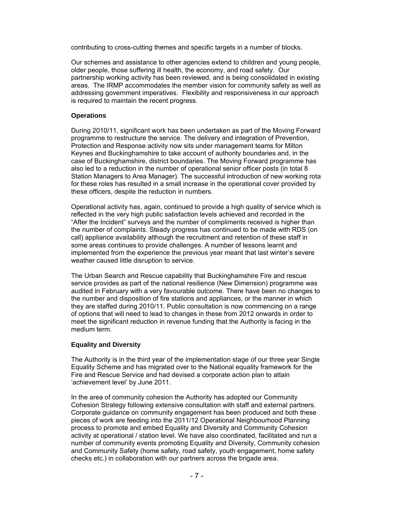contributing to cross-cutting themes and specific targets in a number of blocks.

Our schemes and assistance to other agencies extend to children and young people, older people, those suffering ill health, the economy, and road safety. Our partnership working activity has been reviewed, and is being consolidated in existing areas. The IRMP accommodates the member vision for community safety as well as addressing government imperatives. Flexibility and responsiveness in our approach is required to maintain the recent progress.

#### **Operations**

During 2010/11, significant work has been undertaken as part of the Moving Forward programme to restructure the service. The delivery and integration of Prevention, Protection and Response activity now sits under management teams for Milton Keynes and Buckinghamshire to take account of authority boundaries and, in the case of Buckinghamshire, district boundaries. The Moving Forward programme has also led to a reduction in the number of operational senior officer posts (in total 8 Station Managers to Area Manager). The successful introduction of new working rota for these roles has resulted in a small increase in the operational cover provided by these officers, despite the reduction in numbers.

Operational activity has, again, continued to provide a high quality of service which is reflected in the very high public satisfaction levels achieved and recorded in the "After the Incident" surveys and the number of compliments received is higher than the number of complaints. Steady progress has continued to be made with RDS (on call) appliance availability although the recruitment and retention of these staff in some areas continues to provide challenges. A number of lessons learnt and implemented from the experience the previous year meant that last winter's severe weather caused little disruption to service.

The Urban Search and Rescue capability that Buckinghamshire Fire and rescue service provides as part of the national resilience (New Dimension) programme was audited in February with a very favourable outcome. There have been no changes to the number and disposition of fire stations and appliances, or the manner in which they are staffed during 2010/11. Public consultation is now commencing on a range of options that will need to lead to changes in these from 2012 onwards in order to meet the significant reduction in revenue funding that the Authority is facing in the medium term.

#### **Equality and Diversity**

The Authority is in the third year of the implementation stage of our three year Single Equality Scheme and has migrated over to the National equality framework for the Fire and Rescue Service and had devised a corporate action plan to attain 'achievement level' by June 2011.

In the area of community cohesion the Authority has adopted our Community Cohesion Strategy following extensive consultation with staff and external partners. Corporate guidance on community engagement has been produced and both these pieces of work are feeding into the 2011/12 Operational Neighbourhood Planning process to promote and embed Equality and Diversity and Community Cohesion activity at operational / station level. We have also coordinated, facilitated and run a number of community events promoting Equality and Diversity, Community cohesion and Community Safety (home safety, road safety, youth engagement, home safety checks etc.) in collaboration with our partners across the brigade area.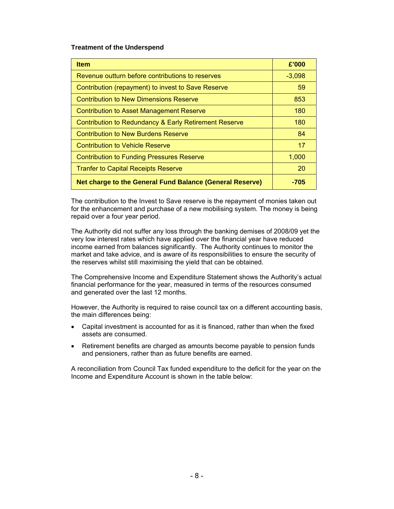#### **Treatment of the Underspend**

| <b>Item</b>                                                     | £'000    |
|-----------------------------------------------------------------|----------|
| Revenue outturn before contributions to reserves                | $-3,098$ |
| Contribution (repayment) to invest to Save Reserve              | 59       |
| Contribution to New Dimensions Reserve                          | 853      |
| <b>Contribution to Asset Management Reserve</b>                 | 180      |
| Contribution to Redundancy & Early Retirement Reserve           | 180      |
| Contribution to New Burdens Reserve                             | 84       |
| <b>Contribution to Vehicle Reserve</b>                          | 17       |
| <b>Contribution to Funding Pressures Reserve</b>                | 1,000    |
| <b>Tranfer to Capital Receipts Reserve</b>                      | 20       |
| <b>Net charge to the General Fund Balance (General Reserve)</b> | -705     |

The contribution to the Invest to Save reserve is the repayment of monies taken out for the enhancement and purchase of a new mobilising system. The money is being repaid over a four year period.

The Authority did not suffer any loss through the banking demises of 2008/09 yet the very low interest rates which have applied over the financial year have reduced income earned from balances significantly. The Authority continues to monitor the market and take advice, and is aware of its responsibilities to ensure the security of the reserves whilst still maximising the yield that can be obtained.

The Comprehensive Income and Expenditure Statement shows the Authority's actual financial performance for the year, measured in terms of the resources consumed and generated over the last 12 months.

However, the Authority is required to raise council tax on a different accounting basis, the main differences being:

- Capital investment is accounted for as it is financed, rather than when the fixed assets are consumed.
- Retirement benefits are charged as amounts become payable to pension funds and pensioners, rather than as future benefits are earned.

A reconciliation from Council Tax funded expenditure to the deficit for the year on the Income and Expenditure Account is shown in the table below: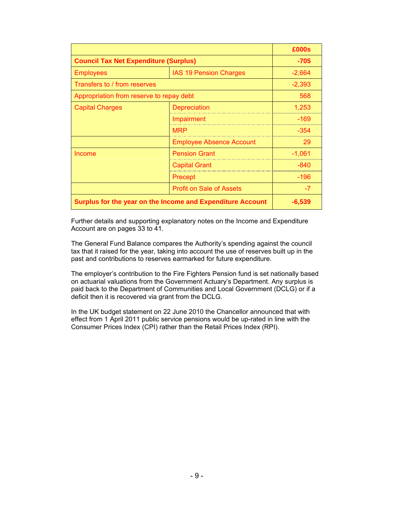|                                                            |                                 | £000s    |
|------------------------------------------------------------|---------------------------------|----------|
| <b>Council Tax Net Expenditure (Surplus)</b>               | $-705$                          |          |
| <b>Employees</b>                                           | <b>IAS 19 Pension Charges</b>   | $-2,664$ |
| Transfers to / from reserves                               |                                 | $-2,393$ |
| Appropriation from reserve to repay debt                   |                                 | 568      |
| <b>Capital Charges</b>                                     | <b>Depreciation</b>             | 1,253    |
|                                                            | Impairment                      | $-169$   |
|                                                            | <b>MRP</b>                      | $-354$   |
|                                                            | <b>Employee Absence Account</b> | 29       |
| Income                                                     | <b>Pension Grant</b>            | $-1,061$ |
|                                                            | <b>Capital Grant</b>            | $-840$   |
|                                                            | Precept                         | $-196$   |
|                                                            | <b>Profit on Sale of Assets</b> | $-7$     |
| Surplus for the year on the Income and Expenditure Account | $-6,539$                        |          |

Further details and supporting explanatory notes on the Income and Expenditure Account are on pages 33 to 41.

The General Fund Balance compares the Authority's spending against the council tax that it raised for the year, taking into account the use of reserves built up in the past and contributions to reserves earmarked for future expenditure.

The employer's contribution to the Fire Fighters Pension fund is set nationally based on actuarial valuations from the Government Actuary's Department. Any surplus is paid back to the Department of Communities and Local Government (DCLG) or if a deficit then it is recovered via grant from the DCLG.

In the UK budget statement on 22 June 2010 the Chancellor announced that with effect from 1 April 2011 public service pensions would be up-rated in line with the Consumer Prices Index (CPI) rather than the Retail Prices Index (RPI).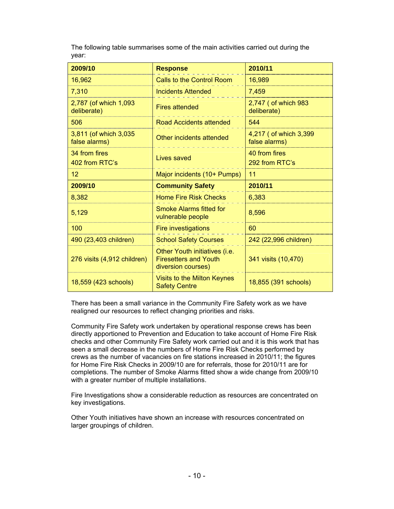The following table summarises some of the main activities carried out during the year:

| 2009/10                                | <b>Response</b>                                                                     | 2010/11                                |
|----------------------------------------|-------------------------------------------------------------------------------------|----------------------------------------|
| 16,962                                 | Calls to the Control Room                                                           | 16,989                                 |
| 7,310                                  | <b>Incidents Attended</b>                                                           | 7,459                                  |
| 2,787 (of which 1,093<br>deliberate)   | <b>Fires attended</b>                                                               | 2,747 (of which 983<br>deliberate)     |
| 506                                    | <b>Road Accidents attended</b>                                                      | 544                                    |
| 3,811 (of which 3,035<br>false alarms) | Other incidents attended                                                            | 4,217 (of which 3,399<br>false alarms) |
| 34 from fires<br>402 from RTC's        | Lives saved                                                                         | 40 from fires<br>292 from RTC's        |
| 12                                     | Major incidents (10+ Pumps)                                                         | 11                                     |
| 2009/10                                | <b>Community Safety</b>                                                             | 2010/11                                |
| 8,382                                  | <b>Home Fire Risk Checks</b>                                                        | 6,383                                  |
| 5,129                                  | <b>Smoke Alarms fitted for</b><br>vulnerable people                                 | 8,596                                  |
| 100                                    | <b>Fire investigations</b>                                                          | 60                                     |
| 490 (23,403 children)                  | <b>School Safety Courses</b>                                                        | 242 (22,996 children)                  |
| 276 visits (4,912 children)            | Other Youth initiatives (i.e.<br><b>Firesetters and Youth</b><br>diversion courses) | 341 visits (10,470)                    |
| 18,559 (423 schools)                   | Visits to the Milton Keynes<br><b>Safety Centre</b>                                 | 18,855 (391 schools)                   |

There has been a small variance in the Community Fire Safety work as we have realigned our resources to reflect changing priorities and risks.

Community Fire Safety work undertaken by operational response crews has been directly apportioned to Prevention and Education to take account of Home Fire Risk checks and other Community Fire Safety work carried out and it is this work that has seen a small decrease in the numbers of Home Fire Risk Checks performed by crews as the number of vacancies on fire stations increased in 2010/11; the figures for Home Fire Risk Checks in 2009/10 are for referrals, those for 2010/11 are for completions. The number of Smoke Alarms fitted show a wide change from 2009/10 with a greater number of multiple installations.

Fire Investigations show a considerable reduction as resources are concentrated on key investigations.

Other Youth initiatives have shown an increase with resources concentrated on larger groupings of children.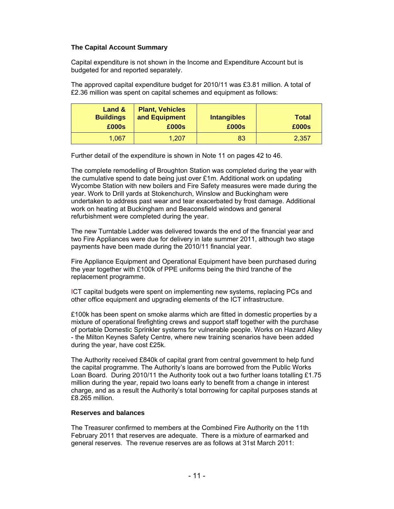#### **The Capital Account Summary**

Capital expenditure is not shown in the Income and Expenditure Account but is budgeted for and reported separately.

The approved capital expenditure budget for 2010/11 was £3.81 million. A total of £2.36 million was spent on capital schemes and equipment as follows:

| Land $\&$<br><b>Buildings</b><br>£000s | <b>Plant, Vehicles</b><br>and Equipment<br>£000s | <b>Intangibles</b><br>£000s | <b>Total</b><br>£000s |
|----------------------------------------|--------------------------------------------------|-----------------------------|-----------------------|
| 1,067                                  | 1,207                                            | 83                          | 2,357                 |

Further detail of the expenditure is shown in Note 11 on pages 42 to 46.

The complete remodelling of Broughton Station was completed during the year with the cumulative spend to date being just over £1m. Additional work on updating Wycombe Station with new boilers and Fire Safety measures were made during the year. Work to Drill yards at Stokenchurch, Winslow and Buckingham were undertaken to address past wear and tear exacerbated by frost damage. Additional work on heating at Buckingham and Beaconsfield windows and general refurbishment were completed during the year.

The new Turntable Ladder was delivered towards the end of the financial year and two Fire Appliances were due for delivery in late summer 2011, although two stage payments have been made during the 2010/11 financial year.

Fire Appliance Equipment and Operational Equipment have been purchased during the year together with £100k of PPE uniforms being the third tranche of the replacement programme.

ICT capital budgets were spent on implementing new systems, replacing PCs and other office equipment and upgrading elements of the ICT infrastructure.

£100k has been spent on smoke alarms which are fitted in domestic properties by a mixture of operational firefighting crews and support staff together with the purchase of portable Domestic Sprinkler systems for vulnerable people. Works on Hazard Alley - the Milton Keynes Safety Centre, where new training scenarios have been added during the year, have cost £25k.

The Authority received £840k of capital grant from central government to help fund the capital programme. The Authority's loans are borrowed from the Public Works Loan Board. During 2010/11 the Authority took out a two further loans totalling £1.75 million during the year, repaid two loans early to benefit from a change in interest charge, and as a result the Authority's total borrowing for capital purposes stands at £8.265 million.

#### **Reserves and balances**

The Treasurer confirmed to members at the Combined Fire Authority on the 11th February 2011 that reserves are adequate. There is a mixture of earmarked and general reserves. The revenue reserves are as follows at 31st March 2011: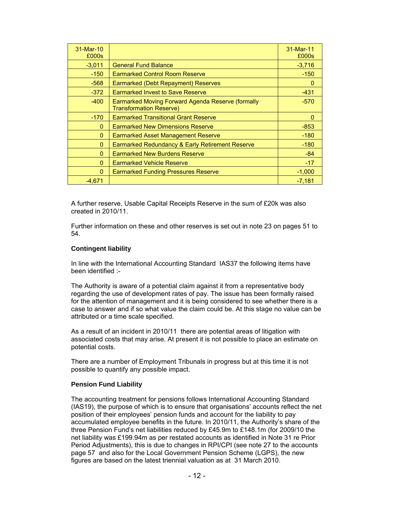| 31-Mar-10<br>£000s |                                                                                     | 31-Mar-11<br>£000s |
|--------------------|-------------------------------------------------------------------------------------|--------------------|
| $-3,011$           | <b>General Fund Balance</b>                                                         | $-3,716$           |
| $-150$             | <b>Earmarked Control Room Reserve</b>                                               | $-150$             |
| $-568$             | Earmarked (Debt Repayment) Reserves                                                 | 0                  |
| $-372$             | <b>Earmarked Invest to Save Reserve</b>                                             | $-431$             |
| $-400$             | Earmarked Moving Forward Agenda Reserve (formally<br><b>Transformation Reserve)</b> | $-570$             |
| $-170$             | <b>Earmarked Transitional Grant Reserve</b>                                         | $\Omega$           |
| $\Omega$           | <b>Earmarked New Dimensions Reserve</b>                                             | $-853$             |
| $\Omega$           | Earmarked Asset Management Reserve                                                  | $-180$             |
| $\mathbf{0}$       | Earmarked Redundancy & Early Retirement Reserve                                     | $-180$             |
| $\Omega$           | <b>Earmarked New Burdens Reserve</b>                                                | $-84$              |
| $\Omega$           | <b>Earmarked Vehicle Reserve</b>                                                    | $-17$              |
| $\mathbf{0}$       | <b>Earmarked Funding Pressures Reserve</b>                                          | $-1,000$           |
| $-4.671$           |                                                                                     | $-7,181$           |

A further reserve, Usable Capital Receipts Reserve in the sum of £20k was also created in 2010/11.

Further information on these and other reserves is set out in note 23 on pages 51 to 54.

#### **Contingent liability**

In line with the International Accounting Standard IAS37 the following items have been identified :-

The Authority is aware of a potential claim against it from a representative body regarding the use of development rates of pay. The issue has been formally raised for the attention of management and it is being considered to see whether there is a case to answer and if so what value the claim could be. At this stage no value can be attributed or a time scale specified.

As a result of an incident in 2010/11 there are potential areas of litigation with associated costs that may arise. At present it is not possible to place an estimate on potential costs.

There are a number of Employment Tribunals in progress but at this time it is not possible to quantify any possible impact.

#### **Pension Fund Liability**

The accounting treatment for pensions follows International Accounting Standard (IAS19), the purpose of which is to ensure that organisations' accounts reflect the net position of their employees' pension funds and account for the liability to pay accumulated employee benefits in the future. In 2010/11, the Authority's share of the three Pension Fund's net liabilities reduced by £45.9m to £148.1m (for 2009/10 the net liability was £199.94m as per restated accounts as identified in Note 31 re Prior Period Adjustments), this is due to changes in RPI/CPI (see note 27 to the accounts page 57 and also for the Local Government Pension Scheme (LGPS), the new figures are based on the latest triennial valuation as at 31 March 2010.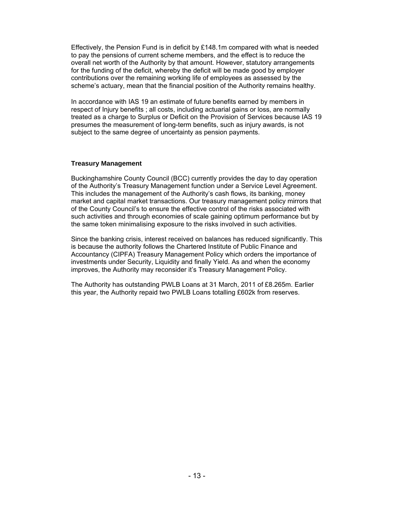Effectively, the Pension Fund is in deficit by £148.1m compared with what is needed to pay the pensions of current scheme members, and the effect is to reduce the overall net worth of the Authority by that amount. However, statutory arrangements for the funding of the deficit, whereby the deficit will be made good by employer contributions over the remaining working life of employees as assessed by the scheme's actuary, mean that the financial position of the Authority remains healthy.

In accordance with IAS 19 an estimate of future benefits earned by members in respect of Injury benefits ; all costs, including actuarial gains or loss, are normally treated as a charge to Surplus or Deficit on the Provision of Services because IAS 19 presumes the measurement of long-term benefits, such as injury awards, is not subject to the same degree of uncertainty as pension payments.

#### **Treasury Management**

Buckinghamshire County Council (BCC) currently provides the day to day operation of the Authority's Treasury Management function under a Service Level Agreement. This includes the management of the Authority's cash flows, its banking, money market and capital market transactions. Our treasury management policy mirrors that of the County Council's to ensure the effective control of the risks associated with such activities and through economies of scale gaining optimum performance but by the same token minimalising exposure to the risks involved in such activities.

Since the banking crisis, interest received on balances has reduced significantly. This is because the authority follows the Chartered Institute of Public Finance and Accountancy (CIPFA) Treasury Management Policy which orders the importance of investments under Security, Liquidity and finally Yield. As and when the economy improves, the Authority may reconsider it's Treasury Management Policy.

The Authority has outstanding PWLB Loans at 31 March, 2011 of £8.265m. Earlier this year, the Authority repaid two PWLB Loans totalling £602k from reserves.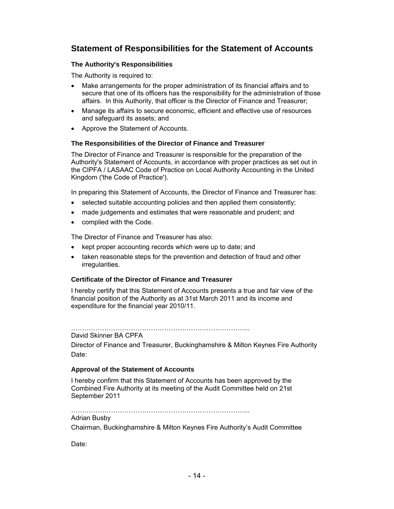# **Statement of Responsibilities for the Statement of Accounts**

#### **The Authority's Responsibilities**

The Authority is required to:

- Make arrangements for the proper administration of its financial affairs and to secure that one of its officers has the responsibility for the administration of those affairs. In this Authority, that officer is the Director of Finance and Treasurer;
- Manage its affairs to secure economic, efficient and effective use of resources and safeguard its assets; and
- Approve the Statement of Accounts.

#### **The Responsibilities of the Director of Finance and Treasurer**

The Director of Finance and Treasurer is responsible for the preparation of the Authority's Statement of Accounts, in accordance with proper practices as set out in the CIPFA / LASAAC Code of Practice on Local Authority Accounting in the United Kingdom ('the Code of Practice').

In preparing this Statement of Accounts, the Director of Finance and Treasurer has:

- selected suitable accounting policies and then applied them consistently;
- made judgements and estimates that were reasonable and prudent; and
- complied with the Code.

The Director of Finance and Treasurer has also:

- kept proper accounting records which were up to date; and
- taken reasonable steps for the prevention and detection of fraud and other irregularities.

#### **Certificate of the Director of Finance and Treasurer**

I hereby certify that this Statement of Accounts presents a true and fair view of the financial position of the Authority as at 31st March 2011 and its income and expenditure for the financial year 2010/11.

……………………………………………………………………... David Skinner BA CPFA

Director of Finance and Treasurer, Buckinghamshire & Milton Keynes Fire Authority Date:

#### **Approval of the Statement of Accounts**

I hereby confirm that this Statement of Accounts has been approved by the Combined Fire Authority at its meeting of the Audit Committee held on 21st September 2011

……………………………………………………………………...

#### Adrian Busby

Chairman, Buckinghamshire & Milton Keynes Fire Authority's Audit Committee

Date: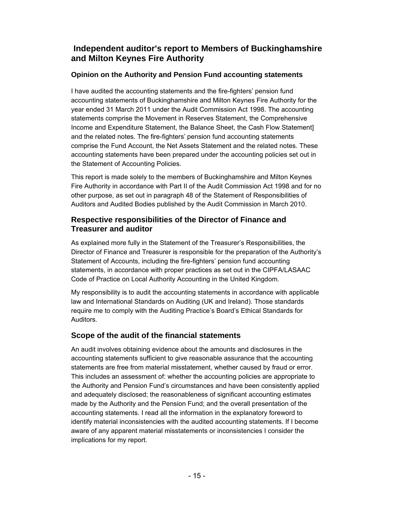# **Independent auditor's report to Members of Buckinghamshire and Milton Keynes Fire Authority**

## **Opinion on the Authority and Pension Fund accounting statements**

I have audited the accounting statements and the fire-fighters' pension fund accounting statements of Buckinghamshire and Milton Keynes Fire Authority for the year ended 31 March 2011 under the Audit Commission Act 1998. The accounting statements comprise the Movement in Reserves Statement, the Comprehensive Income and Expenditure Statement, the Balance Sheet, the Cash Flow Statement] and the related notes. The fire-fighters' pension fund accounting statements comprise the Fund Account, the Net Assets Statement and the related notes. These accounting statements have been prepared under the accounting policies set out in the Statement of Accounting Policies.

This report is made solely to the members of Buckinghamshire and Milton Keynes Fire Authority in accordance with Part II of the Audit Commission Act 1998 and for no other purpose, as set out in paragraph 48 of the Statement of Responsibilities of Auditors and Audited Bodies published by the Audit Commission in March 2010.

## **Respective responsibilities of the Director of Finance and Treasurer and auditor**

As explained more fully in the Statement of the Treasurer's Responsibilities, the Director of Finance and Treasurer is responsible for the preparation of the Authority's Statement of Accounts, including the fire-fighters' pension fund accounting statements, in accordance with proper practices as set out in the CIPFA/LASAAC Code of Practice on Local Authority Accounting in the United Kingdom.

My responsibility is to audit the accounting statements in accordance with applicable law and International Standards on Auditing (UK and Ireland). Those standards require me to comply with the Auditing Practice's Board's Ethical Standards for Auditors.

# **Scope of the audit of the financial statements**

An audit involves obtaining evidence about the amounts and disclosures in the accounting statements sufficient to give reasonable assurance that the accounting statements are free from material misstatement, whether caused by fraud or error. This includes an assessment of: whether the accounting policies are appropriate to the Authority and Pension Fund's circumstances and have been consistently applied and adequately disclosed; the reasonableness of significant accounting estimates made by the Authority and the Pension Fund; and the overall presentation of the accounting statements. I read all the information in the explanatory foreword to identify material inconsistencies with the audited accounting statements. If I become aware of any apparent material misstatements or inconsistencies I consider the implications for my report.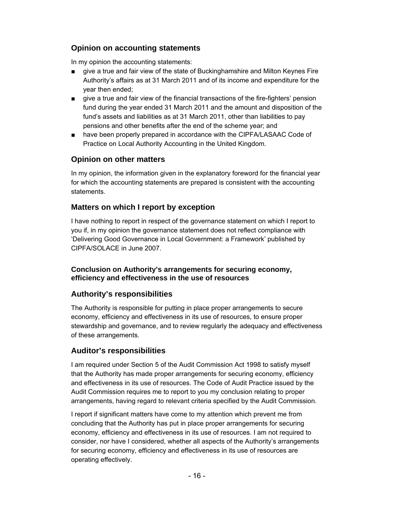## **Opinion on accounting statements**

In my opinion the accounting statements:

- give a true and fair view of the state of Buckinghamshire and Milton Keynes Fire Authority's affairs as at 31 March 2011 and of its income and expenditure for the year then ended;
- give a true and fair view of the financial transactions of the fire-fighters' pension fund during the year ended 31 March 2011 and the amount and disposition of the fund's assets and liabilities as at 31 March 2011, other than liabilities to pay pensions and other benefits after the end of the scheme year; and
- have been properly prepared in accordance with the CIPFA/LASAAC Code of Practice on Local Authority Accounting in the United Kingdom.

## **Opinion on other matters**

In my opinion, the information given in the explanatory foreword for the financial year for which the accounting statements are prepared is consistent with the accounting statements.

## **Matters on which I report by exception**

I have nothing to report in respect of the governance statement on which I report to you if, in my opinion the governance statement does not reflect compliance with 'Delivering Good Governance in Local Government: a Framework' published by CIPFA/SOLACE in June 2007.

#### **Conclusion on Authority's arrangements for securing economy, efficiency and effectiveness in the use of resources**

## **Authority's responsibilities**

The Authority is responsible for putting in place proper arrangements to secure economy, efficiency and effectiveness in its use of resources, to ensure proper stewardship and governance, and to review regularly the adequacy and effectiveness of these arrangements.

## **Auditor's responsibilities**

I am required under Section 5 of the Audit Commission Act 1998 to satisfy myself that the Authority has made proper arrangements for securing economy, efficiency and effectiveness in its use of resources. The Code of Audit Practice issued by the Audit Commission requires me to report to you my conclusion relating to proper arrangements, having regard to relevant criteria specified by the Audit Commission.

I report if significant matters have come to my attention which prevent me from concluding that the Authority has put in place proper arrangements for securing economy, efficiency and effectiveness in its use of resources. I am not required to consider, nor have I considered, whether all aspects of the Authority's arrangements for securing economy, efficiency and effectiveness in its use of resources are operating effectively.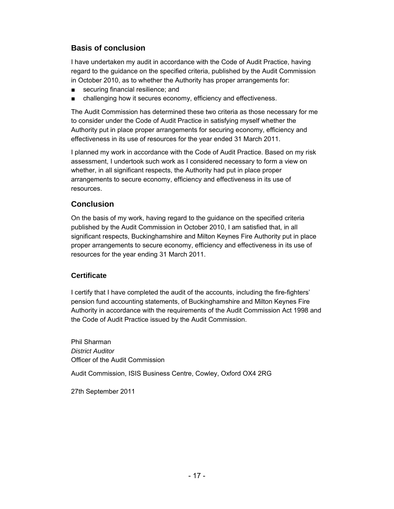## **Basis of conclusion**

I have undertaken my audit in accordance with the Code of Audit Practice, having regard to the guidance on the specified criteria, published by the Audit Commission in October 2010, as to whether the Authority has proper arrangements for:

- securing financial resilience; and
- challenging how it secures economy, efficiency and effectiveness.

The Audit Commission has determined these two criteria as those necessary for me to consider under the Code of Audit Practice in satisfying myself whether the Authority put in place proper arrangements for securing economy, efficiency and effectiveness in its use of resources for the year ended 31 March 2011.

I planned my work in accordance with the Code of Audit Practice. Based on my risk assessment, I undertook such work as I considered necessary to form a view on whether, in all significant respects, the Authority had put in place proper arrangements to secure economy, efficiency and effectiveness in its use of resources.

## **Conclusion**

On the basis of my work, having regard to the guidance on the specified criteria published by the Audit Commission in October 2010, I am satisfied that, in all significant respects, Buckinghamshire and Milton Keynes Fire Authority put in place proper arrangements to secure economy, efficiency and effectiveness in its use of resources for the year ending 31 March 2011.

#### **Certificate**

I certify that I have completed the audit of the accounts, including the fire-fighters' pension fund accounting statements, of Buckinghamshire and Milton Keynes Fire Authority in accordance with the requirements of the Audit Commission Act 1998 and the Code of Audit Practice issued by the Audit Commission.

Phil Sharman *District Auditor* Officer of the Audit Commission Audit Commission, ISIS Business Centre, Cowley, Oxford OX4 2RG

27th September 2011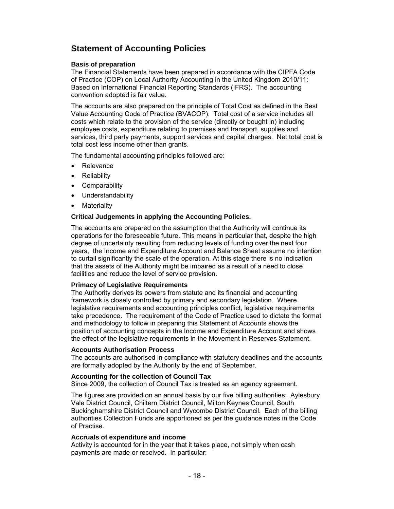# **Statement of Accounting Policies**

#### **Basis of preparation**

The Financial Statements have been prepared in accordance with the CIPFA Code of Practice (COP) on Local Authority Accounting in the United Kingdom 2010/11: Based on International Financial Reporting Standards (IFRS). The accounting convention adopted is fair value.

The accounts are also prepared on the principle of Total Cost as defined in the Best Value Accounting Code of Practice (BVACOP). Total cost of a service includes all costs which relate to the provision of the service (directly or bought in) including employee costs, expenditure relating to premises and transport, supplies and services, third party payments, support services and capital charges. Net total cost is total cost less income other than grants.

The fundamental accounting principles followed are:

- Relevance
- Reliability
- Comparability
- Understandability
- Materiality

#### **Critical Judgements in applying the Accounting Policies.**

The accounts are prepared on the assumption that the Authority will continue its operations for the foreseeable future. This means in particular that, despite the high degree of uncertainty resulting from reducing levels of funding over the next four years, the Income and Expenditure Account and Balance Sheet assume no intention to curtail significantly the scale of the operation. At this stage there is no indication that the assets of the Authority might be impaired as a result of a need to close facilities and reduce the level of service provision.

#### **Primacy of Legislative Requirements**

The Authority derives its powers from statute and its financial and accounting framework is closely controlled by primary and secondary legislation. Where legislative requirements and accounting principles conflict, legislative requirements take precedence. The requirement of the Code of Practice used to dictate the format and methodology to follow in preparing this Statement of Accounts shows the position of accounting concepts in the Income and Expenditure Account and shows the effect of the legislative requirements in the Movement in Reserves Statement.

#### **Accounts Authorisation Process**

The accounts are authorised in compliance with statutory deadlines and the accounts are formally adopted by the Authority by the end of September.

#### **Accounting for the collection of Council Tax**

Since 2009, the collection of Council Tax is treated as an agency agreement.

The figures are provided on an annual basis by our five billing authorities: Aylesbury Vale District Council, Chiltern District Council, Milton Keynes Council, South Buckinghamshire District Council and Wycombe District Council. Each of the billing authorities Collection Funds are apportioned as per the guidance notes in the Code of Practise.

#### **Accruals of expenditure and income**

Activity is accounted for in the year that it takes place, not simply when cash payments are made or received. In particular: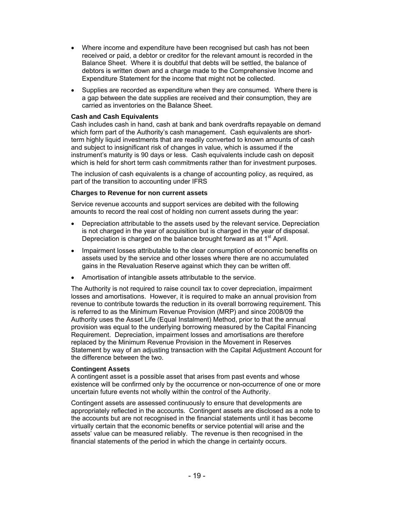- Where income and expenditure have been recognised but cash has not been received or paid, a debtor or creditor for the relevant amount is recorded in the Balance Sheet. Where it is doubtful that debts will be settled, the balance of debtors is written down and a charge made to the Comprehensive Income and Expenditure Statement for the income that might not be collected.
- Supplies are recorded as expenditure when they are consumed. Where there is a gap between the date supplies are received and their consumption, they are carried as inventories on the Balance Sheet.

#### **Cash and Cash Equivalents**

Cash includes cash in hand, cash at bank and bank overdrafts repayable on demand which form part of the Authority's cash management. Cash equivalents are shortterm highly liquid investments that are readily converted to known amounts of cash and subject to insignificant risk of changes in value, which is assumed if the instrument's maturity is 90 days or less. Cash equivalents include cash on deposit which is held for short term cash commitments rather than for investment purposes.

The inclusion of cash equivalents is a change of accounting policy, as required, as part of the transition to accounting under IFRS

#### **Charges to Revenue for non current assets**

Service revenue accounts and support services are debited with the following amounts to record the real cost of holding non current assets during the year:

- Depreciation attributable to the assets used by the relevant service. Depreciation is not charged in the year of acquisition but is charged in the year of disposal. Depreciation is charged on the balance brought forward as at 1<sup>st</sup> April.
- Impairment losses attributable to the clear consumption of economic benefits on assets used by the service and other losses where there are no accumulated gains in the Revaluation Reserve against which they can be written off.
- Amortisation of intangible assets attributable to the service.

The Authority is not required to raise council tax to cover depreciation, impairment losses and amortisations. However, it is required to make an annual provision from revenue to contribute towards the reduction in its overall borrowing requirement. This is referred to as the Minimum Revenue Provision (MRP) and since 2008/09 the Authority uses the Asset Life (Equal Instalment) Method, prior to that the annual provision was equal to the underlying borrowing measured by the Capital Financing Requirement. Depreciation, impairment losses and amortisations are therefore replaced by the Minimum Revenue Provision in the Movement in Reserves Statement by way of an adjusting transaction with the Capital Adjustment Account for the difference between the two.

#### **Contingent Assets**

A contingent asset is a possible asset that arises from past events and whose existence will be confirmed only by the occurrence or non-occurrence of one or more uncertain future events not wholly within the control of the Authority.

Contingent assets are assessed continuously to ensure that developments are appropriately reflected in the accounts. Contingent assets are disclosed as a note to the accounts but are not recognised in the financial statements until it has become virtually certain that the economic benefits or service potential will arise and the assets' value can be measured reliably. The revenue is then recognised in the financial statements of the period in which the change in certainty occurs.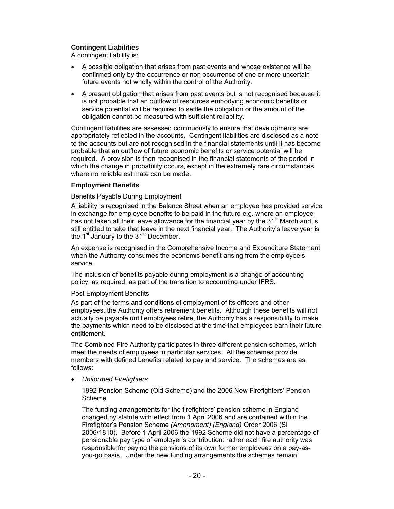#### **Contingent Liabilities**

A contingent liability is:

- A possible obligation that arises from past events and whose existence will be confirmed only by the occurrence or non occurrence of one or more uncertain future events not wholly within the control of the Authority.
- A present obligation that arises from past events but is not recognised because it is not probable that an outflow of resources embodying economic benefits or service potential will be required to settle the obligation or the amount of the obligation cannot be measured with sufficient reliability.

Contingent liabilities are assessed continuously to ensure that developments are appropriately reflected in the accounts. Contingent liabilities are disclosed as a note to the accounts but are not recognised in the financial statements until it has become probable that an outflow of future economic benefits or service potential will be required. A provision is then recognised in the financial statements of the period in which the change in probability occurs, except in the extremely rare circumstances where no reliable estimate can be made.

#### **Employment Benefits**

#### Benefits Payable During Employment

A liability is recognised in the Balance Sheet when an employee has provided service in exchange for employee benefits to be paid in the future e.g. where an employee has not taken all their leave allowance for the financial year by the 31<sup>st</sup> March and is still entitled to take that leave in the next financial year. The Authority's leave year is the  $1<sup>st</sup>$  January to the  $31<sup>st</sup>$  December.

An expense is recognised in the Comprehensive Income and Expenditure Statement when the Authority consumes the economic benefit arising from the employee's service.

The inclusion of benefits payable during employment is a change of accounting policy, as required, as part of the transition to accounting under IFRS.

#### Post Employment Benefits

As part of the terms and conditions of employment of its officers and other employees, the Authority offers retirement benefits. Although these benefits will not actually be payable until employees retire, the Authority has a responsibility to make the payments which need to be disclosed at the time that employees earn their future entitlement.

The Combined Fire Authority participates in three different pension schemes, which meet the needs of employees in particular services. All the schemes provide members with defined benefits related to pay and service. The schemes are as follows:

*Uniformed Firefighters* 

1992 Pension Scheme (Old Scheme) and the 2006 New Firefighters' Pension Scheme.

The funding arrangements for the firefighters' pension scheme in England changed by statute with effect from 1 April 2006 and are contained within the Firefighter's Pension Scheme *(Amendment) (England)* Order 2006 (SI 2006/1810). Before 1 April 2006 the 1992 Scheme did not have a percentage of pensionable pay type of employer's contribution: rather each fire authority was responsible for paying the pensions of its own former employees on a pay-asyou-go basis. Under the new funding arrangements the schemes remain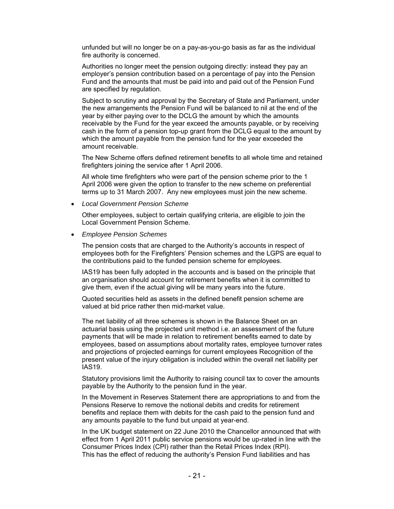unfunded but will no longer be on a pay-as-you-go basis as far as the individual fire authority is concerned.

Authorities no longer meet the pension outgoing directly: instead they pay an employer's pension contribution based on a percentage of pay into the Pension Fund and the amounts that must be paid into and paid out of the Pension Fund are specified by regulation.

Subject to scrutiny and approval by the Secretary of State and Parliament, under the new arrangements the Pension Fund will be balanced to nil at the end of the year by either paying over to the DCLG the amount by which the amounts receivable by the Fund for the year exceed the amounts payable, or by receiving cash in the form of a pension top-up grant from the DCLG equal to the amount by which the amount payable from the pension fund for the year exceeded the amount receivable.

The New Scheme offers defined retirement benefits to all whole time and retained firefighters joining the service after 1 April 2006.

All whole time firefighters who were part of the pension scheme prior to the 1 April 2006 were given the option to transfer to the new scheme on preferential terms up to 31 March 2007. Any new employees must join the new scheme.

*Local Government Pension Scheme* 

Other employees, subject to certain qualifying criteria, are eligible to join the Local Government Pension Scheme.

*Employee Pension Schemes* 

The pension costs that are charged to the Authority's accounts in respect of employees both for the Firefighters' Pension schemes and the LGPS are equal to the contributions paid to the funded pension scheme for employees.

IAS19 has been fully adopted in the accounts and is based on the principle that an organisation should account for retirement benefits when it is committed to give them, even if the actual giving will be many years into the future.

Quoted securities held as assets in the defined benefit pension scheme are valued at bid price rather then mid-market value.

The net liability of all three schemes is shown in the Balance Sheet on an actuarial basis using the projected unit method i.e. an assessment of the future payments that will be made in relation to retirement benefits earned to date by employees, based on assumptions about mortality rates, employee turnover rates and projections of projected earnings for current employees Recognition of the present value of the injury obligation is included within the overall net liability per IAS19.

Statutory provisions limit the Authority to raising council tax to cover the amounts payable by the Authority to the pension fund in the year.

In the Movement in Reserves Statement there are appropriations to and from the Pensions Reserve to remove the notional debits and credits for retirement benefits and replace them with debits for the cash paid to the pension fund and any amounts payable to the fund but unpaid at year-end.

In the UK budget statement on 22 June 2010 the Chancellor announced that with effect from 1 April 2011 public service pensions would be up-rated in line with the Consumer Prices Index (CPI) rather than the Retail Prices Index (RPI). This has the effect of reducing the authority's Pension Fund liabilities and has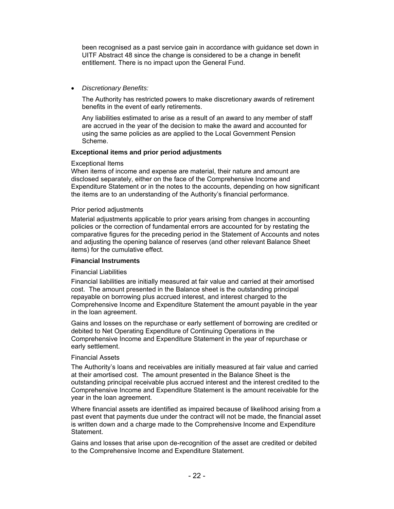been recognised as a past service gain in accordance with guidance set down in UITF Abstract 48 since the change is considered to be a change in benefit entitlement. There is no impact upon the General Fund.

*Discretionary Benefits:* 

The Authority has restricted powers to make discretionary awards of retirement benefits in the event of early retirements.

Any liabilities estimated to arise as a result of an award to any member of staff are accrued in the year of the decision to make the award and accounted for using the same policies as are applied to the Local Government Pension Scheme.

#### **Exceptional items and prior period adjustments**

#### Exceptional Items

When items of income and expense are material, their nature and amount are disclosed separately, either on the face of the Comprehensive Income and Expenditure Statement or in the notes to the accounts, depending on how significant the items are to an understanding of the Authority's financial performance.

#### Prior period adjustments

Material adjustments applicable to prior years arising from changes in accounting policies or the correction of fundamental errors are accounted for by restating the comparative figures for the preceding period in the Statement of Accounts and notes and adjusting the opening balance of reserves (and other relevant Balance Sheet items) for the cumulative effect.

#### **Financial Instruments**

#### Financial Liabilities

Financial liabilities are initially measured at fair value and carried at their amortised cost. The amount presented in the Balance sheet is the outstanding principal repayable on borrowing plus accrued interest, and interest charged to the Comprehensive Income and Expenditure Statement the amount payable in the year in the loan agreement.

Gains and losses on the repurchase or early settlement of borrowing are credited or debited to Net Operating Expenditure of Continuing Operations in the Comprehensive Income and Expenditure Statement in the year of repurchase or early settlement.

#### Financial Assets

The Authority's loans and receivables are initially measured at fair value and carried at their amortised cost. The amount presented in the Balance Sheet is the outstanding principal receivable plus accrued interest and the interest credited to the Comprehensive Income and Expenditure Statement is the amount receivable for the year in the loan agreement.

Where financial assets are identified as impaired because of likelihood arising from a past event that payments due under the contract will not be made, the financial asset is written down and a charge made to the Comprehensive Income and Expenditure Statement.

Gains and losses that arise upon de-recognition of the asset are credited or debited to the Comprehensive Income and Expenditure Statement.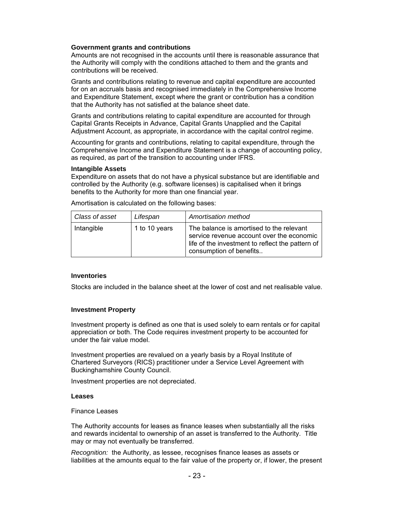#### **Government grants and contributions**

Amounts are not recognised in the accounts until there is reasonable assurance that the Authority will comply with the conditions attached to them and the grants and contributions will be received.

Grants and contributions relating to revenue and capital expenditure are accounted for on an accruals basis and recognised immediately in the Comprehensive Income and Expenditure Statement, except where the grant or contribution has a condition that the Authority has not satisfied at the balance sheet date.

Grants and contributions relating to capital expenditure are accounted for through Capital Grants Receipts in Advance, Capital Grants Unapplied and the Capital Adjustment Account, as appropriate, in accordance with the capital control regime.

Accounting for grants and contributions, relating to capital expenditure, through the Comprehensive Income and Expenditure Statement is a change of accounting policy, as required, as part of the transition to accounting under IFRS.

#### **Intangible Assets**

Expenditure on assets that do not have a physical substance but are identifiable and controlled by the Authority (e.g. software licenses) is capitalised when it brings benefits to the Authority for more than one financial year.

| Class of asset | Lifespan      | Amortisation method                                                                                                                                                  |
|----------------|---------------|----------------------------------------------------------------------------------------------------------------------------------------------------------------------|
| Intangible     | 1 to 10 years | The balance is amortised to the relevant<br>service revenue account over the economic<br>life of the investment to reflect the pattern of<br>consumption of benefits |

Amortisation is calculated on the following bases:

#### **Inventories**

Stocks are included in the balance sheet at the lower of cost and net realisable value.

#### **Investment Property**

Investment property is defined as one that is used solely to earn rentals or for capital appreciation or both. The Code requires investment property to be accounted for under the fair value model.

Investment properties are revalued on a yearly basis by a Royal Institute of Chartered Surveyors (RICS) practitioner under a Service Level Agreement with Buckinghamshire County Council.

Investment properties are not depreciated.

#### **Leases**

#### Finance Leases

The Authority accounts for leases as finance leases when substantially all the risks and rewards incidental to ownership of an asset is transferred to the Authority. Title may or may not eventually be transferred.

*Recognition:* the Authority, as lessee, recognises finance leases as assets or liabilities at the amounts equal to the fair value of the property or, if lower, the present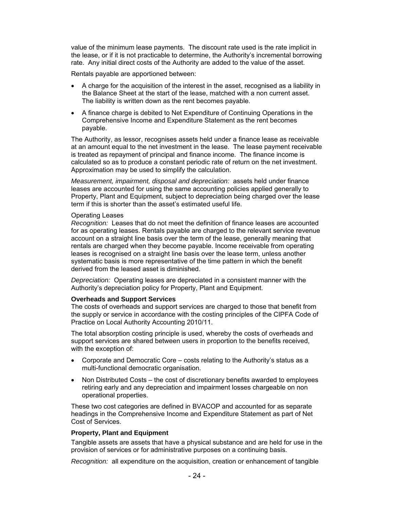value of the minimum lease payments. The discount rate used is the rate implicit in the lease, or if it is not practicable to determine, the Authority's incremental borrowing rate. Any initial direct costs of the Authority are added to the value of the asset.

Rentals payable are apportioned between:

- A charge for the acquisition of the interest in the asset, recognised as a liability in the Balance Sheet at the start of the lease, matched with a non current asset. The liability is written down as the rent becomes payable.
- A finance charge is debited to Net Expenditure of Continuing Operations in the Comprehensive Income and Expenditure Statement as the rent becomes payable.

The Authority, as lessor, recognises assets held under a finance lease as receivable at an amount equal to the net investment in the lease. The lease payment receivable is treated as repayment of principal and finance income. The finance income is calculated so as to produce a constant periodic rate of return on the net investment. Approximation may be used to simplify the calculation.

*Measurement, impairment, disposal and depreciation:* assets held under finance leases are accounted for using the same accounting policies applied generally to Property, Plant and Equipment, subject to depreciation being charged over the lease term if this is shorter than the asset's estimated useful life.

#### Operating Leases

*Recognition:* Leases that do not meet the definition of finance leases are accounted for as operating leases. Rentals payable are charged to the relevant service revenue account on a straight line basis over the term of the lease, generally meaning that rentals are charged when they become payable. Income receivable from operating leases is recognised on a straight line basis over the lease term, unless another systematic basis is more representative of the time pattern in which the benefit derived from the leased asset is diminished.

*Depreciation:* Operating leases are depreciated in a consistent manner with the Authority's depreciation policy for Property, Plant and Equipment.

#### **Overheads and Support Services**

The costs of overheads and support services are charged to those that benefit from the supply or service in accordance with the costing principles of the CIPFA Code of Practice on Local Authority Accounting 2010/11.

The total absorption costing principle is used, whereby the costs of overheads and support services are shared between users in proportion to the benefits received, with the exception of:

- Corporate and Democratic Core costs relating to the Authority's status as a multi-functional democratic organisation.
- Non Distributed Costs the cost of discretionary benefits awarded to employees retiring early and any depreciation and impairment losses chargeable on non operational properties.

These two cost categories are defined in BVACOP and accounted for as separate headings in the Comprehensive Income and Expenditure Statement as part of Net Cost of Services.

#### **Property, Plant and Equipment**

Tangible assets are assets that have a physical substance and are held for use in the provision of services or for administrative purposes on a continuing basis.

*Recognition:* all expenditure on the acquisition, creation or enhancement of tangible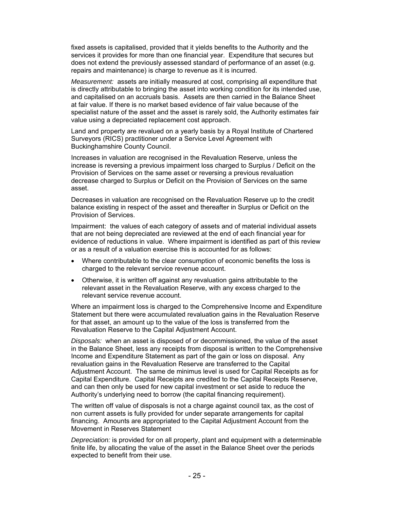fixed assets is capitalised, provided that it yields benefits to the Authority and the services it provides for more than one financial year. Expenditure that secures but does not extend the previously assessed standard of performance of an asset (e.g. repairs and maintenance) is charge to revenue as it is incurred.

*Measurement:* assets are initially measured at cost, comprising all expenditure that is directly attributable to bringing the asset into working condition for its intended use, and capitalised on an accruals basis. Assets are then carried in the Balance Sheet at fair value. If there is no market based evidence of fair value because of the specialist nature of the asset and the asset is rarely sold, the Authority estimates fair value using a depreciated replacement cost approach.

Land and property are revalued on a yearly basis by a Royal Institute of Chartered Surveyors (RICS) practitioner under a Service Level Agreement with Buckinghamshire County Council.

Increases in valuation are recognised in the Revaluation Reserve, unless the increase is reversing a previous impairment loss charged to Surplus / Deficit on the Provision of Services on the same asset or reversing a previous revaluation decrease charged to Surplus or Deficit on the Provision of Services on the same asset.

Decreases in valuation are recognised on the Revaluation Reserve up to the credit balance existing in respect of the asset and thereafter in Surplus or Deficit on the Provision of Services.

Impairment: the values of each category of assets and of material individual assets that are not being depreciated are reviewed at the end of each financial year for evidence of reductions in value. Where impairment is identified as part of this review or as a result of a valuation exercise this is accounted for as follows:

- Where contributable to the clear consumption of economic benefits the loss is charged to the relevant service revenue account.
- Otherwise, it is written off against any revaluation gains attributable to the relevant asset in the Revaluation Reserve, with any excess charged to the relevant service revenue account.

Where an impairment loss is charged to the Comprehensive Income and Expenditure Statement but there were accumulated revaluation gains in the Revaluation Reserve for that asset, an amount up to the value of the loss is transferred from the Revaluation Reserve to the Capital Adjustment Account.

*Disposals:* when an asset is disposed of or decommissioned, the value of the asset in the Balance Sheet, less any receipts from disposal is written to the Comprehensive Income and Expenditure Statement as part of the gain or loss on disposal. Any revaluation gains in the Revaluation Reserve are transferred to the Capital Adjustment Account. The same de minimus level is used for Capital Receipts as for Capital Expenditure. Capital Receipts are credited to the Capital Receipts Reserve, and can then only be used for new capital investment or set aside to reduce the Authority's underlying need to borrow (the capital financing requirement).

The written off value of disposals is not a charge against council tax, as the cost of non current assets is fully provided for under separate arrangements for capital financing. Amounts are appropriated to the Capital Adjustment Account from the Movement in Reserves Statement

*Depreciation:* is provided for on all property, plant and equipment with a determinable finite life, by allocating the value of the asset in the Balance Sheet over the periods expected to benefit from their use.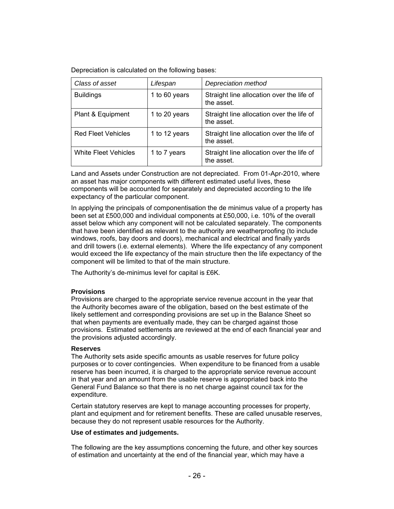Depreciation is calculated on the following bases:

| Class of asset              | Lifespan      | Depreciation method                                     |
|-----------------------------|---------------|---------------------------------------------------------|
| <b>Buildings</b>            | 1 to 60 years | Straight line allocation over the life of<br>the asset. |
| Plant & Equipment           | 1 to 20 years | Straight line allocation over the life of<br>the asset. |
| <b>Red Fleet Vehicles</b>   | 1 to 12 years | Straight line allocation over the life of<br>the asset. |
| <b>White Fleet Vehicles</b> | 1 to 7 years  | Straight line allocation over the life of<br>the asset. |

Land and Assets under Construction are not depreciated. From 01-Apr-2010, where an asset has major components with different estimated useful lives, these components will be accounted for separately and depreciated according to the life expectancy of the particular component.

In applying the principals of componentisation the de minimus value of a property has been set at £500,000 and individual components at £50,000, i.e. 10% of the overall asset below which any component will not be calculated separately. The components that have been identified as relevant to the authority are weatherproofing (to include windows, roofs, bay doors and doors), mechanical and electrical and finally yards and drill towers (i.e. external elements). Where the life expectancy of any component would exceed the life expectancy of the main structure then the life expectancy of the component will be limited to that of the main structure.

The Authority's de-minimus level for capital is £6K.

#### **Provisions**

Provisions are charged to the appropriate service revenue account in the year that the Authority becomes aware of the obligation, based on the best estimate of the likely settlement and corresponding provisions are set up in the Balance Sheet so that when payments are eventually made, they can be charged against those provisions. Estimated settlements are reviewed at the end of each financial year and the provisions adjusted accordingly.

#### **Reserves**

The Authority sets aside specific amounts as usable reserves for future policy purposes or to cover contingencies. When expenditure to be financed from a usable reserve has been incurred, it is charged to the appropriate service revenue account in that year and an amount from the usable reserve is appropriated back into the General Fund Balance so that there is no net charge against council tax for the expenditure.

Certain statutory reserves are kept to manage accounting processes for property, plant and equipment and for retirement benefits. These are called unusable reserves, because they do not represent usable resources for the Authority.

#### **Use of estimates and judgements.**

The following are the key assumptions concerning the future, and other key sources of estimation and uncertainty at the end of the financial year, which may have a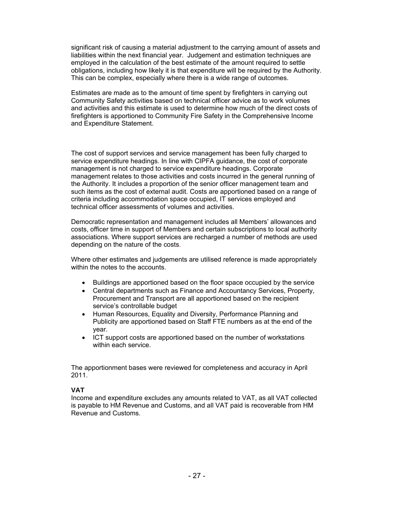significant risk of causing a material adjustment to the carrying amount of assets and liabilities within the next financial year. Judgement and estimation techniques are employed in the calculation of the best estimate of the amount required to settle obligations, including how likely it is that expenditure will be required by the Authority. This can be complex, especially where there is a wide range of outcomes.

Estimates are made as to the amount of time spent by firefighters in carrying out Community Safety activities based on technical officer advice as to work volumes and activities and this estimate is used to determine how much of the direct costs of firefighters is apportioned to Community Fire Safety in the Comprehensive Income and Expenditure Statement.

The cost of support services and service management has been fully charged to service expenditure headings. In line with CIPFA guidance, the cost of corporate management is not charged to service expenditure headings. Corporate management relates to those activities and costs incurred in the general running of the Authority. It includes a proportion of the senior officer management team and such items as the cost of external audit. Costs are apportioned based on a range of criteria including accommodation space occupied, IT services employed and technical officer assessments of volumes and activities.

Democratic representation and management includes all Members' allowances and costs, officer time in support of Members and certain subscriptions to local authority associations. Where support services are recharged a number of methods are used depending on the nature of the costs.

Where other estimates and judgements are utilised reference is made appropriately within the notes to the accounts.

- Buildings are apportioned based on the floor space occupied by the service
- Central departments such as Finance and Accountancy Services, Property, Procurement and Transport are all apportioned based on the recipient service's controllable budget
- Human Resources, Equality and Diversity, Performance Planning and Publicity are apportioned based on Staff FTE numbers as at the end of the year.
- ICT support costs are apportioned based on the number of workstations within each service.

The apportionment bases were reviewed for completeness and accuracy in April 2011.

#### **VAT**

Income and expenditure excludes any amounts related to VAT, as all VAT collected is payable to HM Revenue and Customs, and all VAT paid is recoverable from HM Revenue and Customs.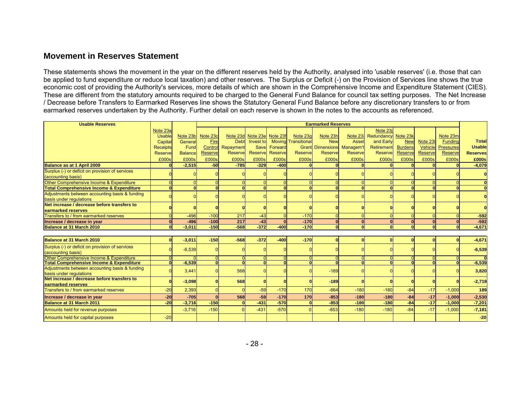## **Movement in Reserves Statement**

These statements shows the movement in the year on the different reserves held by the Authority, analysed into 'usable reserves' (i.e. those that can be applied to fund expenditure or reduce local taxation) and other reserves. The Surplus or Deficit (-) on the Provision of Services line shows the true economic cost of providing the Authority's services, more details of which are shown in the Comprehensive Income and Expenditure Statement (CIES). These are different from the statutory amounts required to be charged to the General Fund Balance for council tax setting purposes. The Net Increase / Decrease before Transfers to Earmarked Reserves line shows the Statutory General Fund Balance before any discretionary transfers to or from earmarked reserves undertaken by the Authority. Further detail on each reserve is shown in the notes to the accounts as referenced.

| <b>Usable Reserves</b>                                                 |                 |                | <b>Earmarked Reserves</b> |             |                            |          |                     |                      |                |                     |                |                |                  |                 |
|------------------------------------------------------------------------|-----------------|----------------|---------------------------|-------------|----------------------------|----------|---------------------|----------------------|----------------|---------------------|----------------|----------------|------------------|-----------------|
|                                                                        | Note 23a        |                |                           |             |                            |          |                     |                      |                | Note 23i            |                |                |                  |                 |
|                                                                        | <b>Usable</b>   | Note 23b       | Note 23c                  |             | Note 23d Note 23e Note 23f |          | Note 23g            | Note 23h             | Note 23i       | Redundancy Note 23k |                |                | Note 23m         |                 |
|                                                                        | Capital         | General        | Fire                      | <b>Debt</b> | Invest to                  | Moving   | <b>Transitional</b> | <b>New</b>           | <b>Asset</b>   | and Early           | <b>New</b>     | Note 23        | Funding          | <b>Total</b>    |
|                                                                        | <b>Receipts</b> | Fund           | Control                   | Repayment   | Save                       | Forward  | Grant               | Dimensions Managem't |                | Retirement          | <b>Burdens</b> | Vehicle        | <b>Pressures</b> | <b>Usable</b>   |
|                                                                        | <b>Reserve</b>  | <b>Balance</b> | <b>Reserve</b>            | Reserve     | Reserve                    | Reserve  | Reservel            | Reserve              | <b>Reserve</b> | Reserve             | <b>Reserve</b> | <b>Reserve</b> | Reserve          | <b>Reserves</b> |
|                                                                        | £000s           | £000s          | £000s                     | £000s       | £000s                      | £000s    | £000s               | £000s                | £000s          | £000s               | £000s          | £000s          | £000s            | £000s           |
| Balance as at 1 April 2009                                             |                 | $-2.515$       | $-50$                     | $-785$      | $-329$                     | $-400$   |                     |                      |                |                     |                |                |                  | $-4,079$        |
| Surplus (-) or deficit on provision of services                        |                 |                |                           |             |                            |          |                     |                      |                |                     |                |                |                  |                 |
| (accounting basis)                                                     |                 |                |                           |             |                            |          |                     |                      |                |                     |                |                |                  | $\Omega$        |
| Other Comprehensive Income & Expenditure                               |                 |                |                           |             |                            |          |                     |                      |                | $\Omega$            |                |                |                  | $\Omega$        |
| Total Comprehensive Income & Expenditure                               |                 |                |                           |             |                            |          |                     |                      |                | $\Omega$            |                |                | $\mathbf{a}$     | $\Omega$        |
| Adjustments between accounting basis & funding                         |                 |                |                           |             |                            |          |                     |                      |                |                     |                |                |                  |                 |
| basis under regulations                                                |                 |                |                           |             |                            |          |                     |                      |                |                     |                |                |                  |                 |
| Net increase / decrease before transfers to                            |                 |                |                           |             |                            |          |                     |                      |                |                     |                |                |                  |                 |
| earmarked reserves                                                     |                 |                |                           |             |                            |          |                     |                      |                |                     |                |                |                  |                 |
| Transfers to / from earmarked reserves                                 |                 | $-496$         | $-100$                    | 217         | $-43$                      |          | $-170$              |                      |                | $\Omega$            |                |                |                  | $-592$          |
| Increase / decrease in year                                            |                 | $-496$         | $-100$                    | 217         | $-43$                      | $\Omega$ | $-170$              | $\mathbf{0}$         | $\sqrt{ }$     | $\Omega$            | $\Omega$       | $\Omega$       | $\mathbf{0}$     | $-592$          |
| Balance at 31 March 2010                                               |                 | $-3.011$       | $-150$                    | $-568$      | $-372$                     | $-400$   | $-170$              | $\Omega$             | $\Omega$       | $\mathbf{0}$        | $\mathbf{a}$   | $\Omega$       | $\Omega$         | $-4,671$        |
|                                                                        |                 |                |                           |             |                            |          |                     |                      |                |                     |                |                |                  |                 |
| Balance at 31 March 2010                                               |                 | $-3,011$       | $-150$                    | $-568$      | $-372$                     | $-400$   | $-170$              |                      |                | $\bf{0}$            |                |                |                  | $-4,671$        |
| Surplus (-) or deficit on provision of services<br>(accounting basis)  |                 | $-6,539$       |                           |             |                            |          |                     |                      |                |                     |                |                |                  | $-6,539$        |
| Other Comprehensive Income & Expenditure                               |                 |                |                           |             |                            |          |                     |                      |                | $\Omega$            |                |                |                  | $\Omega$        |
| <b>Total Comprehensive Income &amp; Expenditure</b>                    |                 | $-6.539$       |                           |             |                            |          |                     | n                    | $\Omega$       | $\Omega$            | $\Omega$       | $\Omega$       |                  | $-6,539$        |
| Adjustments between accounting basis & funding                         |                 | 3,441          |                           | 568         |                            |          |                     | $-189$               |                |                     |                |                |                  | 3,820           |
| basis under regulations<br>Net increase / decrease before transfers to |                 |                |                           |             |                            |          |                     |                      |                |                     |                |                |                  |                 |
|                                                                        |                 | $-3,098$       |                           | 568         |                            |          |                     | $-189$               |                | $\bf{0}$            |                |                |                  | $-2,719$        |
| earmarked reserves<br>Transfers to / from earmarked reserves           | $-20$           |                |                           |             | $-59$                      | $-170$   | 170                 | $-664$               | $-180$         | $-180$              | $-84$          | $-17$          |                  | 189             |
|                                                                        |                 | 2,393          |                           |             |                            |          |                     |                      |                |                     |                |                | $-1,000$         |                 |
| Increase / decrease in year                                            | $-20$           | $-705$         |                           | 568         | $-59$                      | $-170$   | 170                 | $-853$               | $-180$         | $-180$              | $-84$          | $-17$          | $-1,000$         | $-2,530$        |
| Balance at 31 March 2011                                               | $-20$           | $-3,716$       | $-150$                    | $\Omega$    | $-431$                     | $-570$   |                     | $-853$               | $-180$         | $-180$              | $-84$          | $-17$          | $-1,000$         | $-7,201$        |
| Amounts held for revenue purposes                                      |                 | $-3.716$       | $-150$                    |             | $-431$                     | $-570$   |                     | $-853$               | $-180$         | $-180$              | $-84$          | $-17$          | $-1.000$         | $-7,181$        |
| Amounts held for capital purposes                                      | $-20$           |                |                           |             |                            |          |                     |                      |                |                     |                |                |                  | $-20$           |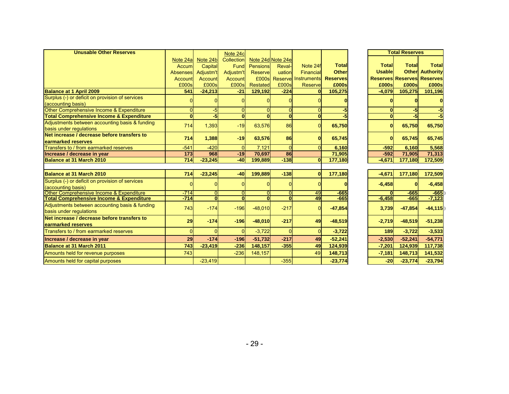| <b>Unusable Other Reserves</b>                                                                  |                  |                                  | Note 24c                            |                   |                     |                     |                  |               | <b>Total Reserves</b> |                                   |
|-------------------------------------------------------------------------------------------------|------------------|----------------------------------|-------------------------------------|-------------------|---------------------|---------------------|------------------|---------------|-----------------------|-----------------------------------|
|                                                                                                 | Note 24a         | Note 24b                         | Collection                          |                   | Note 24d Note 24e   |                     |                  |               |                       |                                   |
|                                                                                                 | Accum            | Capital                          | Fund                                | Pensions          | Reval-              | Note 24f            | <b>Total</b>     | <b>Total</b>  | <b>Total</b>          | <b>Total</b>                      |
|                                                                                                 | <b>Absenses</b>  | Adjustm't                        | Adjustm't                           | Reserve           | uation              | Financial           | <b>Other</b>     | <b>Usable</b> |                       | <b>Other</b> Authority            |
|                                                                                                 | Account          | Account                          | Account                             | £000s             |                     | Reserve Instruments | <b>Reserves</b>  |               |                       | <b>Reserves Reserves Reserves</b> |
|                                                                                                 | £000s            | £000s                            | £000s                               | Restated          | £000s               | <b>Reserve</b>      | £000s            | £000s         | £000s                 | £000s                             |
| <b>Balance at 1 April 2009</b>                                                                  | 541              | $-24,213$                        | $-21$                               | 129,192           | $-224$              | $\mathbf{0}$        | 105,275          | $-4,079$      | 105,275               | 101,196                           |
| Surplus (-) or deficit on provision of services                                                 |                  |                                  |                                     |                   |                     |                     |                  |               |                       |                                   |
| (accounting basis)                                                                              |                  |                                  |                                     |                   |                     |                     |                  |               |                       |                                   |
| Other Comprehensive Income & Expenditure                                                        | O                | $-5$                             | $\Omega$                            |                   | $\Omega$            |                     |                  | $\Omega$      | $-5$                  |                                   |
| <b>Total Comprehensive Income &amp; Expenditure</b>                                             | $\mathbf{0}$     | 5                                | $\Omega$                            | $\Omega$          | $\Omega$            | $\Omega$            |                  | $\Omega$      | $-5$                  |                                   |
| Adjustments between accounting basis & funding                                                  | 714              | 1,393                            | $-19$                               | 63,576            | 86                  |                     | 65,750           | ΩI            | 65,750                | 65,750                            |
| basis under regulations                                                                         |                  |                                  |                                     |                   |                     |                     |                  |               |                       |                                   |
| Net increase / decrease before transfers to                                                     | <b>714</b>       | 1,388                            | $-19$                               | 63,576            | 86                  |                     | 65,745           | ΩI            | 65,745                | 65,745                            |
| earmarked reserves                                                                              |                  |                                  |                                     |                   |                     |                     |                  |               |                       |                                   |
| Transfers to / from earmarked reserves                                                          | $-541$           | $-420$                           | $\Omega$                            | 7.121             | $\Omega$            |                     | 6.160            | $-592$        | 6.160                 | 5,568                             |
| Increase / decrease in year<br>Balance at 31 March 2010                                         | 173<br>714       | 968                              | $-19$<br>$-40$                      | 70.697<br>199.889 | 86<br>$-138$        | $\Omega$            | 71,905           | $-592$        | 71,905                | 71,313                            |
|                                                                                                 |                  | $-23,245$                        |                                     |                   |                     |                     | 177,180          | $-4.671$      | 177.180               | 172,509                           |
|                                                                                                 |                  |                                  |                                     |                   |                     |                     |                  |               |                       |                                   |
| Balance at 31 March 2010                                                                        | <b>714</b>       | $-23,245$                        | $-40$                               | 199.889           | $-138$              | $\Omega$            | 177,180          | $-4,671$      | 177,180               | 172,509                           |
| Surplus (-) or deficit on provision of services                                                 |                  |                                  |                                     |                   |                     |                     |                  | $-6,458$      |                       | $-6,458$                          |
| (accounting basis)                                                                              |                  |                                  |                                     |                   |                     |                     |                  |               |                       |                                   |
| Other Comprehensive Income & Expenditure<br><b>Total Comprehensive Income &amp; Expenditure</b> | $-714$<br>$-714$ | $\overline{0}$<br>$\overline{0}$ | $\Omega$<br>$\overline{\mathbf{0}}$ | $\Omega$          | n<br>$\overline{0}$ | 49<br>49            | $-665$<br>$-665$ | $-6.458$      | $-665$<br>$-665$      | $-665$<br>$-7,123$                |
| Adjustments between accounting basis & funding                                                  |                  |                                  |                                     |                   |                     |                     |                  |               |                       |                                   |
| basis under regulations                                                                         | 743              | $-174$                           | $-196$                              | $-48,010$         | $-217$              |                     | $-47,854$        | 3,739         | $-47,854$             | $-44,115$                         |
| Net increase / decrease before transfers to                                                     |                  |                                  |                                     |                   |                     |                     |                  |               |                       |                                   |
| earmarked reserves                                                                              | 29               | $-174$                           | $-196$                              | $-48,010$         | $-217$              | 49                  | $-48,519$        | $-2,719$      | $-48,519$             | $-51,238$                         |
| Transfers to / from earmarked reserves                                                          | 0                |                                  | O                                   | $-3,722$          |                     |                     | $-3,722$         | 189           | $-3,722$              | $-3,533$                          |
| Increase / decrease in year                                                                     | 29               | $-174$                           | $-196$                              | $-51.732$         | $-217$              | 49                  | $-52,241$        | $-2.530$      | $-52,241$             | $-54.771$                         |
| <b>Balance at 31 March 2011</b>                                                                 | 743              | $-23,419$                        | $-236$                              | 148,157           | $-355$              | 49                  | 124,939          | $-7.201$      | 124,939               | 117,738                           |
| Amounts held for revenue purposes                                                               | 743              |                                  | $-236$                              | 148,157           |                     | 49                  | 148,713          | $-7,181$      | 148,713               | 141,532                           |
| Amounts held for capital purposes                                                               |                  | $-23,419$                        |                                     |                   | $-355$              |                     | $-23,774$        | $-20$         | $-23,774$             | $-23,794$                         |

| <b>Total Reserves</b> |                 |                  |  |  |  |  |  |  |
|-----------------------|-----------------|------------------|--|--|--|--|--|--|
|                       |                 |                  |  |  |  |  |  |  |
| Total                 | Total           | <b>Total</b>     |  |  |  |  |  |  |
| <b>Usable</b>         | <b>Other</b>    | <b>Authority</b> |  |  |  |  |  |  |
| <b>Reserves</b>       | <b>Reserves</b> | <b>Reserves</b>  |  |  |  |  |  |  |
| £000s                 | £000s           | £000s            |  |  |  |  |  |  |
| $-4,079$              | 105,275         | 101,196          |  |  |  |  |  |  |
| 0                     | 0               | 0                |  |  |  |  |  |  |
| 0                     | -5              | -5               |  |  |  |  |  |  |
| 0                     | -5              | J.               |  |  |  |  |  |  |
| $\bf{0}$              | 65,750          | 65,750           |  |  |  |  |  |  |
| 0                     | 65,745          | 65,745           |  |  |  |  |  |  |
| $-592$                | 6,160           | 5,568            |  |  |  |  |  |  |
| $-592$                | 71,905          | 71,313           |  |  |  |  |  |  |
| -4,671                | 177,180         | <u>172,509</u>   |  |  |  |  |  |  |
|                       |                 |                  |  |  |  |  |  |  |
| $-4,671$              | 177,180         | 172,509          |  |  |  |  |  |  |
| $-6,458$              |                 | $-6,458$         |  |  |  |  |  |  |
| n                     | $-665$          | -665<br>D        |  |  |  |  |  |  |
| $-6,458$              | $-665$          | $-7,123$         |  |  |  |  |  |  |
| 3,739                 | $-47,854$       | $-44, 115$       |  |  |  |  |  |  |
| $-2,719$              | $-48,519$       | $-51,238$        |  |  |  |  |  |  |
| 189                   | $-3,722$        | $-3,533$         |  |  |  |  |  |  |
| $-2,530$              | $-52,241$       | $-54,771$        |  |  |  |  |  |  |
| $-7,201$              | 124,939         | 117,738          |  |  |  |  |  |  |
| $-7,181$              | 148,713         | 141,532          |  |  |  |  |  |  |
| $-20$                 | $-23,774$       | $-23,794$        |  |  |  |  |  |  |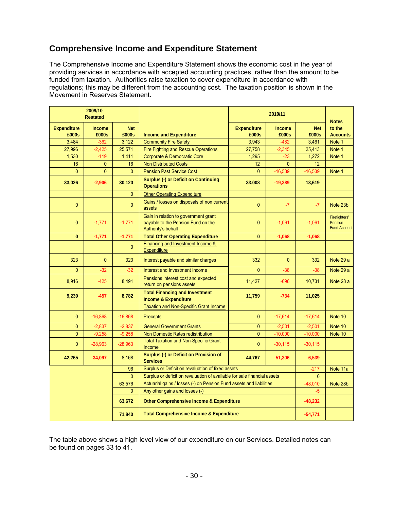# **Comprehensive Income and Expenditure Statement**

The Comprehensive Income and Expenditure Statement shows the economic cost in the year of providing services in accordance with accepted accounting practices, rather than the amount to be funded from taxation. Authorities raise taxation to cover expenditure in accordance with regulations; this may be different from the accounting cost. The taxation position is shown in the Movement in Reserves Statement.

| 2009/10<br><b>Restated</b>  |                        |                     |                                                                                                  | 2010/11                     |                        | <b>Notes</b>        |                                                 |
|-----------------------------|------------------------|---------------------|--------------------------------------------------------------------------------------------------|-----------------------------|------------------------|---------------------|-------------------------------------------------|
| <b>Expenditure</b><br>£000s | <b>Income</b><br>£000s | <b>Net</b><br>£000s | <b>Income and Expenditure</b>                                                                    | <b>Expenditure</b><br>£000s | <b>Income</b><br>£000s | <b>Net</b><br>£000s | to the<br><b>Accounts</b>                       |
| 3.484                       | $-362$                 | 3,122               | <b>Community Fire Safety</b>                                                                     | 3,943                       | $-482$                 | 3,461               | Note 1                                          |
| 27,996                      | $-2,425$               | 25,571              | <b>Fire Fighting and Rescue Operations</b>                                                       | 27,758                      | $-2,345$               | 25,413              | Note 1                                          |
| 1,530                       | $-119$                 | 1,411               | <b>Corporate &amp; Democratic Core</b>                                                           | 1,295                       | $-23$                  | 1,272               | Note 1                                          |
| 16                          | $\mathbf{0}$           | 16                  | <b>Non Distributed Costs</b>                                                                     | 12                          | $\mathbf{0}$           | 12                  |                                                 |
| $\Omega$                    | $\Omega$               | $\overline{0}$      | <b>Pension Past Service Cost</b>                                                                 | $\Omega$                    | $-16,539$              | $-16,539$           | Note 1                                          |
| 33,026                      | $-2,906$               | 30,120              | <b>Surplus (-) or Deficit on Continuing</b><br><b>Operations</b>                                 | 33,008                      | $-19,389$              | 13,619              |                                                 |
|                             |                        | $\Omega$            | <b>Other Operating Expenditure</b>                                                               |                             |                        |                     |                                                 |
| $\mathbf{0}$                |                        | $\overline{0}$      | Gains / losses on disposals of non current<br>assets                                             | $\overline{0}$              | $-7$                   | $-7$                | Note 23b                                        |
| $\mathbf{0}$                | $-1,771$               | $-1,771$            | Gain in relation to government grant<br>payable to the Pension Fund on the<br>Authority's behalf | $\Omega$                    | $-1,061$               | $-1,061$            | Firefighters'<br>Pension<br><b>Fund Account</b> |
| $\mathbf{0}$                | $-1,771$               | $-1,771$            | <b>Total Other Operating Expenditure</b>                                                         | $\mathbf{0}$                | $-1,068$               | $-1,068$            |                                                 |
|                             |                        | $\overline{0}$      | Financing and Investment Income &<br>Expenditure                                                 |                             |                        |                     |                                                 |
| 323                         | $\mathbf{0}$           | 323                 | Interest payable and similar charges                                                             | 332                         | $\mathbf{0}$           | 332                 | Note 29 a                                       |
| $\mathbf{0}$                | $-32$                  | $-32$               | Interest and Investment Income                                                                   | $\Omega$                    | $-38$                  | $-38$               | Note 29 a                                       |
| 8,916                       | $-425$                 | 8,491               | Pensions interest cost and expected<br>return on pensions assets                                 | 11,427                      | $-696$                 | 10,731              | Note 28 a                                       |
| 9,239                       | $-457$                 | 8,782               | <b>Total Financing and Investment</b><br><b>Income &amp; Expenditure</b>                         | 11,759                      | $-734$                 | 11,025              |                                                 |
|                             |                        |                     | <b>Taxation and Non-Specific Grant Income</b>                                                    |                             |                        |                     |                                                 |
| $\mathbf{0}$                | $-16,868$              | $-16,868$           | <b>Precepts</b>                                                                                  | $\overline{0}$              | $-17,614$              | $-17,614$           | Note 10                                         |
| $\mathbf{0}$                | $-2,837$               | $-2,837$            | <b>General Government Grants</b>                                                                 | 0                           | $-2,501$               | $-2,501$            | Note 10                                         |
| $\mathbf{0}$                | $-9,258$               | $-9,258$            | Non Domestic Rates redistribution                                                                | $\mathbf{0}$                | $-10,000$              | $-10,000$           | Note 10                                         |
| $\mathbf{0}$                | $-28,963$              | $-28,963$           | <b>Total Taxation and Non-Specific Grant</b><br>Income                                           | $\mathbf{0}$                | $-30,115$              | $-30,115$           |                                                 |
| 42,265                      | $-34,097$              | 8,168               | Surplus (-) or Deficit on Provision of<br><b>Services</b>                                        | 44,767                      | $-51,306$              | $-6,539$            |                                                 |
|                             |                        | 96                  | Surplus or Deficit on revaluation of fixed assets                                                |                             |                        | $-217$              | Note 11a                                        |
|                             |                        | $\Omega$            | Surplus or deficit on revaluation of available for sale financial assets                         |                             |                        | $\overline{0}$      |                                                 |
|                             |                        | 63,576              | Actuarial gains / losses (-) on Pension Fund assets and liabilities                              |                             | $-48,010$              | Note 28b            |                                                 |
|                             |                        | $\overline{0}$      | Any other gains and losses (-)                                                                   |                             | $-5$                   |                     |                                                 |
| 63,672                      |                        |                     | <b>Other Comprehensive Income &amp; Expenditure</b>                                              |                             | $-48,232$              |                     |                                                 |
|                             |                        | 71,840              | <b>Total Comprehensive Income &amp; Expenditure</b>                                              |                             |                        | $-54,771$           |                                                 |

The table above shows a high level view of our expenditure on our Services. Detailed notes can be found on pages 33 to 41.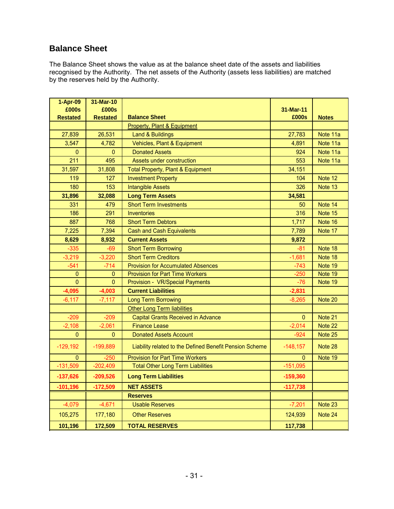# **Balance Sheet**

The Balance Sheet shows the value as at the balance sheet date of the assets and liabilities recognised by the Authority. The net assets of the Authority (assets less liabilities) are matched by the reserves held by the Authority.

| 1-Apr-09                 | 31-Mar-10                |                                                         |                    |              |
|--------------------------|--------------------------|---------------------------------------------------------|--------------------|--------------|
| £000s<br><b>Restated</b> | £000s<br><b>Restated</b> | <b>Balance Sheet</b>                                    | 31-Mar-11<br>£000s | <b>Notes</b> |
|                          |                          | <b>Property, Plant &amp; Equipment</b>                  |                    |              |
| 27,839                   | 26,531                   | <b>Land &amp; Buildings</b>                             | 27,783             | Note 11a     |
| 3,547                    | 4,782                    | Vehicles, Plant & Equipment                             | 4,891              | Note 11a     |
| $\pmb{0}$                | $\overline{0}$           | <b>Donated Assets</b>                                   | 924                | Note 11a     |
| 211                      | 495                      | Assets under construction                               | 553                | Note 11a     |
| 31,597                   | 31,808                   | <b>Total Property, Plant &amp; Equipment</b>            | 34,151             |              |
| 119                      | 127                      | <b>Investment Property</b>                              | 104                | Note 12      |
| 180                      | 153                      | <b>Intangible Assets</b>                                | 326                | Note 13      |
| 31,896                   | 32,088                   | <b>Long Term Assets</b>                                 | 34,581             |              |
| 331                      | 479                      | <b>Short Term Investments</b>                           | 50                 | Note 14      |
| 186                      | 291                      | <b>Inventories</b>                                      | 316                | Note 15      |
| 887                      | 768                      | <b>Short Term Debtors</b>                               | 1,717              | Note 16      |
| 7,225                    | 7,394                    | <b>Cash and Cash Equivalents</b>                        | 7,789              | Note 17      |
| 8,629                    | 8,932                    | <b>Current Assets</b>                                   | 9,872              |              |
| $-335$                   | $-69$                    | <b>Short Term Borrowing</b>                             | $-81$              | Note 18      |
| $-3,219$                 | $-3.220$                 | <b>Short Term Creditors</b>                             | $-1,681$           | Note 18      |
| $-541$                   | -714                     | <b>Provision for Accumulated Absences</b>               | $-743$             | Note 19      |
| $\mathbf{0}$             | $\mathbf{0}$             | <b>Provision for Part Time Workers</b>                  | $-250$             | Note 19      |
| $\mathbf 0$              | $\mathbf{0}$             | Provision - VR/Special Payments                         | $-76$              | Note 19      |
| $-4,095$                 | $-4,003$                 | <b>Current Liabilities</b>                              | $-2,831$           |              |
| $-6, 117$                | $-7,117$                 | <b>Long Term Borrowing</b>                              | $-8,265$           | Note 20      |
|                          |                          | <b>Other Long Term liabilities</b>                      |                    |              |
| $-209$                   | $-209$                   | <b>Capital Grants Received in Advance</b>               | $\mathbf{0}$       | Note 21      |
| $-2,108$                 | $-2,061$                 | <b>Finance Lease</b>                                    | $-2,014$           | Note 22      |
| $\mathbf{0}$             | 0                        | <b>Donated Assets Account</b>                           | $-924$             | Note 25      |
| $-129,192$               | $-199,889$               | Liability related to the Defined Benefit Pension Scheme | $-148,157$         | Note 28      |
| 0                        | $-250$                   | <b>Provision for Part Time Workers</b>                  | $\mathbf{0}$       | Note 19      |
| $-131,509$               | $-202,409$               | <b>Total Other Long Term Liabilities</b>                | $-151,095$         |              |
| $-137,626$               | $-209,526$               | <b>Long Term Liabilities</b>                            | $-159,360$         |              |
| $-101,196$               | $-172,509$               | <b>NET ASSETS</b>                                       | $-117,738$         |              |
|                          |                          | <b>Reserves</b>                                         |                    |              |
| $-4,079$                 | $-4,671$                 | <b>Usable Reserves</b>                                  | $-7,201$           | Note 23      |
| 105,275                  | 177,180                  | <b>Other Reserves</b>                                   | 124,939            | Note 24      |
| 101,196                  | 172,509                  | <b>TOTAL RESERVES</b>                                   | 117,738            |              |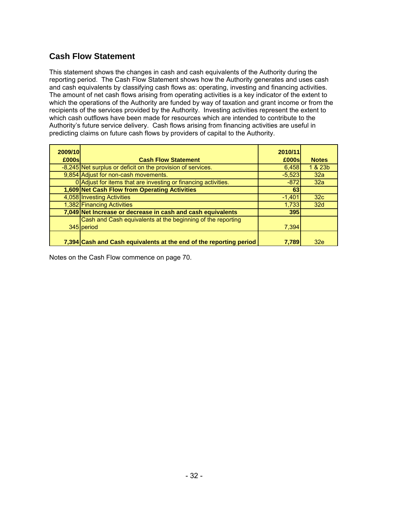# **Cash Flow Statement**

This statement shows the changes in cash and cash equivalents of the Authority during the reporting period. The Cash Flow Statement shows how the Authority generates and uses cash and cash equivalents by classifying cash flows as: operating, investing and financing activities. The amount of net cash flows arising from operating activities is a key indicator of the extent to which the operations of the Authority are funded by way of taxation and grant income or from the recipients of the services provided by the Authority. Investing activities represent the extent to which cash outflows have been made for resources which are intended to contribute to the Authority's future service delivery. Cash flows arising from financing activities are useful in predicting claims on future cash flows by providers of capital to the Authority.

| 2009/10 |                                                                    | 2010/11  |                 |
|---------|--------------------------------------------------------------------|----------|-----------------|
| £000s   | <b>Cash Flow Statement</b>                                         | £000s    | <b>Notes</b>    |
|         | -8,245 Net surplus or deficit on the provision of services.        | 6,458    | 1 & 23b         |
|         | 9,854 Adjust for non-cash movements.                               | $-5,523$ | 32a             |
|         | 0 Adjust for items that are investing or financing activities.     | $-872$   | 32a             |
|         | 1,609 Net Cash Flow from Operating Activities                      | 63       |                 |
|         | 4,058 Investing Activities                                         | $-1,401$ | 32 <sub>c</sub> |
|         | 1,382 Financing Activities                                         | 1,733    | 32d             |
|         | 7,049 Net Increase or decrease in cash and cash equivalents        | 395      |                 |
|         | Cash and Cash equivalents at the beginning of the reporting        |          |                 |
|         | 345 period                                                         | 7,394    |                 |
|         | 7,394 Cash and Cash equivalents at the end of the reporting period | 7.789    | 32e             |

Notes on the Cash Flow commence on page 70.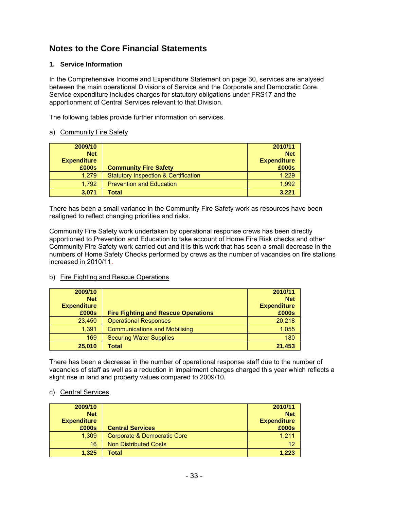# **Notes to the Core Financial Statements**

#### **1. Service Information**

In the Comprehensive Income and Expenditure Statement on page 30, services are analysed between the main operational Divisions of Service and the Corporate and Democratic Core. Service expenditure includes charges for statutory obligations under FRS17 and the apportionment of Central Services relevant to that Division.

The following tables provide further information on services.

#### a) Community Fire Safety

| 2009/10            |                                                 | 2010/11            |
|--------------------|-------------------------------------------------|--------------------|
| <b>Net</b>         |                                                 | <b>Net</b>         |
| <b>Expenditure</b> |                                                 | <b>Expenditure</b> |
| £000s              | <b>Community Fire Safety</b>                    | £000s              |
| 1.279              | <b>Statutory Inspection &amp; Certification</b> | 1,229              |
| 1.792              | <b>Prevention and Education</b>                 | 1.992              |
| 3,071              | <b>Total</b>                                    | 3.221              |

There has been a small variance in the Community Fire Safety work as resources have been realigned to reflect changing priorities and risks.

Community Fire Safety work undertaken by operational response crews has been directly apportioned to Prevention and Education to take account of Home Fire Risk checks and other Community Fire Safety work carried out and it is this work that has seen a small decrease in the numbers of Home Safety Checks performed by crews as the number of vacancies on fire stations increased in 2010/11.

#### b) Fire Fighting and Rescue Operations

| 2009/10            |                                            | 2010/11            |
|--------------------|--------------------------------------------|--------------------|
| <b>Net</b>         |                                            | <b>Net</b>         |
| <b>Expenditure</b> |                                            | <b>Expenditure</b> |
| £000s              | <b>Fire Fighting and Rescue Operations</b> | £000s              |
| 23,450             | <b>Operational Responses</b>               | 20,218             |
| 1,391              | <b>Communications and Mobilising</b>       | 1,055              |
| 169                | <b>Securing Water Supplies</b>             | 180                |
| 25,010             | Total                                      | 21,453             |

There has been a decrease in the number of operational response staff due to the number of vacancies of staff as well as a reduction in impairment charges charged this year which reflects a slight rise in land and property values compared to 2009/10*.* 

#### c) Central Services

| 2009/10            |                              | 2010/11            |
|--------------------|------------------------------|--------------------|
| <b>Net</b>         |                              | <b>Net</b>         |
| <b>Expenditure</b> |                              | <b>Expenditure</b> |
| £000s              | <b>Central Services</b>      | £000s              |
| 1,309              | Corporate & Democratic Core  | 1.211              |
| 16                 | <b>Non Distributed Costs</b> | 12                 |
| 1,325              | Total                        | 1,223              |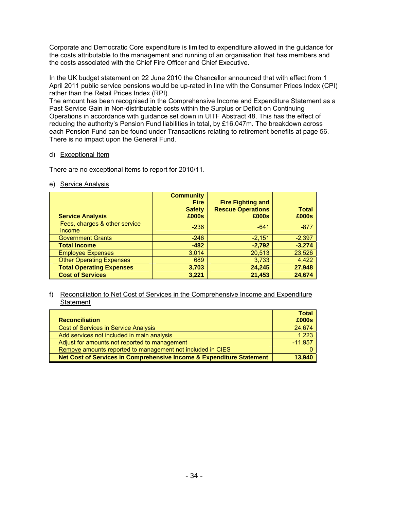Corporate and Democratic Core expenditure is limited to expenditure allowed in the guidance for the costs attributable to the management and running of an organisation that has members and the costs associated with the Chief Fire Officer and Chief Executive.

In the UK budget statement on 22 June 2010 the Chancellor announced that with effect from 1 April 2011 public service pensions would be up-rated in line with the Consumer Prices Index (CPI) rather than the Retail Prices Index (RPI).

The amount has been recognised in the Comprehensive Income and Expenditure Statement as a Past Service Gain in Non-distributable costs within the Surplus or Deficit on Continuing Operations in accordance with guidance set down in UITF Abstract 48. This has the effect of reducing the authority's Pension Fund liabilities in total, by £16.047m. The breakdown across each Pension Fund can be found under Transactions relating to retirement benefits at page 56. There is no impact upon the General Fund.

### d) Exceptional Item

There are no exceptional items to report for 2010/11.

### e) Service Analysis

| <b>Service Analysis</b>                        | <b>Community</b><br><b>Fire</b><br><b>Safety</b><br>£000s | <b>Fire Fighting and</b><br><b>Rescue Operations</b><br>£000s | <b>Total</b><br>£000s |
|------------------------------------------------|-----------------------------------------------------------|---------------------------------------------------------------|-----------------------|
| Fees, charges & other service<br><i>income</i> | $-236$                                                    | $-641$                                                        | $-877$                |
| <b>Government Grants</b>                       | $-246$                                                    | $-2,151$                                                      | $-2,397$              |
| <b>Total Income</b>                            | $-482$                                                    | $-2,792$                                                      | $-3,274$              |
| <b>Employee Expenses</b>                       | 3,014                                                     | 20,513                                                        | 23,526                |
| <b>Other Operating Expenses</b>                | 689                                                       | 3,733                                                         | 4,422                 |
| <b>Total Operating Expenses</b>                | 3,703                                                     | 24,245                                                        | 27,948                |
| <b>Cost of Services</b>                        | 3,221                                                     | 21,453                                                        | 24,674                |

#### f) Reconciliation to Net Cost of Services in the Comprehensive Income and Expenditure **Statement**

|                                                                      | <b>Total</b> |
|----------------------------------------------------------------------|--------------|
| <b>Reconciliation</b>                                                | £000s        |
| <b>Cost of Services in Service Analysis</b>                          | 24.674       |
| Add services not included in main analysis                           | 1,223        |
| Adjust for amounts not reported to management                        | $-11.957$    |
| Remove amounts reported to management not included in CIES           |              |
| Net Cost of Services in Comprehensive Income & Expenditure Statement | 13,940       |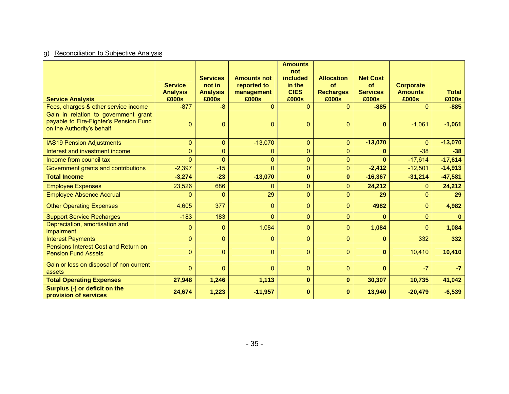# g) Reconciliation to Subjective Analysis

| <b>Service Analysis</b>                                                                                     | <b>Service</b><br><b>Analysis</b><br>£000s | <b>Services</b><br>not in<br><b>Analysis</b><br>£000s | <b>Amounts not</b><br>reported to<br>management<br>£000s | <b>Amounts</b><br>not<br>included<br>in the<br><b>CIES</b><br>£000s | <b>Allocation</b><br>of<br><b>Recharges</b><br>£000s | <b>Net Cost</b><br><b>of</b><br><b>Services</b><br>£000s | <b>Corporate</b><br><b>Amounts</b><br>£000s | <b>Total</b><br>£000s |
|-------------------------------------------------------------------------------------------------------------|--------------------------------------------|-------------------------------------------------------|----------------------------------------------------------|---------------------------------------------------------------------|------------------------------------------------------|----------------------------------------------------------|---------------------------------------------|-----------------------|
| Fees, charges & other service income                                                                        | $-877$                                     | $-8$                                                  | $\mathbf{0}$                                             | $\Omega$                                                            | $\Omega$                                             | $-885$                                                   | $\Omega$                                    | $-885$                |
| Gain in relation to government grant<br>payable to Fire-Fighter's Pension Fund<br>on the Authority's behalf | $\mathbf{0}$                               | $\Omega$                                              | $\mathbf{0}$                                             | $\Omega$                                                            | $\mathbf{0}$                                         | $\bf{0}$                                                 | $-1,061$                                    | $-1,061$              |
| <b>IAS19 Pension Adjustments</b>                                                                            | $\mathbf{0}$                               | $\overline{0}$                                        | $-13,070$                                                | $\overline{0}$                                                      | $\mathbf{0}$                                         | $-13,070$                                                | $\Omega$                                    | $-13,070$             |
| Interest and investment income                                                                              | $\Omega$                                   | $\overline{0}$                                        | $\mathbf{0}$                                             | $\Omega$                                                            | $\mathbf{0}$                                         | $\bf{0}$                                                 | $-38$                                       | $-38$                 |
| Income from council tax                                                                                     | $\Omega$                                   | $\Omega$                                              | $\mathbf{0}$                                             | $\overline{0}$                                                      | $\overline{0}$                                       | $\bf{0}$                                                 | $-17,614$                                   | $-17,614$             |
| Government grants and contributions                                                                         | $-2,397$                                   | $-15$                                                 | $\Omega$                                                 | $\Omega$                                                            | $\mathbf 0$                                          | $-2,412$                                                 | $-12,501$                                   | $-14,913$             |
| <b>Total Income</b>                                                                                         | $-3,274$                                   | $-23$                                                 | $-13,070$                                                | $\bf{0}$                                                            | $\bf{0}$                                             | $-16,367$                                                | $-31,214$                                   | $-47,581$             |
| <b>Employee Expenses</b>                                                                                    | 23,526                                     | 686                                                   | $\mathbf{0}$                                             | $\overline{0}$                                                      | $\overline{0}$                                       | 24,212                                                   | $\Omega$                                    | 24,212                |
| <b>Employee Absence Accrual</b>                                                                             | $\mathbf{0}$                               | $\overline{0}$                                        | 29                                                       | $\overline{0}$                                                      | $\overline{0}$                                       | 29                                                       | $\overline{0}$                              | 29                    |
| <b>Other Operating Expenses</b>                                                                             | 4,605                                      | 377                                                   | $\mathbf{0}$                                             | $\Omega$                                                            | $\mathbf{0}$                                         | 4982                                                     | $\mathbf{0}$                                | 4,982                 |
| <b>Support Service Recharges</b>                                                                            | $-183$                                     | 183                                                   | $\mathbf{0}$                                             | $\overline{0}$                                                      | $\mathbf{0}$                                         | $\bf{0}$                                                 | $\overline{0}$                              | $\mathbf{0}$          |
| Depreciation, amortisation and<br>impairment                                                                | $\Omega$                                   | $\mathbf{0}$                                          | 1,084                                                    | $\mathbf{0}$                                                        | $\mathbf{0}$                                         | 1,084                                                    | $\Omega$                                    | 1,084                 |
| <b>Interest Payments</b>                                                                                    | $\Omega$                                   | $\overline{0}$                                        | $\mathbf{0}$                                             | $\overline{0}$                                                      | $\mathbf{0}$                                         | $\mathbf{0}$                                             | 332                                         | 332                   |
| Pensions Interest Cost and Return on<br><b>Pension Fund Assets</b>                                          | $\overline{0}$                             | $\overline{0}$                                        | $\mathbf{0}$                                             | $\overline{0}$                                                      | $\mathbf{0}$                                         | $\bf{0}$                                                 | 10,410                                      | 10,410                |
| Gain or loss on disposal of non current<br>assets                                                           | $\Omega$                                   | $\Omega$                                              | $\mathbf{0}$                                             | $\Omega$                                                            | $\mathbf{0}$                                         | $\bf{0}$                                                 | $-7$                                        | $-7$                  |
| <b>Total Operating Expenses</b>                                                                             | 27,948                                     | 1,246                                                 | 1,113                                                    | $\mathbf{0}$                                                        | $\bf{0}$                                             | 30,307                                                   | 10,735                                      | 41,042                |
| Surplus (-) or deficit on the<br>provision of services                                                      | 24,674                                     | 1,223                                                 | $-11,957$                                                | $\bf{0}$                                                            | $\bf{0}$                                             | 13,940                                                   | $-20,479$                                   | $-6,539$              |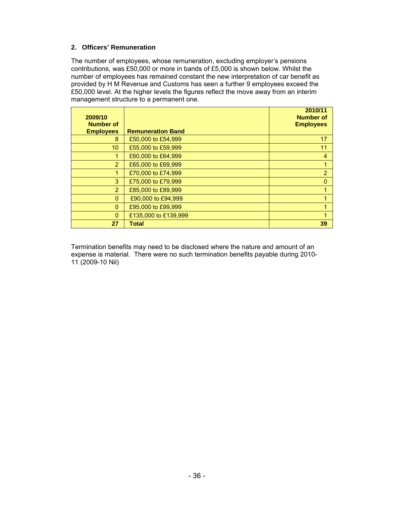# **2. Officers' Remuneration**

The number of employees, whose remuneration, excluding employer's pensions contributions, was £50,000 or more in bands of £5,000 is shown below. Whilst the number of employees has remained constant the new interpretation of car benefit as provided by H M Revenue and Customs has seen a further 9 employees exceed the £50,000 level. At the higher levels the figures reflect the move away from an interim management structure to a permanent one.

| 2009/10<br><b>Number of</b> |                          | 2010/11<br><b>Number of</b><br><b>Employees</b> |
|-----------------------------|--------------------------|-------------------------------------------------|
| <b>Employees</b>            | <b>Remuneration Band</b> |                                                 |
| 8                           | £50,000 to £54,999       | 17                                              |
| 10 <sup>1</sup>             | £55,000 to £59,999       | 11                                              |
| 1                           | £60,000 to £64,999       | $\overline{4}$                                  |
| $\overline{2}$              | £65,000 to £69,999       |                                                 |
| 1                           | £70,000 to £74,999       | $\overline{2}$                                  |
| 3                           | £75,000 to £79,999       | $\mathbf{0}$                                    |
| $\overline{2}$              | £85,000 to £89,999       | 1                                               |
| $\Omega$                    | £90,000 to £94,999       | 1                                               |
| $\mathbf{0}$                | £95,000 to £99,999       | 4                                               |
| $\Omega$                    | £135,000 to £139,999     |                                                 |
| 27                          | <b>Total</b>             | 39                                              |

Termination benefits may need to be disclosed where the nature and amount of an expense is material. There were no such termination benefits payable during 2010- 11 (2009-10 Nil)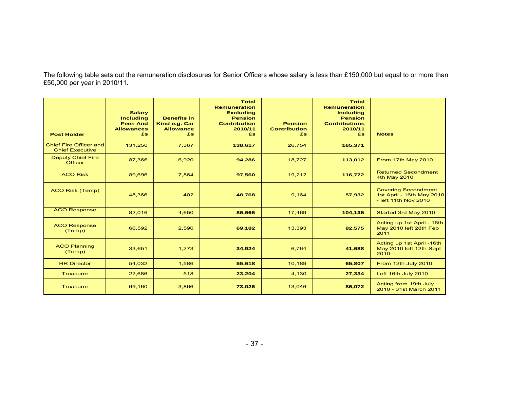The following table sets out the remuneration disclosures for Senior Officers whose salary is less than £150,000 but equal to or more than £50,000 per year in 2010/11.

| <b>Post Holder</b>                               | <b>Salary</b><br><b>Including</b><br><b>Fees And</b><br><b>Allowances</b><br>£s | <b>Benefits in</b><br>Kind e.g. Car<br><b>Allowance</b><br>£s | <b>Total</b><br><b>Remuneration</b><br><b>Excluding</b><br><b>Pension</b><br><b>Contribution</b><br>2010/11<br>£s. | <b>Pension</b><br><b>Contribution</b><br>£s | <b>Total</b><br><b>Remuneration</b><br><b>Including</b><br><b>Pension</b><br><b>Contributions</b><br>2010/11<br>£s | <b>Notes</b>                                                                    |
|--------------------------------------------------|---------------------------------------------------------------------------------|---------------------------------------------------------------|--------------------------------------------------------------------------------------------------------------------|---------------------------------------------|--------------------------------------------------------------------------------------------------------------------|---------------------------------------------------------------------------------|
| Chief Fire Officer and<br><b>Chief Executive</b> | 131,250                                                                         | 7,367                                                         | 138,617                                                                                                            | 26,754                                      | 165,371                                                                                                            |                                                                                 |
| <b>Deputy Chief Fire</b><br><b>Officer</b>       | 87,366                                                                          | 6,920                                                         | 94,286                                                                                                             | 18,727                                      | 113,012                                                                                                            | From 17th May 2010                                                              |
| <b>ACO Risk</b>                                  | 89,696                                                                          | 7,864                                                         | 97,560                                                                                                             | 19,212                                      | 116,772                                                                                                            | <b>Returned Secondment</b><br>4th May 2010                                      |
| <b>ACO Risk (Temp)</b>                           | 48,366                                                                          | 402                                                           | 48,768                                                                                                             | 9,164                                       | 57,932                                                                                                             | <b>Covering Secondment</b><br>1st April - 16th May 2010<br>- left 11th Nov 2010 |
| <b>ACO Response</b>                              | 82,016                                                                          | 4.650                                                         | 86,666                                                                                                             | 17,469                                      | 104,135                                                                                                            | Started 3rd May 2010                                                            |
| <b>ACO Response</b><br>(Temp)                    | 66,592                                                                          | 2,590                                                         | 69,182                                                                                                             | 13,393                                      | 82,575                                                                                                             | Acting up 1st April - 16th<br>May 2010 left 28th Feb<br>2011                    |
| <b>ACO Planning</b><br>(Temp)                    | 33,651                                                                          | 1,273                                                         | 34,924                                                                                                             | 6,764                                       | 41,688                                                                                                             | Acting up 1st April -16th<br>May 2010 left 12th Sept<br>2010                    |
| <b>HR Director</b>                               | 54,032                                                                          | 1,586                                                         | 55,618                                                                                                             | 10,189                                      | 65,807                                                                                                             | From 12th July 2010                                                             |
| <b>Treasurer</b>                                 | 22,686                                                                          | 518                                                           | 23,204                                                                                                             | 4,130                                       | 27,334                                                                                                             | Left 16th July 2010                                                             |
| <b>Treasurer</b>                                 | 69,160                                                                          | 3,866                                                         | 73,026                                                                                                             | 13,046                                      | 86,072                                                                                                             | Acting from 19th July<br>2010 - 31st March 2011                                 |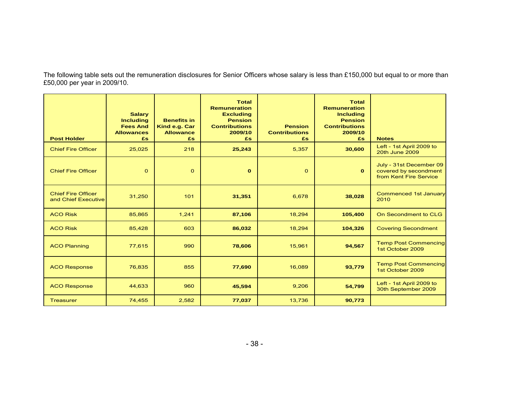The following table sets out the remuneration disclosures for Senior Officers whose salary is less than £150,000 but equal to or more than £50,000 per year in 2009/10.

| <b>Post Holder</b>                               | <b>Salary</b><br><b>Including</b><br><b>Fees And</b><br><b>Allowances</b><br>£s. | <b>Benefits in</b><br>Kind e.g. Car<br><b>Allowance</b><br>£s | <b>Total</b><br><b>Remuneration</b><br><b>Excluding</b><br><b>Pension</b><br><b>Contributions</b><br>2009/10<br>£s | <b>Pension</b><br><b>Contributions</b><br>£s | <b>Total</b><br><b>Remuneration</b><br><b>Including</b><br><b>Pension</b><br><b>Contributions</b><br>2009/10<br>£s | <b>Notes</b>                                                               |
|--------------------------------------------------|----------------------------------------------------------------------------------|---------------------------------------------------------------|--------------------------------------------------------------------------------------------------------------------|----------------------------------------------|--------------------------------------------------------------------------------------------------------------------|----------------------------------------------------------------------------|
| <b>Chief Fire Officer</b>                        | 25,025                                                                           | 218                                                           | 25,243                                                                                                             | 5,357                                        | 30,600                                                                                                             | Left - 1st April 2009 to<br>20th June 2009                                 |
| <b>Chief Fire Officer</b>                        | $\Omega$                                                                         | $\Omega$                                                      | $\bf{0}$                                                                                                           | $\Omega$                                     | $\mathbf{o}$                                                                                                       | July - 31st December 09<br>covered by secondment<br>from Kent Fire Service |
| <b>Chief Fire Officer</b><br>and Chief Executive | 31,250                                                                           | 101                                                           | 31,351                                                                                                             | 6,678                                        | 38,028                                                                                                             | <b>Commenced 1st January</b><br>2010                                       |
| <b>ACO Risk</b>                                  | 85,865                                                                           | 1,241                                                         | 87,106                                                                                                             | 18,294                                       | 105,400                                                                                                            | On Secondment to CLG                                                       |
| <b>ACO Risk</b>                                  | 85,428                                                                           | 603                                                           | 86,032                                                                                                             | 18,294                                       | 104,326                                                                                                            | <b>Covering Secondment</b>                                                 |
| <b>ACO Planning</b>                              | 77,615                                                                           | 990                                                           | 78,606                                                                                                             | 15,961                                       | 94,567                                                                                                             | <b>Temp Post Commencing</b><br>1st October 2009                            |
| <b>ACO Response</b>                              | 76,835                                                                           | 855                                                           | 77,690                                                                                                             | 16,089                                       | 93,779                                                                                                             | <b>Temp Post Commencing</b><br>1st October 2009                            |
| <b>ACO Response</b>                              | 44,633                                                                           | 960                                                           | 45,594                                                                                                             | 9,206                                        | 54,799                                                                                                             | Left - 1st April 2009 to<br>30th September 2009                            |
| <b>Treasurer</b>                                 | 74,455                                                                           | 2,582                                                         | 77,037                                                                                                             | 13,736                                       | 90,773                                                                                                             |                                                                            |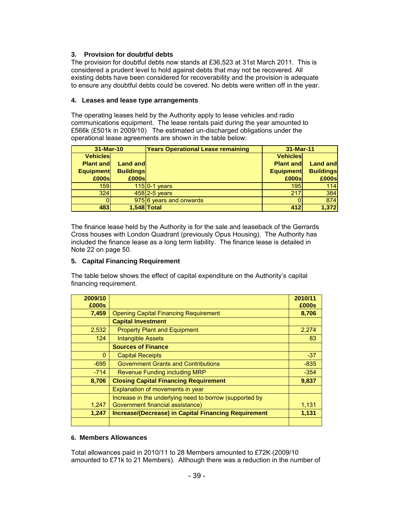# **3.****Provision for doubtful debts**

The provision for doubtful debts now stands at £36,523 at 31st March 2011. This is considered a prudent level to hold against debts that may not be recovered. All existing debts have been considered for recoverability and the provision is adequate to ensure any doubtful debts could be covered. No debts were written off in the year.

# **4. Leases and lease type arrangements**

The operating leases held by the Authority apply to lease vehicles and radio communications equipment. The lease rentals paid during the year amounted to £566k (£501k in 2009/10) The estimated un-discharged obligations under the operational lease agreements are shown in the table below:

| 31-Mar-10        |                  | <b>Years Operational Lease remaining</b> | 31-Mar-11        |                  |
|------------------|------------------|------------------------------------------|------------------|------------------|
| <b>Vehicles</b>  |                  |                                          | <b>Vehicles</b>  |                  |
| <b>Plant and</b> | <b>Land and</b>  |                                          | <b>Plant and</b> | <b>Land and</b>  |
| <b>Equipment</b> | <b>Buildings</b> |                                          | <b>Equipment</b> | <b>Buildings</b> |
| £000s            | £000s            |                                          | £000sl           | £000s            |
| <b>1591</b>      |                  | $115$ 0-1 years                          | 195              | 114              |
| 324              |                  | $458$ 2-5 years                          | 217              | 384              |
|                  |                  | 975 6 years and onwards                  |                  | 874              |
| 483              |                  | 1,548 Total                              | 412              | 1,372            |

The finance lease held by the Authority is for the sale and leaseback of the Gerrards Cross houses with London Quadrant (previously Opus Housing). The Authority has included the finance lease as a long term liability. The finance lease is detailed in Note 22 on page 50.

# **5. Capital Financing Requirement**

The table below shows the effect of capital expenditure on the Authority's capital financing requirement.

| 2009/10      |                                                             | 2010/11 |
|--------------|-------------------------------------------------------------|---------|
| £000s        |                                                             | £000s   |
| 7,459        | <b>Opening Capital Financing Requirement</b>                | 8,706   |
|              | <b>Capital Investment</b>                                   |         |
| 2,532        | <b>Property Plant and Equipment</b>                         | 2,274   |
| 124          | <b>Intangible Assets</b>                                    | 83      |
|              | <b>Sources of Finance</b>                                   |         |
| $\mathbf{0}$ | <b>Capital Receipts</b>                                     | $-37$   |
| $-695$       | <b>Government Grants and Contributions</b>                  | $-835$  |
| $-714$       | <b>Revenue Funding including MRP</b>                        | $-354$  |
| 8,706        | <b>Closing Capital Financing Requirement</b>                | 9,837   |
|              | Explanation of movements in year                            |         |
|              | Increase in the underlying need to borrow (supported by     |         |
| 1.247        | Government financial assistance)                            | 1,131   |
| 1,247        | <b>Increase/(Decrease) in Capital Financing Requirement</b> | 1,131   |
|              |                                                             |         |

# **6. Members Allowances**

Total allowances paid in 2010/11 to 28 Members amounted to £72K (2009/10 amounted to £71k to 21 Members). Although there was a reduction in the number of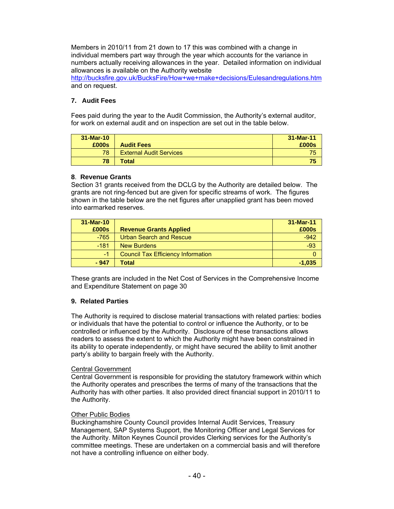Members in 2010/11 from 21 down to 17 this was combined with a change in individual members part way through the year which accounts for the variance in numbers actually receiving allowances in the year. Detailed information on individual allowances is available on the Authority website

http://bucksfire.gov.uk/BucksFire/How+we+make+decisions/Eulesandregulations.htm and on request.

# **7. Audit Fees**

Fees paid during the year to the Audit Commission, the Authority's external auditor, for work on external audit and on inspection are set out in the table below.

| $31-Mar-10$ |                                | 31-Mar-11 |
|-------------|--------------------------------|-----------|
| £000s       | <b>Audit Fees</b>              | £000s     |
| 78          | <b>External Audit Services</b> | 75        |
| 78          | <b>Total</b>                   | 75        |

### **8**. **Revenue Grants**

Section 31 grants received from the DCLG by the Authority are detailed below. The grants are not ring-fenced but are given for specific streams of work. The figures shown in the table below are the net figures after unapplied grant has been moved into earmarked reserves.

| 31-Mar-10 |                                    | 31-Mar-11 |
|-----------|------------------------------------|-----------|
| £000s     | <b>Revenue Grants Applied</b>      | £000s     |
| $-765$    | <b>Urban Search and Rescue</b>     | $-942$    |
| $-181$    | <b>New Burdens</b>                 | $-93$     |
| $-1$      | Council Tax Efficiency Information |           |
| $-947$    | Total                              | $-1,035$  |

These grants are included in the Net Cost of Services in the Comprehensive Income and Expenditure Statement on page 30

### **9. Related Parties**

The Authority is required to disclose material transactions with related parties: bodies or individuals that have the potential to control or influence the Authority, or to be controlled or influenced by the Authority. Disclosure of these transactions allows readers to assess the extent to which the Authority might have been constrained in its ability to operate independently, or might have secured the ability to limit another party's ability to bargain freely with the Authority.

### Central Government

Central Government is responsible for providing the statutory framework within which the Authority operates and prescribes the terms of many of the transactions that the Authority has with other parties. It also provided direct financial support in 2010/11 to the Authority.

### Other Public Bodies

Buckinghamshire County Council provides Internal Audit Services, Treasury Management, SAP Systems Support, the Monitoring Officer and Legal Services for the Authority. Milton Keynes Council provides Clerking services for the Authority's committee meetings. These are undertaken on a commercial basis and will therefore not have a controlling influence on either body.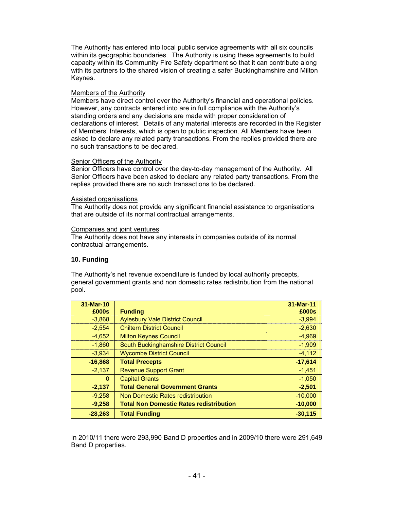The Authority has entered into local public service agreements with all six councils within its geographic boundaries. The Authority is using these agreements to build capacity within its Community Fire Safety department so that it can contribute along with its partners to the shared vision of creating a safer Buckinghamshire and Milton Keynes.

#### Members of the Authority

Members have direct control over the Authority's financial and operational policies. However, any contracts entered into are in full compliance with the Authority's standing orders and any decisions are made with proper consideration of declarations of interest. Details of any material interests are recorded in the Register of Members' Interests, which is open to public inspection. All Members have been asked to declare any related party transactions. From the replies provided there are no such transactions to be declared.

#### Senior Officers of the Authority

Senior Officers have control over the day-to-day management of the Authority. All Senior Officers have been asked to declare any related party transactions. From the replies provided there are no such transactions to be declared.

#### Assisted organisations

The Authority does not provide any significant financial assistance to organisations that are outside of its normal contractual arrangements.

#### Companies and joint ventures

The Authority does not have any interests in companies outside of its normal contractual arrangements.

### **10. Funding**

The Authority's net revenue expenditure is funded by local authority precepts, general government grants and non domestic rates redistribution from the national pool.

| 31-Mar-10    |                                                | 31-Mar-11 |
|--------------|------------------------------------------------|-----------|
| £000s        | <b>Funding</b>                                 | £000s     |
| $-3,868$     | <b>Aylesbury Vale District Council</b>         | $-3,994$  |
| $-2,554$     | <b>Chiltern District Council</b>               | $-2,630$  |
| $-4.652$     | <b>Milton Keynes Council</b>                   | $-4,969$  |
| $-1,860$     | South Buckinghamshire District Council         | $-1,909$  |
| $-3,934$     | <b>Wycombe District Council</b>                | $-4,112$  |
| $-16,868$    | <b>Total Precepts</b>                          | $-17,614$ |
| $-2,137$     | <b>Revenue Support Grant</b>                   | $-1,451$  |
| $\mathbf{0}$ | <b>Capital Grants</b>                          | $-1,050$  |
| $-2,137$     | <b>Total General Government Grants</b>         | $-2,501$  |
| $-9,258$     | Non Domestic Rates redistribution              | $-10,000$ |
| $-9,258$     | <b>Total Non Domestic Rates redistribution</b> | $-10,000$ |
| $-28,263$    | <b>Total Funding</b>                           | $-30,115$ |

In 2010/11 there were 293,990 Band D properties and in 2009/10 there were 291,649 Band D properties.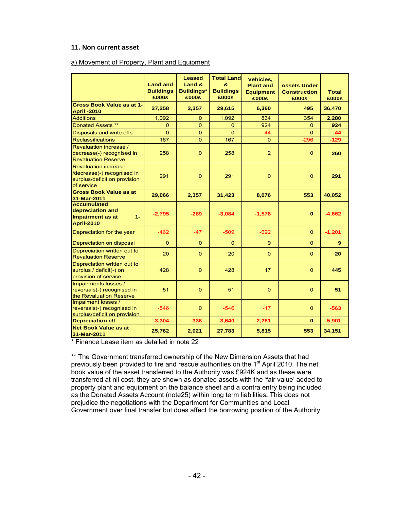#### **11. Non current asset**

#### a) Movement of Property, Plant and Equipment

|                                                                                                         | <b>Land and</b><br><b>Buildings</b><br>£000s | <b>Leased</b><br>Land &<br><b>Buildings*</b><br>£000s | <b>Total Land</b><br>8.<br><b>Buildings</b><br>£000s | Vehicles,<br><b>Plant and</b><br><b>Equipment</b><br>£000s | <b>Assets Under</b><br><b>Construction</b><br>£000s | <b>Total</b><br>£000s |
|---------------------------------------------------------------------------------------------------------|----------------------------------------------|-------------------------------------------------------|------------------------------------------------------|------------------------------------------------------------|-----------------------------------------------------|-----------------------|
| <b>Gross Book Value as at 1-</b><br><b>April -2010</b>                                                  | 27,258                                       | 2,357                                                 | 29,615                                               | 6,360                                                      | 495                                                 | 36,470                |
| <b>Additions</b>                                                                                        | 1,092                                        | $\Omega$                                              | 1,092                                                | 834                                                        | 354                                                 | 2,280                 |
| Donated Assets **                                                                                       | $\Omega$                                     | $\Omega$                                              | $\Omega$                                             | 924                                                        | $\Omega$                                            | 924                   |
| Disposals and write offs                                                                                | $\Omega$                                     | $\Omega$                                              | $\Omega$                                             | $-44$                                                      | $\Omega$                                            | $-44$                 |
| <b>Reclassifications</b>                                                                                | 167                                          | $\mathbf{O}$                                          | 167                                                  | $\Omega$                                                   | $-296$                                              | $-129$                |
| Revaluation increase /<br>decrease(-) recognised in<br><b>Revaluation Reserve</b>                       | 258                                          | $\Omega$                                              | 258                                                  | $\overline{2}$                                             | $\mathbf 0$                                         | 260                   |
| <b>Revaluation increase</b><br>/decrease(-) recognised in<br>surplus/deficit on provision<br>of service | 291                                          | $\Omega$                                              | 291                                                  | $\Omega$                                                   | $\Omega$                                            | 291                   |
| <b>Gross Book Value as at</b><br>31-Mar-2011                                                            | 29,066                                       | 2,357                                                 | 31,423                                               | 8,076                                                      | 553                                                 | 40,052                |
| <b>Accumulated</b><br>depreciation and<br><b>Impairment as at</b><br>$1 -$<br><b>April-2010</b>         | $-2,795$                                     | $-289$                                                | $-3,084$                                             | $-1,578$                                                   | $\mathbf{0}$                                        | $-4,662$              |
| Depreciation for the year                                                                               | $-462$                                       | $-47$                                                 | $-509$                                               | $-692$                                                     | $\overline{0}$                                      | $-1,201$              |
| Depreciation on disposal                                                                                | $\Omega$                                     | $\Omega$                                              | $\Omega$                                             | 9 <sup>°</sup>                                             | $\Omega$                                            | 9                     |
| Depreciation written out to<br><b>Revaluation Reserve</b>                                               | 20                                           | $\Omega$                                              | 20                                                   | $\Omega$                                                   | $\Omega$                                            | 20                    |
| Depreciation written out to<br>surplus / deficit(-) on<br>provision of service                          | 428                                          | $\mathbf{0}$                                          | 428                                                  | 17                                                         | $\mathbf 0$                                         | 445                   |
| Impairments losses /<br>reversals(-) recognised in<br>the Revaluation Reserve                           | 51                                           | $\Omega$                                              | 51                                                   | $\Omega$                                                   | $\Omega$                                            | 51                    |
| Impaiment losses /<br>reversals(-) recognised in<br>surplus/deficit on provision                        | $-546$                                       | $\mathbf{O}$                                          | $-546$                                               | $-17$                                                      | $\mathbf{O}$                                        | $-563$                |
| <b>Depreciation c/f</b>                                                                                 | $-3,304$                                     | $-336$                                                | $-3,640$                                             | $-2,261$                                                   | $\mathbf{0}$                                        | $-5,901$              |
| <b>Net Book Value as at</b><br>31-Mar-2011                                                              | 25,762                                       | 2,021                                                 | 27,783                                               | 5,815                                                      | 553                                                 | 34,151                |

\* Finance Lease item as detailed in note 22

\*\* The Government transferred ownership of the New Dimension Assets that had previously been provided to fire and rescue authorities on the  $1<sup>st</sup>$  April 2010. The net book value of the asset transferred to the Authority was £924K and as these were transferred at nil cost, they are shown as donated assets with the 'fair value' added to property plant and equipment on the balance sheet and a contra entry being included as the Donated Assets Account (note25) within long term liabilities**.** This does not prejudice the negotiations with the Department for Communities and Local Government over final transfer but does affect the borrowing position of the Authority.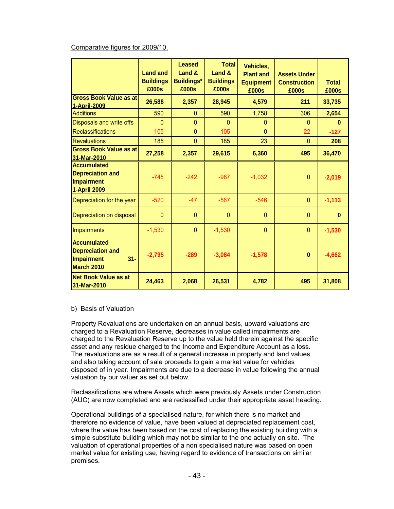# Comparative figures for 2009/10.

|                                                                                     | <b>Land and</b><br><b>Buildings</b><br>£000s | Leased<br>Land &<br><b>Buildings*</b><br>£000s | <b>Total</b><br>Land &<br><b>Buildings</b><br>£000s | Vehicles,<br><b>Plant and</b><br><b>Equipment</b><br>£000s | <b>Assets Under</b><br><b>Construction</b><br>£000s | <b>Total</b><br>£000s |
|-------------------------------------------------------------------------------------|----------------------------------------------|------------------------------------------------|-----------------------------------------------------|------------------------------------------------------------|-----------------------------------------------------|-----------------------|
| <b>Gross Book Value as at</b><br>1-April-2009                                       | 26,588                                       | 2,357                                          | 28,945                                              | 4,579                                                      | 211                                                 | 33,735                |
| <b>Additions</b>                                                                    | 590                                          | $\mathbf{0}$                                   | 590                                                 | 1,758                                                      | 306                                                 | 2,654                 |
| Disposals and write offs                                                            | $\mathbf{0}$                                 | $\overline{0}$                                 | $\Omega$                                            | $\mathbf{0}$                                               | $\Omega$                                            | $\mathbf{0}$          |
| <b>Reclassifications</b>                                                            | $-105$                                       | $\overline{0}$                                 | $-105$                                              | $\overline{0}$                                             | $-22$                                               | $-127$                |
| <b>Revaluations</b>                                                                 | 185                                          | $\overline{0}$                                 | 185                                                 | 23                                                         | $\mathbf{0}$                                        | 208                   |
| <b>Gross Book Value as at</b><br>31-Mar-2010                                        | 27,258                                       | 2,357                                          | 29,615                                              | 6,360                                                      | 495                                                 | 36,470                |
| <b>Accumulated</b><br><b>Depreciation and</b><br>Impairment<br><b>1-April 2009</b>  | $-745$                                       | $-242$                                         | $-987$                                              | $-1,032$                                                   | $\mathbf{0}$                                        | $-2,019$              |
| Depreciation for the year                                                           | $-520$                                       | $-47$                                          | $-567$                                              | $-546$                                                     | $\mathbf{0}$                                        | $-1,113$              |
| Depreciation on disposal                                                            | $\mathbf{0}$                                 | $\mathbf{0}$                                   | $\mathbf{0}$                                        | $\overline{0}$                                             | $\Omega$                                            | $\mathbf{0}$          |
| Impairments                                                                         | $-1,530$                                     | $\mathbf{0}$                                   | $-1,530$                                            | $\overline{0}$                                             | $\mathbf{0}$                                        | $-1,530$              |
| <b>Accumulated</b><br><b>Depreciation and</b><br>Impairment<br>$31 -$<br>March 2010 | $-2,795$                                     | $-289$                                         | $-3,084$                                            | $-1,578$                                                   | $\mathbf{0}$                                        | $-4,662$              |
| <b>Net Book Value as at</b><br>31-Mar-2010                                          | 24,463                                       | 2,068                                          | 26,531                                              | 4,782                                                      | 495                                                 | 31,808                |

### b) Basis of Valuation

Property Revaluations are undertaken on an annual basis, upward valuations are charged to a Revaluation Reserve, decreases in value called impairments are charged to the Revaluation Reserve up to the value held therein against the specific asset and any residue charged to the Income and Expenditure Account as a loss. The revaluations are as a result of a general increase in property and land values and also taking account of sale proceeds to gain a market value for vehicles disposed of in year. Impairments are due to a decrease in value following the annual valuation by our valuer as set out below.

Reclassifications are where Assets which were previously Assets under Construction (AUC) are now completed and are reclassified under their appropriate asset heading.

Operational buildings of a specialised nature, for which there is no market and therefore no evidence of value, have been valued at depreciated replacement cost, where the value has been based on the cost of replacing the existing building with a simple substitute building which may not be similar to the one actually on site. The valuation of operational properties of a non specialised nature was based on open market value for existing use, having regard to evidence of transactions on similar premises.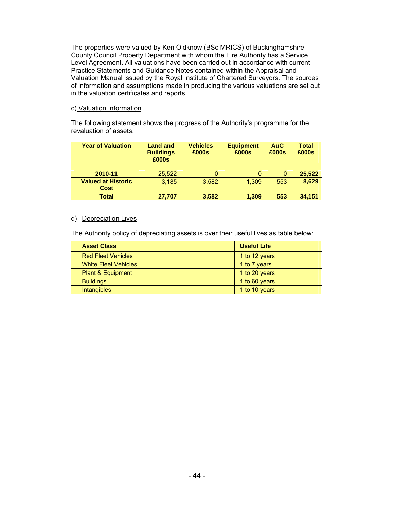The properties were valued by Ken Oldknow (BSc MRICS) of Buckinghamshire County Council Property Department with whom the Fire Authority has a Service Level Agreement. All valuations have been carried out in accordance with current Practice Statements and Guidance Notes contained within the Appraisal and Valuation Manual issued by the Royal Institute of Chartered Surveyors. The sources of information and assumptions made in producing the various valuations are set out in the valuation certificates and reports

#### c) Valuation Information

The following statement shows the progress of the Authority's programme for the revaluation of assets.

| <b>Year of Valuation</b>                 | <b>Land and</b><br><b>Buildings</b><br>£000s | <b>Vehicles</b><br>£000s | <b>Equipment</b><br>£000s | <b>AuC</b><br>£000s | <b>Total</b><br>£000s |
|------------------------------------------|----------------------------------------------|--------------------------|---------------------------|---------------------|-----------------------|
| 2010-11                                  | 25,522                                       |                          |                           |                     | 25,522                |
| <b>Valued at Historic</b><br><b>Cost</b> | 3.185                                        | 3.582                    | 1.309                     | 553                 | 8,629                 |
| <b>Total</b>                             | 27,707                                       | 3,582                    | 1,309                     | 553                 | 34,151                |

#### d) Depreciation Lives

The Authority policy of depreciating assets is over their useful lives as table below:

| <b>Asset Class</b>           | <b>Useful Life</b> |
|------------------------------|--------------------|
| <b>Red Fleet Vehicles</b>    | 1 to 12 years      |
| <b>White Fleet Vehicles</b>  | 1 to 7 years       |
| <b>Plant &amp; Equipment</b> | 1 to 20 years      |
| <b>Buildings</b>             | 1 to 60 years      |
| Intangibles                  | 1 to 10 years      |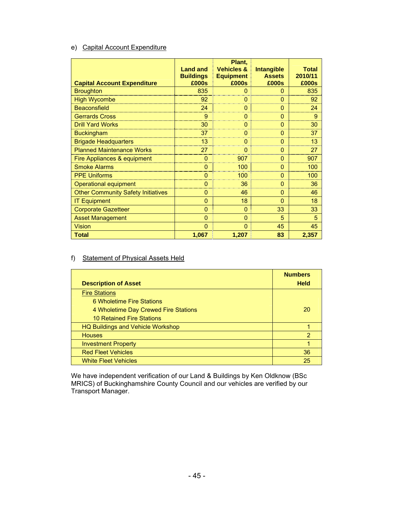# e) Capital Account Expenditure

|                                           |                           | Plant,                    |                        |                  |
|-------------------------------------------|---------------------------|---------------------------|------------------------|------------------|
|                                           | <b>Land and</b>           | <b>Vehicles &amp;</b>     | <b>Intangible</b>      | <b>Total</b>     |
| <b>Capital Account Expenditure</b>        | <b>Buildings</b><br>£000s | <b>Equipment</b><br>£000s | <b>Assets</b><br>£000s | 2010/11<br>£000s |
| <b>Broughton</b>                          | 835                       | $\mathbf{0}$              | $\mathbf{0}$           | 835              |
| <b>High Wycombe</b>                       | 92                        | $\overline{0}$            | $\Omega$               | 92               |
| <b>Beaconsfield</b>                       | 24                        | 0                         | $\mathbf{0}$           | 24               |
| <b>Gerrards Cross</b>                     | 9                         | $\Omega$                  | $\mathbf{0}$           | 9                |
| <b>Drill Yard Works</b>                   | 30                        | $\overline{0}$            | $\mathbf{0}$           | 30               |
| <b>Buckingham</b>                         | 37                        | $\Omega$                  | $\Omega$               | 37               |
| <b>Brigade Headquarters</b>               | 13                        | $\mathbf{0}$              | $\Omega$               | 13               |
| <b>Planned Maintenance Works</b>          | 27                        | $\overline{0}$            | $\Omega$               | 27               |
| Fire Appliances & equipment               | $\overline{0}$            | 907                       | $\mathbf{0}$           | 907              |
| <b>Smoke Alarms</b>                       | $\overline{0}$            | 100                       | $\Omega$               | 100              |
| <b>PPE Uniforms</b>                       | 0                         | 100                       | $\mathbf{0}$           | 100              |
| <b>Operational equipment</b>              | $\overline{0}$            | 36                        | $\mathbf{0}$           | 36               |
| <b>Other Community Safety Initiatives</b> | $\overline{0}$            | 46                        | $\mathbf{0}$           | 46               |
| <b>IT Equipment</b>                       | $\overline{0}$            | 18                        | $\mathbf{0}$           | 18               |
| <b>Corporate Gazetteer</b>                | $\overline{0}$            | $\mathbf{0}$              | 33                     | 33               |
| <b>Asset Management</b>                   | $\overline{0}$            | $\mathbf{0}$              | 5                      | 5                |
| <b>Vision</b>                             | $\overline{0}$            | $\overline{0}$            | 45                     | 45               |
| <b>Total</b>                              | 1,067                     | 1,207                     | 83                     | 2,357            |

# f) Statement of Physical Assets Held

|                                          | <b>Numbers</b> |
|------------------------------------------|----------------|
| <b>Description of Asset</b>              | <b>Held</b>    |
| <b>Fire Stations</b>                     |                |
| 6 Wholetime Fire Stations                |                |
| 4 Wholetime Day Crewed Fire Stations     | 20             |
| <b>10 Retained Fire Stations</b>         |                |
| <b>HQ Buildings and Vehicle Workshop</b> |                |
| <b>Houses</b>                            | 2              |
| <b>Investment Property</b>               |                |
| <b>Red Fleet Vehicles</b>                | 36             |
| <b>White Fleet Vehicles</b>              | 25             |

We have independent verification of our Land & Buildings by Ken Oldknow (BSc MRICS) of Buckinghamshire County Council and our vehicles are verified by our Transport Manager.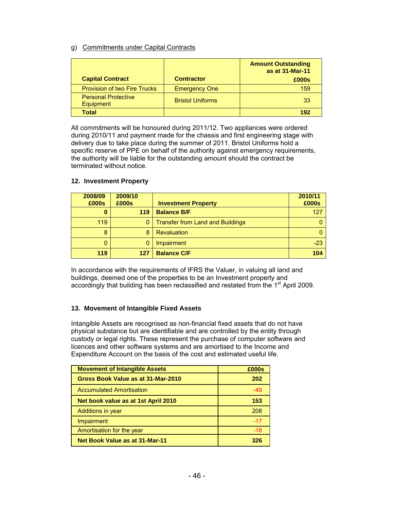# g) Commitments under Capital Contracts

|                                                |                         | <b>Amount Outstanding</b><br>as at 31-Mar-11 |
|------------------------------------------------|-------------------------|----------------------------------------------|
| <b>Capital Contract</b>                        | <b>Contractor</b>       | £000s                                        |
| <b>Provision of two Fire Trucks</b>            | <b>Emergency One</b>    | 159                                          |
| <b>Personal Protective</b><br><b>Equipment</b> | <b>Bristol Uniforms</b> | 33                                           |
| Total                                          |                         | 192                                          |

All commitments will be honoured during 2011/12. Two appliances were ordered during 2010/11 and payment made for the chassis and first engineering stage with delivery due to take place during the summer of 2011. Bristol Uniforms hold a specific reserve of PPE on behalf of the authority against emergency requirements, the authority will be liable for the outstanding amount should the contract be terminated without notice.

| 2008/09<br>£000s | 2009/10<br>£000s | <b>Investment Property</b>              | 2010/11<br>£000s |
|------------------|------------------|-----------------------------------------|------------------|
| 0                | 119              | <b>Balance B/F</b>                      | 127              |
| 119              | 0                | <b>Transfer from Land and Buildings</b> |                  |
| 8                | 8                | Revaluation                             |                  |
| 0                |                  | Impairment                              | $-23$            |
| 119              | 127              | <b>Balance C/F</b>                      | 104              |

### **12. Investment Property**

In accordance with the requirements of IFRS the Valuer, in valuing all land and buildings, deemed one of the properties to be an Investment property and accordingly that building has been reclassified and restated from the 1<sup>st</sup> April 2009.

### **13. Movement of Intangible Fixed Assets**

Intangible Assets are recognised as non-financial fixed assets that do not have physical substance but are identifiable and are controlled by the entity through custody or legal rights. These represent the purchase of computer software and licences and other software systems and are amortised to the Income and Expenditure Account on the basis of the cost and estimated useful life.

| <b>Movement of Intangible Assets</b> | £000s |
|--------------------------------------|-------|
| Gross Book Value as at 31-Mar-2010   | 202   |
| <b>Accumulated Amortisation</b>      | -49   |
| Net book value as at 1st April 2010  | 153   |
| Additions in year                    | 208   |
| Impairment                           | $-17$ |
| Amortisation for the year            | -18   |
| Net Book Value as at 31-Mar-11       | 326   |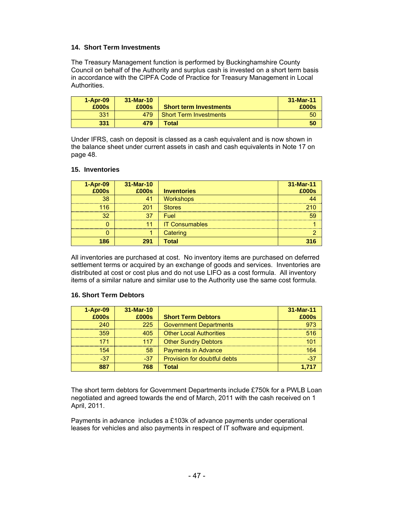### **14. Short Term Investments**

The Treasury Management function is performed by Buckinghamshire County Council on behalf of the Authority and surplus cash is invested on a short term basis in accordance with the CIPFA Code of Practice for Treasury Management in Local Authorities.

| $1 -$ Apr $-09$ | $31-Mar-10$ |                               | 31-Mar-11 |
|-----------------|-------------|-------------------------------|-----------|
| £000s           | £000s       | <b>Short term Investments</b> | £000s     |
| 331             | 479         | <b>Short Term Investments</b> | 50        |
| 331             | 479         | Total                         | 50        |

Under IFRS, cash on deposit is classed as a cash equivalent and is now shown in the balance sheet under current assets in cash and cash equivalents in Note 17 on page 48.

#### **15. Inventories**

| $1-Apr-09$ | 31-Mar-10 |                       | 31-Mar-11 |
|------------|-----------|-----------------------|-----------|
| £000s      | £000s     | <b>Inventories</b>    | £000s     |
| 38         | 41        | <b>Workshops</b>      |           |
| 116        | 201       | <b>Stores</b>         | 210       |
| 32         | 37        | Fuel                  | 59        |
|            | 11        | <b>IT Consumables</b> |           |
|            |           | Catering              |           |
| 186        | 291       | <b>Total</b>          | 316       |

All inventories are purchased at cost. No inventory items are purchased on deferred settlement terms or acquired by an exchange of goods and services. Inventories are distributed at cost or cost plus and do not use LIFO as a cost formula. All inventory items of a similar nature and similar use to the Authority use the same cost formula.

#### **16. Short Term Debtors**

| $1-Apr-09$ | 31-Mar-10 |                                | 31-Mar-11 |
|------------|-----------|--------------------------------|-----------|
| £000s      | £000s     | <b>Short Term Debtors</b>      | £000s     |
| 240        | 225       | <b>Government Departments</b>  | 973       |
| 359        | 405       | <b>Other Local Authorities</b> | 516       |
| 171        | 117       | <b>Other Sundry Debtors</b>    | 101       |
| 154        | 58        | <b>Payments in Advance</b>     | 164       |
| $-37$      | $-37$     | Provision for doubtful debts   | $-37$     |
| 887        | 768       | <b>Total</b>                   | 1,717     |

The short term debtors for Government Departments include £750k for a PWLB Loan negotiated and agreed towards the end of March, 2011 with the cash received on 1 April, 2011.

Payments in advance includes a £103k of advance payments under operational leases for vehicles and also payments in respect of IT software and equipment.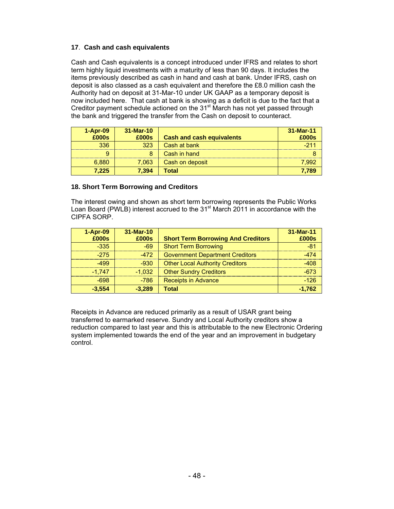# **17**. **Cash and cash equivalents**

Cash and Cash equivalents is a concept introduced under IFRS and relates to short term highly liquid investments with a maturity of less than 90 days. It includes the items previously described as cash in hand and cash at bank. Under IFRS, cash on deposit is also classed as a cash equivalent and therefore the £8.0 million cash the Authority had on deposit at 31-Mar-10 under UK GAAP as a temporary deposit is now included here. That cash at bank is showing as a deficit is due to the fact that a Creditor payment schedule actioned on the  $31<sup>st</sup>$  March has not yet passed through the bank and triggered the transfer from the Cash on deposit to counteract.

| $1-Apr-09$ | $31-Mar-10$ |                                  | 31-Mar-11 |
|------------|-------------|----------------------------------|-----------|
| £000s      | £000s       | <b>Cash and cash equivalents</b> | £000s     |
| 336        | 323         | Cash at bank                     | $-211$    |
| 9          | 8           | Cash in hand                     |           |
| 6.880      | 7.063       | Cash on deposit                  | 7.992     |
| 7.225      | 7.394       | Total                            | 7,789     |

### **18. Short Term Borrowing and Creditors**

The interest owing and shown as short term borrowing represents the Public Works Loan Board (PWLB) interest accrued to the  $31<sup>st</sup>$  March 2011 in accordance with the CIPFA SORP.

| $1-Apr-09$<br>£000s | 31-Mar-10<br>£000s | <b>Short Term Borrowing And Creditors</b> | 31-Mar-11<br>£000s |
|---------------------|--------------------|-------------------------------------------|--------------------|
| $-335$              | $-69$              | <b>Short Term Borrowing</b>               | $-81$              |
| $-275$              | $-472$             | <b>Government Department Creditors</b>    | $-474$             |
| $-499$              | $-930$             | <b>Other Local Authority Creditors</b>    | $-408$             |
| $-1.747$            | $-1.032$           | <b>Other Sundry Creditors</b>             | $-673$             |
| $-698$              | $-786$             | <b>Receipts in Advance</b>                | $-126$             |
| $-3,554$            | $-3,289$           | <b>Total</b>                              | $-1,762$           |

Receipts in Advance are reduced primarily as a result of USAR grant being transferred to earmarked reserve. Sundry and Local Authority creditors show a reduction compared to last year and this is attributable to the new Electronic Ordering system implemented towards the end of the year and an improvement in budgetary control.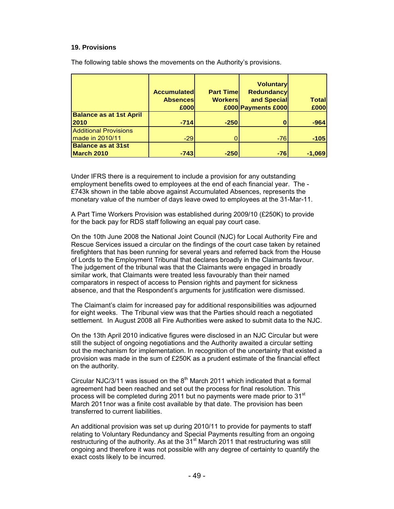#### **19. Provisions**

The following table shows the movements on the Authority's provisions.

|                                | <b>Accumulatedl</b><br><b>Absences</b> | <b>Part Timel</b><br><b>Workers</b> | <b>Voluntary</b><br><b>Redundancy</b><br>and Special | Total  |
|--------------------------------|----------------------------------------|-------------------------------------|------------------------------------------------------|--------|
|                                | £000                                   |                                     | £000 Payments £000                                   | £000   |
| <b>Balance as at 1st April</b> |                                        |                                     |                                                      |        |
| 2010                           | $-714$                                 | $-250$                              | 0                                                    | $-964$ |
| <b>Additional Provisions</b>   |                                        |                                     |                                                      |        |
| made in 2010/11                | $-29$                                  |                                     | $-76$                                                | $-105$ |
| <b>Balance as at 31st</b>      |                                        |                                     |                                                      |        |
| March 2010                     | $-743$                                 | $-250$                              | $-76$                                                | -1.069 |

Under IFRS there is a requirement to include a provision for any outstanding employment benefits owed to employees at the end of each financial year. The - £743k shown in the table above against Accumulated Absences, represents the monetary value of the number of days leave owed to employees at the 31-Mar-11.

A Part Time Workers Provision was established during 2009/10 (£250K) to provide for the back pay for RDS staff following an equal pay court case.

On the 10th June 2008 the National Joint Council (NJC) for Local Authority Fire and Rescue Services issued a circular on the findings of the court case taken by retained firefighters that has been running for several years and referred back from the House of Lords to the Employment Tribunal that declares broadly in the Claimants favour. The judgement of the tribunal was that the Claimants were engaged in broadly similar work, that Claimants were treated less favourably than their named comparators in respect of access to Pension rights and payment for sickness absence, and that the Respondent's arguments for justification were dismissed.

The Claimant's claim for increased pay for additional responsibilities was adjourned for eight weeks. The Tribunal view was that the Parties should reach a negotiated settlement. In August 2008 all Fire Authorities were asked to submit data to the NJC.

On the 13th April 2010 indicative figures were disclosed in an NJC Circular but were still the subject of ongoing negotiations and the Authority awaited a circular setting out the mechanism for implementation. In recognition of the uncertainty that existed a provision was made in the sum of £250K as a prudent estimate of the financial effect on the authority.

Circular NJC/3/11 was issued on the  $8<sup>th</sup>$  March 2011 which indicated that a formal agreement had been reached and set out the process for final resolution. This process will be completed during 2011 but no payments were made prior to 31<sup>st</sup> March 2011nor was a finite cost available by that date. The provision has been transferred to current liabilities.

An additional provision was set up during 2010/11 to provide for payments to staff relating to Voluntary Redundancy and Special Payments resulting from an ongoing restructuring of the authority. As at the  $31<sup>st</sup>$  March 2011 that restructuring was still ongoing and therefore it was not possible with any degree of certainty to quantify the exact costs likely to be incurred.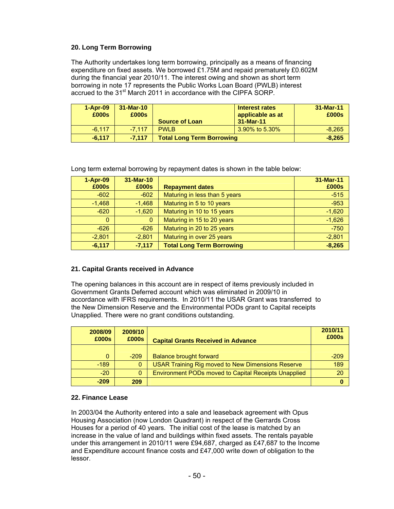# **20. Long Term Borrowing**

The Authority undertakes long term borrowing, principally as a means of financing expenditure on fixed assets. We borrowed £1.75M and repaid prematurely £0.602M during the financial year 2010/11. The interest owing and shown as short term borrowing in note 17 represents the Public Works Loan Board (PWLB) interest accrued to the 31<sup>st</sup> March 2011 in accordance with the CIPFA SORP.

| $1 -$ Apr $-09$<br>£000s | $31-Mar-10$<br>£000s | <b>Source of Loan</b>            | Interest rates<br>applicable as at<br>31-Mar-11 | 31-Mar-11<br>£000s |
|--------------------------|----------------------|----------------------------------|-------------------------------------------------|--------------------|
| $-6.117$                 | $-7.117$             | <b>PWI B</b>                     | 3.90% to 5.30%                                  | $-8.265$           |
| $-6.117$                 | $-7.117$             | <b>Total Long Term Borrowing</b> |                                                 | $-8.265$           |

Long term external borrowing by repayment dates is shown in the table below:

| $1-Apr-09$   | 31-Mar-10 |                                  | 31-Mar-11 |
|--------------|-----------|----------------------------------|-----------|
| £000s        | £000s     | <b>Repayment dates</b>           | £000s     |
| $-602$       | $-602$    | Maturing in less than 5 years    | $-515$    |
| $-1,468$     | $-1,468$  | Maturing in 5 to 10 years        | $-953$    |
| $-620$       | $-1,620$  | Maturing in 10 to 15 years       | $-1,620$  |
| $\mathbf{0}$ | $\Omega$  | Maturing in 15 to 20 years       | $-1,626$  |
| $-626$       | $-626$    | Maturing in 20 to 25 years       | $-750$    |
| $-2,801$     | $-2,801$  | Maturing in over 25 years        | $-2,801$  |
| $-6,117$     | $-7,117$  | <b>Total Long Term Borrowing</b> | $-8,265$  |

### **21. Capital Grants received in Advance**

The opening balances in this account are in respect of items previously included in Government Grants Deferred account which was eliminated in 2009/10 in accordance with IFRS requirements. In 2010/11 the USAR Grant was transferred to the New Dimension Reserve and the Environmental PODs grant to Capital receipts Unapplied. There were no grant conditions outstanding.

| 2008/09<br>£000s | 2009/10<br>£000s | <b>Capital Grants Received in Advance</b>                   | 2010/11<br>£000s |
|------------------|------------------|-------------------------------------------------------------|------------------|
|                  |                  |                                                             |                  |
| $\mathbf{0}$     | $-209$           | <b>Balance brought forward</b>                              | $-209$           |
| $-189$           | $\mathbf{0}$     | <b>USAR Training Rig moved to New Dimensions Reserve</b>    | 189              |
| $-20$            | $\Omega$         | <b>Environment PODs moved to Capital Receipts Unapplied</b> | 20               |
| $-209$           | 209              |                                                             | 0                |

### **22. Finance Lease**

In 2003/04 the Authority entered into a sale and leaseback agreement with Opus Housing Association (now London Quadrant) in respect of the Gerrards Cross Houses for a period of 40 years. The initial cost of the lease is matched by an increase in the value of land and buildings within fixed assets. The rentals payable under this arrangement in 2010/11 were £94,687, charged as £47,687 to the Income and Expenditure account finance costs and £47,000 write down of obligation to the lessor.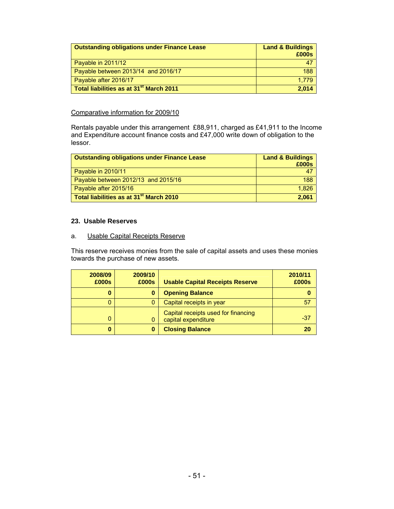| <b>Outstanding obligations under Finance Lease</b>  | <b>Land &amp; Buildings</b><br>£000s |
|-----------------------------------------------------|--------------------------------------|
| Payable in 2011/12                                  | $\mathbf{4}$                         |
| Payable between 2013/14 and 2016/17                 | 188                                  |
| Payable after 2016/17                               | 1.779                                |
| Total liabilities as at 31 <sup>st</sup> March 2011 | 2.014                                |

#### Comparative information for 2009/10

Rentals payable under this arrangement £88,911, charged as £41,911 to the Income and Expenditure account finance costs and £47,000 write down of obligation to the lessor.

| <b>Outstanding obligations under Finance Lease</b>  | <b>Land &amp; Buildings</b> |
|-----------------------------------------------------|-----------------------------|
|                                                     | £000s                       |
| Payable in 2010/11                                  | 47                          |
| Payable between 2012/13 and 2015/16                 | 188                         |
| Payable after 2015/16                               | 1.826                       |
| Total liabilities as at 31 <sup>st</sup> March 2010 | 2.061                       |

#### **23. Usable Reserves**

#### a. Usable Capital Receipts Reserve

This reserve receives monies from the sale of capital assets and uses these monies towards the purchase of new assets.

| 2008/09<br>£000s | 2009/10<br>£000s | <b>Usable Capital Receipts Reserve</b>                     | 2010/11<br>£000s |
|------------------|------------------|------------------------------------------------------------|------------------|
| 0                |                  | <b>Opening Balance</b>                                     |                  |
|                  |                  | Capital receipts in year                                   | 57               |
| 0                |                  | Capital receipts used for financing<br>capital expenditure | -37              |
| 0                |                  | <b>Closing Balance</b>                                     | 20               |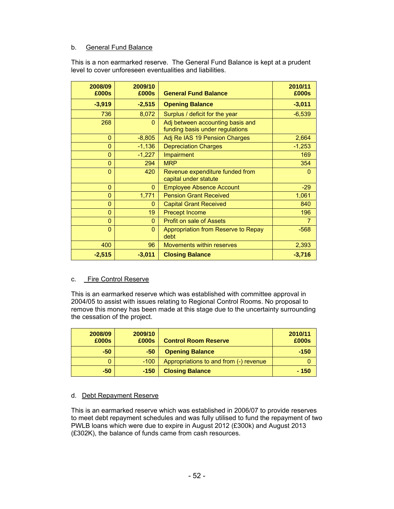# b. General Fund Balance

This is a non earmarked reserve. The General Fund Balance is kept at a prudent level to cover unforeseen eventualities and liabilities.

| 2008/09<br>£000s | 2009/10<br>£000s | <b>General Fund Balance</b>                                         | 2010/11<br>£000s |
|------------------|------------------|---------------------------------------------------------------------|------------------|
| $-3,919$         | $-2,515$         | <b>Opening Balance</b>                                              | $-3,011$         |
| 736              | 8,072            | Surplus / deficit for the year                                      | $-6,539$         |
| 268              | $\Omega$         | Adj between accounting basis and<br>funding basis under regulations |                  |
| $\overline{0}$   | $-8,805$         | Adj Re IAS 19 Pension Charges                                       | 2,664            |
| $\overline{0}$   | $-1,136$         | <b>Depreciation Charges</b>                                         | $-1,253$         |
| 0                | $-1,227$         | Impairment                                                          | 169              |
| $\overline{0}$   | 294              | <b>MRP</b>                                                          | 354              |
| $\overline{0}$   | 420              | Revenue expenditure funded from<br>capital under statute            | $\Omega$         |
| $\overline{0}$   | $\overline{0}$   | <b>Employee Absence Account</b>                                     | $-29$            |
| $\overline{0}$   | 1,771            | <b>Pension Grant Received</b>                                       | 1,061            |
| $\mathbf{0}$     | $\mathbf{0}$     | <b>Capital Grant Received</b>                                       | 840              |
| $\overline{0}$   | 19               | <b>Precept Income</b>                                               | 196              |
| $\overline{0}$   | $\Omega$         | <b>Profit on sale of Assets</b>                                     | $\overline{7}$   |
| $\overline{0}$   | $\Omega$         | Appropriation from Reserve to Repay<br>debt                         | $-568$           |
| 400              | 96               | <b>Movements within reserves</b>                                    | 2,393            |
| $-2,515$         | $-3,011$         | <b>Closing Balance</b>                                              | $-3,716$         |

### c. Fire Control Reserve

This is an earmarked reserve which was established with committee approval in 2004/05 to assist with issues relating to Regional Control Rooms. No proposal to remove this money has been made at this stage due to the uncertainty surrounding the cessation of the project.

| 2008/09<br>£000s | 2009/10<br>£000s | <b>Control Room Reserve</b>            | 2010/11<br>£000s |
|------------------|------------------|----------------------------------------|------------------|
| $-50$            | $-50$            | <b>Opening Balance</b>                 | $-150$           |
|                  | $-100$           | Appropriations to and from (-) revenue |                  |
| $-50$            | $-150$           | <b>Closing Balance</b>                 | $-150$           |

### d. Debt Repayment Reserve

This is an earmarked reserve which was established in 2006/07 to provide reserves to meet debt repayment schedules and was fully utilised to fund the repayment of two PWLB loans which were due to expire in August 2012 (£300k) and August 2013 (£302K), the balance of funds came from cash resources.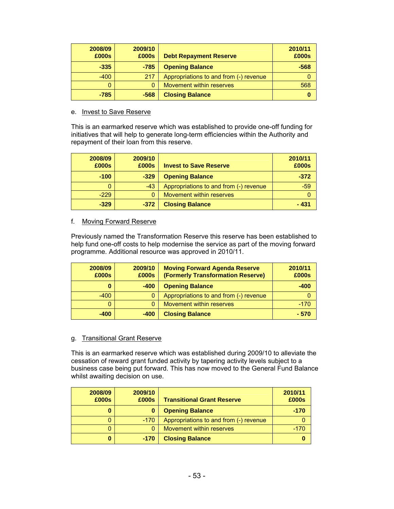| 2008/09<br>£000s | 2009/10<br>£000s | <b>Debt Repayment Reserve</b>          | 2010/11<br>£000s |
|------------------|------------------|----------------------------------------|------------------|
| $-335$           | $-785$           | <b>Opening Balance</b>                 | $-568$           |
| $-400$           | 217              | Appropriations to and from (-) revenue |                  |
| 0                |                  | Movement within reserves               | 568              |
| $-785$           | -568             | <b>Closing Balance</b>                 | 0                |

#### e. Invest to Save Reserve

This is an earmarked reserve which was established to provide one-off funding for initiatives that will help to generate long-term efficiencies within the Authority and repayment of their loan from this reserve.

| 2008/09<br>£000s | 2009/10<br>£000s | <b>Invest to Save Reserve</b>          | 2010/11<br>£000s |
|------------------|------------------|----------------------------------------|------------------|
| $-100$           | $-329$           | <b>Opening Balance</b>                 | $-372$           |
| 0                | $-43$            | Appropriations to and from (-) revenue | $-59$            |
| $-229$           |                  | Movement within reserves               |                  |
| $-329$           | $-372$           | <b>Closing Balance</b>                 | - 431            |

### f. Moving Forward Reserve

Previously named the Transformation Reserve this reserve has been established to help fund one-off costs to help modernise the service as part of the moving forward programme. Additional resource was approved in 2010/11.

| 2008/09<br>£000s | 2009/10<br>£000s | <b>Moving Forward Agenda Reserve</b><br>(Formerly Transformation Reserve) | 2010/11<br>£000s |
|------------------|------------------|---------------------------------------------------------------------------|------------------|
| 0                | $-400$           | <b>Opening Balance</b>                                                    | $-400$           |
| $-400$           |                  | Appropriations to and from (-) revenue                                    |                  |
| 0                |                  | Movement within reserves                                                  | $-170$           |
| $-400$           | $-400$           | <b>Closing Balance</b>                                                    | $-570$           |

#### g. Transitional Grant Reserve

This is an earmarked reserve which was established during 2009/10 to alleviate the cessation of reward grant funded activity by tapering activity levels subject to a business case being put forward. This has now moved to the General Fund Balance whilst awaiting decision on use.

| 2008/09<br>£000s | 2009/10<br>£000s | <b>Transitional Grant Reserve</b>      | 2010/11<br>£000s |
|------------------|------------------|----------------------------------------|------------------|
| 0                |                  | <b>Opening Balance</b>                 | -170             |
|                  | $-170$           | Appropriations to and from (-) revenue |                  |
|                  |                  | Movement within reserves               | -170             |
| 0                | $-170$           | <b>Closing Balance</b>                 |                  |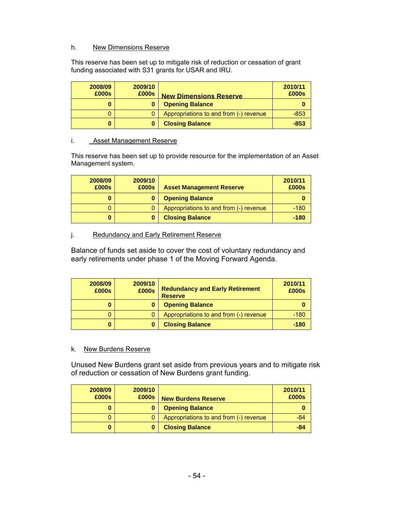# h. New Dimensions Reserve

This reserve has been set up to mitigate risk of reduction or cessation of grant funding associated with S31 grants for USAR and IRU.

| 2008/09<br>£000s | 2009/10<br>£000s | <b>New Dimensions Reserve</b>          | 2010/11<br>£000s |
|------------------|------------------|----------------------------------------|------------------|
|                  |                  | <b>Opening Balance</b>                 | O                |
|                  | 0                | Appropriations to and from (-) revenue | $-853$           |
|                  |                  | <b>Closing Balance</b>                 | $-853$           |

### i. Asset Management Reserve

This reserve has been set up to provide resource for the implementation of an Asset Management system.

| 2008/09<br>£000s | 2009/10<br>£000s | <b>Asset Management Reserve</b>        | 2010/11<br>£000s |
|------------------|------------------|----------------------------------------|------------------|
| 0                | 0                | <b>Opening Balance</b>                 | O                |
|                  |                  | Appropriations to and from (-) revenue | $-180$           |
| 0                |                  | <b>Closing Balance</b>                 | $-180$           |

# j. Redundancy and Early Retirement Reserve

Balance of funds set aside to cover the cost of voluntary redundancy and early retirements under phase 1 of the Moving Forward Agenda.

| 2008/09<br>£000s | 2009/10<br>£000s | <b>Redundancy and Early Retirement</b><br><b>Reserve</b> | 2010/11<br>£000s |
|------------------|------------------|----------------------------------------------------------|------------------|
| 0                | 0                | <b>Opening Balance</b>                                   |                  |
|                  | 0                | Appropriations to and from (-) revenue                   | $-180$           |
| 0                | 0                | <b>Closing Balance</b>                                   | $-180$           |

### k. New Burdens Reserve

Unused New Burdens grant set aside from previous years and to mitigate risk of reduction or cessation of New Burdens grant funding.

| 2008/09<br>£000s | 2009/10<br>£000s | <b>New Burdens Reserve</b>             | 2010/11<br>£000s |
|------------------|------------------|----------------------------------------|------------------|
| 0                | $\bf{0}$         | <b>Opening Balance</b>                 | ω                |
| 0                | 0                | Appropriations to and from (-) revenue | $-84$            |
| 0                | 0                | <b>Closing Balance</b>                 | $-84$            |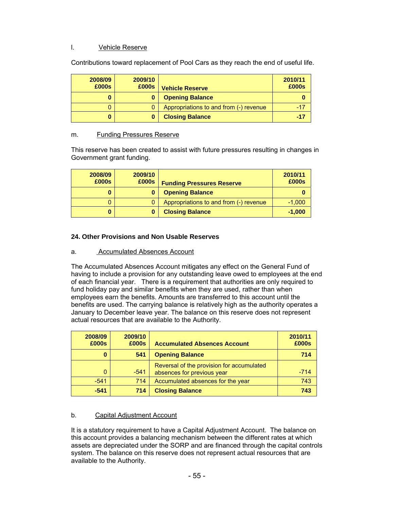# l. Vehicle Reserve

Contributions toward replacement of Pool Cars as they reach the end of useful life.

| 2008/09<br>£000s | 2009/10<br>£000s | <b>Vehicle Reserve</b>                 | 2010/11<br>£000s |
|------------------|------------------|----------------------------------------|------------------|
| 0                | 0                | <b>Opening Balance</b>                 |                  |
|                  |                  | Appropriations to and from (-) revenue | $-17$            |
| 0                |                  | <b>Closing Balance</b>                 | -17              |

### m. Funding Pressures Reserve

This reserve has been created to assist with future pressures resulting in changes in Government grant funding.

| 2008/09<br>£000s | 2009/10<br>£000s | <b>Funding Pressures Reserve</b>       | 2010/11<br>£000s |
|------------------|------------------|----------------------------------------|------------------|
| 0                |                  | <b>Opening Balance</b>                 |                  |
|                  |                  | Appropriations to and from (-) revenue | $-1,000$         |
| 0                |                  | <b>Closing Balance</b>                 | $-1,000$         |

# **24. Other Provisions and Non Usable Reserves**

# a. Accumulated Absences Account

The Accumulated Absences Account mitigates any effect on the General Fund of having to include a provision for any outstanding leave owed to employees at the end of each financial year. There is a requirement that authorities are only required to fund holiday pay and similar benefits when they are used, rather than when employees earn the benefits. Amounts are transferred to this account until the benefits are used. The carrying balance is relatively high as the authority operates a January to December leave year. The balance on this reserve does not represent actual resources that are available to the Authority.

| 2008/09<br>£000s | 2009/10<br>£000s | <b>Accumulated Absences Account</b>                                     | 2010/11<br>£000s |
|------------------|------------------|-------------------------------------------------------------------------|------------------|
| 0                | 541              | <b>Opening Balance</b>                                                  | 714              |
| $\Omega$         | $-541$           | Reversal of the provision for accumulated<br>absences for previous year | $-714$           |
| $-541$           | 714              | Accumulated absences for the year                                       | 743              |
| $-541$           | 714              | <b>Closing Balance</b>                                                  | 743              |

# b. Capital Adjustment Account

It is a statutory requirement to have a Capital Adjustment Account. The balance on this account provides a balancing mechanism between the different rates at which assets are depreciated under the SORP and are financed through the capital controls system. The balance on this reserve does not represent actual resources that are available to the Authority.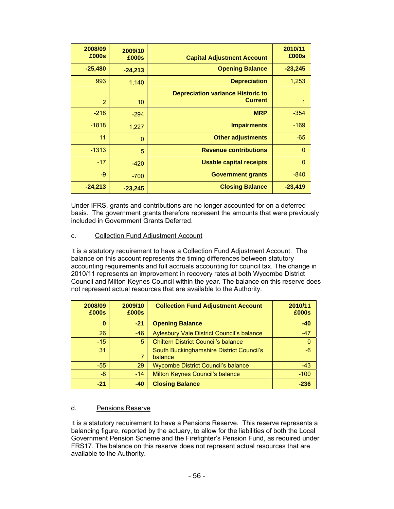| 2009/10<br>£000s<br><b>Capital Adjustment Account</b>            | 2008/09<br>£000s | 2010/11<br>£000s |
|------------------------------------------------------------------|------------------|------------------|
| <b>Opening Balance</b><br>$-24,213$                              | $-25,480$        | $-23,245$        |
| <b>Depreciation</b><br>1,140                                     | 993              | 1,253            |
| <b>Depreciation variance Historic to</b><br><b>Current</b><br>10 | $\overline{2}$   | 1                |
| <b>MRP</b><br>$-294$                                             | $-218$           | $-354$           |
| <b>Impairments</b><br>1,227                                      | $-1818$          | $-169$           |
| <b>Other adjustments</b><br>$\mathbf 0$                          | 11               | $-65$            |
| <b>Revenue contributions</b><br>5                                | $-1313$          | $\Omega$         |
| <b>Usable capital receipts</b><br>$-420$                         | $-17$            | $\overline{0}$   |
| <b>Government grants</b><br>$-700$                               | -9               | $-840$           |
| <b>Closing Balance</b><br>$-23,245$                              | $-24,213$        | $-23,419$        |

Under IFRS, grants and contributions are no longer accounted for on a deferred basis. The government grants therefore represent the amounts that were previously included in Government Grants Deferred.

### c. Collection Fund Adjustment Account

It is a statutory requirement to have a Collection Fund Adjustment Account. The balance on this account represents the timing differences between statutory accounting requirements and full accruals accounting for council tax. The change in 2010/11 represents an improvement in recovery rates at both Wycombe District Council and Milton Keynes Council within the year. The balance on this reserve does not represent actual resources that are available to the Authority.

| 2008/09<br>£000s | 2009/10<br>£000s | <b>Collection Fund Adjustment Account</b>           | 2010/11<br>£000s |
|------------------|------------------|-----------------------------------------------------|------------------|
| 0                | $-21$            | <b>Opening Balance</b>                              | $-40$            |
| 26               | $-46$            | <b>Aylesbury Vale District Council's balance</b>    | $-47$            |
| $-15$            | 5                | <b>Chiltern District Council's balance</b>          | 0                |
| 31               | 7                | South Buckinghamshire District Council's<br>balance | $-6$             |
| $-55$            | 29               | <b>Wycombe District Council's balance</b>           | $-43$            |
| -8               | $-14$            | Milton Keynes Council's balance                     | $-100$           |
| $-21$            | $-40$            | <b>Closing Balance</b>                              | $-236$           |

### d.Pensions Reserve

It is a statutory requirement to have a Pensions Reserve. This reserve represents a balancing figure, reported by the actuary, to allow for the liabilities of both the Local Government Pension Scheme and the Firefighter's Pension Fund, as required under FRS17. The balance on this reserve does not represent actual resources that are available to the Authority.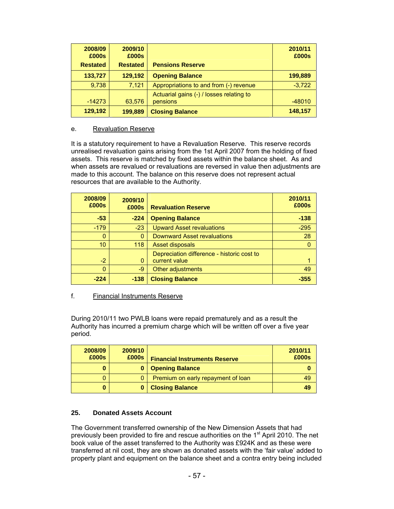| 2008/09<br>£000s | 2009/10<br>£000s |                                                      | 2010/11<br>£000s |
|------------------|------------------|------------------------------------------------------|------------------|
| <b>Restated</b>  | <b>Restated</b>  | <b>Pensions Reserve</b>                              |                  |
| 133,727          | 129,192          | <b>Opening Balance</b>                               | 199,889          |
| 9,738            | 7,121            | Appropriations to and from (-) revenue               | $-3,722$         |
| $-14273$         | 63,576           | Actuarial gains (-) / losses relating to<br>pensions | $-48010$         |
| 129,192          | 199,889          | <b>Closing Balance</b>                               | 148,157          |

### e. Revaluation Reserve

It is a statutory requirement to have a Revaluation Reserve. This reserve records unrealised revaluation gains arising from the 1st April 2007 from the holding of fixed assets. This reserve is matched by fixed assets within the balance sheet. As and when assets are revalued or revaluations are reversed in value then adjustments are made to this account. The balance on this reserve does not represent actual resources that are available to the Authority.

| 2008/09<br>£000s | 2009/10<br>£000s | <b>Revaluation Reserve</b>                                  | 2010/11<br>£000s |
|------------------|------------------|-------------------------------------------------------------|------------------|
| $-53$            | $-224$           | <b>Opening Balance</b>                                      | $-138$           |
| $-179$           | $-23$            | <b>Upward Asset revaluations</b>                            | $-295$           |
|                  | $\Omega$         | <b>Downward Asset revaluations</b>                          | 28               |
| 10               | 118              | Asset disposals                                             | 0                |
| $-2$             | $\Omega$         | Depreciation difference - historic cost to<br>current value |                  |
| 0                | -9               | Other adjustments                                           | 49               |
| $-224$           | $-138$           | <b>Closing Balance</b>                                      | $-355$           |

### f. Financial Instruments Reserve

During 2010/11 two PWLB loans were repaid prematurely and as a result the Authority has incurred a premium charge which will be written off over a five year period.

| 2008/09<br>£000s | 2009/10<br>£000s | <b>Financial Instruments Reserve</b> | 2010/11<br>£000s |
|------------------|------------------|--------------------------------------|------------------|
| 0                |                  | <b>Opening Balance</b>               |                  |
| 0                | 0                | Premium on early repayment of loan   | 49               |
| 0                |                  | <b>Closing Balance</b>               | 49               |

### **25. Donated Assets Account**

The Government transferred ownership of the New Dimension Assets that had previously been provided to fire and rescue authorities on the  $1<sup>st</sup>$  April 2010. The net book value of the asset transferred to the Authority was £924K and as these were transferred at nil cost, they are shown as donated assets with the 'fair value' added to property plant and equipment on the balance sheet and a contra entry being included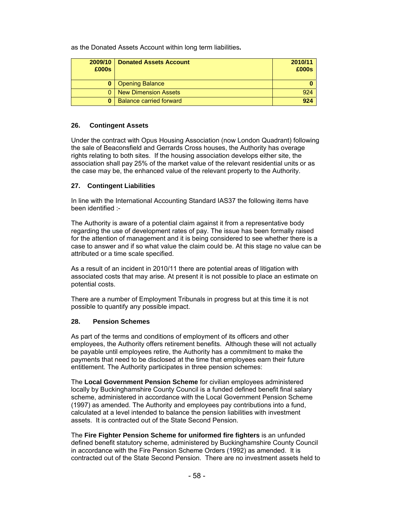as the Donated Assets Account within long term liabilities**.**

| 2009/10<br>£000s | <b>Donated Assets Account</b>  | 2010/11<br>£000s |
|------------------|--------------------------------|------------------|
|                  | <b>Opening Balance</b>         |                  |
| 0                | <b>New Dimension Assets</b>    | 924              |
| 0                | <b>Balance carried forward</b> | 924              |

# **26. Contingent Assets**

Under the contract with Opus Housing Association (now London Quadrant) following the sale of Beaconsfield and Gerrards Cross houses, the Authority has overage rights relating to both sites. If the housing association develops either site, the association shall pay 25% of the market value of the relevant residential units or as the case may be, the enhanced value of the relevant property to the Authority.

# **27. Contingent Liabilities**

In line with the International Accounting Standard IAS37 the following items have been identified :-

The Authority is aware of a potential claim against it from a representative body regarding the use of development rates of pay. The issue has been formally raised for the attention of management and it is being considered to see whether there is a case to answer and if so what value the claim could be. At this stage no value can be attributed or a time scale specified.

As a result of an incident in 2010/11 there are potential areas of litigation with associated costs that may arise. At present it is not possible to place an estimate on potential costs.

There are a number of Employment Tribunals in progress but at this time it is not possible to quantify any possible impact.

### **28. Pension Schemes**

As part of the terms and conditions of employment of its officers and other employees, the Authority offers retirement benefits. Although these will not actually be payable until employees retire, the Authority has a commitment to make the payments that need to be disclosed at the time that employees earn their future entitlement. The Authority participates in three pension schemes:

The **Local Government Pension Scheme** for civilian employees administered locally by Buckinghamshire County Council is a funded defined benefit final salary scheme, administered in accordance with the Local Government Pension Scheme (1997) as amended. The Authority and employees pay contributions into a fund, calculated at a level intended to balance the pension liabilities with investment assets. It is contracted out of the State Second Pension.

The **Fire Fighter Pension Scheme for uniformed fire fighters** is an unfunded defined benefit statutory scheme, administered by Buckinghamshire County Council in accordance with the Fire Pension Scheme Orders (1992) as amended. It is contracted out of the State Second Pension. There are no investment assets held to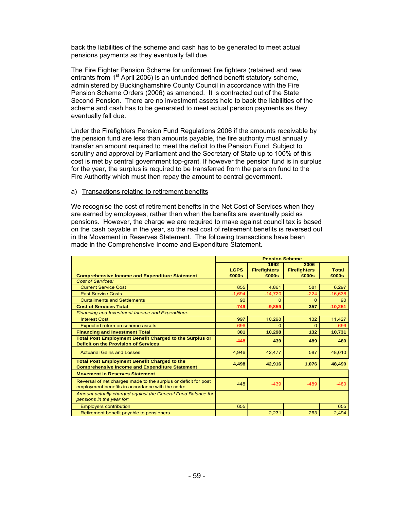back the liabilities of the scheme and cash has to be generated to meet actual pensions payments as they eventually fall due.

The Fire Fighter Pension Scheme for uniformed fire fighters (retained and new entrants from  $1<sup>st</sup>$  April 2006) is an unfunded defined benefit statutory scheme, administered by Buckinghamshire County Council in accordance with the Fire Pension Scheme Orders (2006) as amended. It is contracted out of the State Second Pension. There are no investment assets held to back the liabilities of the scheme and cash has to be generated to meet actual pension payments as they eventually fall due.

Under the Firefighters Pension Fund Regulations 2006 if the amounts receivable by the pension fund are less than amounts payable, the fire authority must annually transfer an amount required to meet the deficit to the Pension Fund. Subject to scrutiny and approval by Parliament and the Secretary of State up to 100% of this cost is met by central government top-grant. If however the pension fund is in surplus for the year, the surplus is required to be transferred from the pension fund to the Fire Authority which must then repay the amount to central government.

#### a) Transactions relating to retirement benefits

We recognise the cost of retirement benefits in the Net Cost of Services when they are earned by employees, rather than when the benefits are eventually paid as pensions. However, the charge we are required to make against council tax is based on the cash payable in the year, so the real cost of retirement benefits is reversed out in the Movement in Reserves Statement. The following transactions have been made in the Comprehensive Income and Expenditure Statement.

|                                                                                                                     | <b>Pension Scheme</b> |                     |                     |              |  |
|---------------------------------------------------------------------------------------------------------------------|-----------------------|---------------------|---------------------|--------------|--|
|                                                                                                                     |                       | 1992                | 2006                |              |  |
|                                                                                                                     | <b>LGPS</b>           | <b>Firefighters</b> | <b>Firefighters</b> | <b>Total</b> |  |
| <b>Comprehensive Income and Expenditure Statement</b>                                                               | £000s                 | £000s               | £000s               | £000s        |  |
| <b>Cost of Services:</b>                                                                                            |                       |                     |                     |              |  |
| <b>Current Service Cost</b>                                                                                         | 855                   | 4,861               | 581                 | 6,297        |  |
| <b>Past Service Costs</b>                                                                                           | $-1.694$              | $-14,720$           | $-224$              | $-16,638$    |  |
| <b>Curtailments and Settlements</b>                                                                                 | 90                    | $\Omega$            | $\Omega$            | 90           |  |
| <b>Cost of Services Total</b>                                                                                       | $-749$                | $-9,859$            | 357                 | $-10,251$    |  |
| <b>Financing and Investment Income and Expenditure:</b>                                                             |                       |                     |                     |              |  |
| <b>Interest Cost</b>                                                                                                | 997                   | 10,298              | 132                 | 11,427       |  |
| Expected return on scheme assets                                                                                    | $-696$                | $\Omega$            | $\Omega$            | $-696$       |  |
| <b>Financing and Investment Total</b>                                                                               | 301                   | 10,298              | 132                 | 10,731       |  |
| <b>Total Post Employment Benefit Charged to the Surplus or</b><br><b>Deficit on the Provision of Services</b>       | $-448$                | 439                 | 489                 | 480          |  |
| <b>Actuarial Gains and Losses</b>                                                                                   | 4,946                 | 42,477              | 587                 | 48,010       |  |
| <b>Total Post Employment Benefit Charged to the</b><br><b>Comprehensive Income and Expenditure Statement</b>        | 4,498                 | 42,916              | 1,076               | 48,490       |  |
| <b>Movement in Reserves Statement</b>                                                                               |                       |                     |                     |              |  |
| Reversal of net charges made to the surplus or deficit for post<br>employment benefits in accordance with the code: | 448                   | $-439$              | $-489$              | $-480$       |  |
| Amount actually charged against the General Fund Balance for<br>pensions in the year for:                           |                       |                     |                     |              |  |
| <b>Employers contribution</b>                                                                                       | 655                   |                     |                     | 655          |  |
| Retirement benefit payable to pensioners                                                                            |                       | 2,231               | 263                 | 2,494        |  |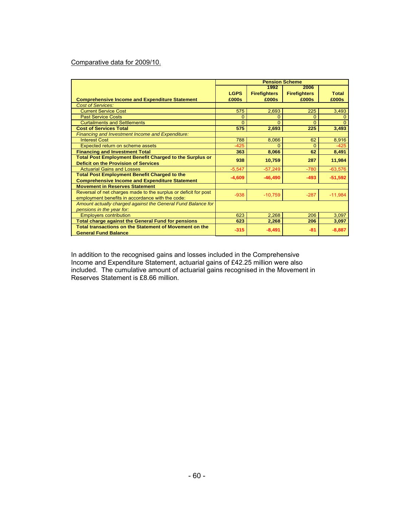# Comparative data for 2009/10.

|                                                                 | <b>Pension Scheme</b> |                     |                     |           |  |
|-----------------------------------------------------------------|-----------------------|---------------------|---------------------|-----------|--|
|                                                                 |                       | 1992                | 2006                |           |  |
|                                                                 | <b>LGPS</b>           | <b>Firefighters</b> | <b>Firefighters</b> | Total     |  |
| <b>Comprehensive Income and Expenditure Statement</b>           | £000s                 | £000s               | £000s               | £000s     |  |
| <b>Cost of Services:</b>                                        |                       |                     |                     |           |  |
| <b>Current Service Cost</b>                                     | 575                   | 2,693               | 225                 | 3,493     |  |
| <b>Past Service Costs</b>                                       | $\Omega$              | $\Omega$            | 0                   |           |  |
| <b>Curtailments and Settlements</b>                             | $\Omega$              | $\Omega$            | $\Omega$            |           |  |
| <b>Cost of Services Total</b>                                   | 575                   | 2,693               | 225                 | 3,493     |  |
| Financing and Investment Income and Expenditure:                |                       |                     |                     |           |  |
| <b>Interest Cost</b>                                            | 788                   | 8,066               | 62                  | 8,916     |  |
| Expected return on scheme assets                                | $-425$                | $\Omega$            | $\Omega$            | $-425$    |  |
| <b>Financing and Investment Total</b>                           | 363                   | 8,066               | 62                  | 8,491     |  |
| <b>Total Post Employment Benefit Charged to the Surplus or</b>  | 938                   | 10,759              | 287                 | 11,984    |  |
| <b>Deficit on the Provision of Services</b>                     |                       |                     |                     |           |  |
| <b>Actuarial Gains and Losses</b>                               | $-5,547$              | $-57,249$           | $-780$              | $-63,576$ |  |
| <b>Total Post Employment Benefit Charged to the</b>             | $-4,609$              | $-46,490$           | $-493$              | $-51,592$ |  |
| <b>Comprehensive Income and Expenditure Statement</b>           |                       |                     |                     |           |  |
| <b>Movement in Reserves Statement</b>                           |                       |                     |                     |           |  |
| Reversal of net charges made to the surplus or deficit for post | $-938$                | $-10,759$           | $-287$              | $-11,984$ |  |
| employment benefits in accordance with the code:                |                       |                     |                     |           |  |
| Amount actually charged against the General Fund Balance for    |                       |                     |                     |           |  |
| pensions in the year for:                                       |                       |                     |                     |           |  |
| <b>Employers contribution</b>                                   | 623                   | 2,268               | 206                 | 3,097     |  |
| <b>Total charge against the General Fund for pensions</b>       | 623                   | 2,268               | 206                 | 3,097     |  |
| Total transactions on the Statement of Movement on the          | $-315$                | $-8,491$            | -81                 | $-8,887$  |  |
| <b>General Fund Balance</b>                                     |                       |                     |                     |           |  |

In addition to the recognised gains and losses included in the Comprehensive Income and Expenditure Statement, actuarial gains of £42.25 million were also included. The cumulative amount of actuarial gains recognised in the Movement in Reserves Statement is £8.66 million.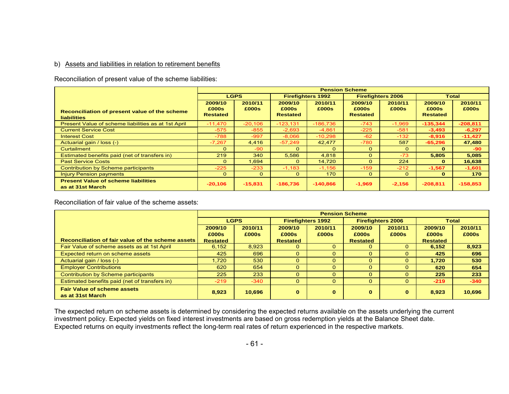#### b) Assets and liabilities in relation to retirement benefits

Reconciliation of present value of the scheme liabilities:

|                                                                     | <b>Pension Scheme</b>               |                  |                                     |                  |                                     |                  |                                     |                  |
|---------------------------------------------------------------------|-------------------------------------|------------------|-------------------------------------|------------------|-------------------------------------|------------------|-------------------------------------|------------------|
|                                                                     |                                     | <b>LGPS</b>      | <b>Firefighters 1992</b>            |                  | <b>Firefighters 2006</b>            |                  | Total                               |                  |
| Reconciliation of present value of the scheme<br><b>liabilities</b> | 2009/10<br>£000s<br><b>Restated</b> | 2010/11<br>£000s | 2009/10<br>£000s<br><b>Restated</b> | 2010/11<br>£000s | 2009/10<br>£000s<br><b>Restated</b> | 2010/11<br>£000s | 2009/10<br>£000s<br><b>Restated</b> | 2010/11<br>£000s |
| Present Value of scheme liabilities as at 1st April                 | $-11,470$                           | $-20,106$        | $-123,131$                          | $-186.736$       | $-743$                              | $-1,969$         | $-135,344$                          | $-208,811$       |
| <b>Current Service Cost</b>                                         | $-575$                              | $-855$           | $-2,693$                            | $-4,861$         | $-225$                              | $-581$           | $-3,493$                            | $-6,297$         |
| <b>Interest Cost</b>                                                | $-788$                              | $-997$           | $-8.066$                            | $-10.298$        | $-62$                               | $-132$           | $-8,916$                            | $-11,427$        |
| Actuarial gain / loss (-)                                           | $-7,267$                            | 4,416            | $-57,249$                           | 42,477           | $-780$                              | 587              | $-65,296$                           | 47,480           |
| Curtailment                                                         | $\Omega$                            | $-90$            | $\Omega$                            | $\Omega$         | $\Omega$                            | $\Omega$         | $\Omega$                            | -90              |
| Estimated benefits paid (net of transfers in)                       | 219                                 | 340              | 5,586                               | 4,818            | $\Omega$                            | $-73$            | 5,805                               | 5,085            |
| <b>Past Service Costs</b>                                           | $\Omega$                            | 1.694            | 0                                   | 14.720           | $\Omega$                            | 224              | $\mathbf{o}$                        | 16,638           |
| Contribution by Scheme participants                                 | $-225$                              | $-233$           | $-1,183$                            | $-1,156$         | $-159$                              | $-212$           | $-1,567$                            | $-1,601$         |
| <b>Injury Pension payments</b>                                      | $\Omega$                            | $\Omega$         | $\Omega$                            | 170              | $\circ$                             | $\Omega$         | $\Omega$                            | 170              |
| <b>Present Value of scheme liabilities</b><br>as at 31st March      | $-20,106$                           | $-15,831$        | $-186,736$                          | $-140.866$       | $-1,969$                            | $-2,156$         | $-208,811$                          | $-158,853$       |

Reconciliation of fair value of the scheme assets:

|                                                        | <b>Pension Scheme</b> |             |                          |              |                          |          |                 |         |  |
|--------------------------------------------------------|-----------------------|-------------|--------------------------|--------------|--------------------------|----------|-----------------|---------|--|
|                                                        |                       | <b>LGPS</b> | <b>Firefighters 1992</b> |              | <b>Firefighters 2006</b> |          | <b>Total</b>    |         |  |
|                                                        | 2009/10               | 2010/11     | 2009/10                  | 2010/11      | 2009/10                  | 2010/11  | 2009/10         | 2010/11 |  |
|                                                        | £000s                 | £000s       | £000s                    | £000s        | £000s                    | £000s    | £000s           | £000s   |  |
| Reconciliation of fair value of the scheme assets I    | <b>Restated</b>       |             | <b>Restated</b>          |              | <b>Restated</b>          |          | <b>Restated</b> |         |  |
| Fair Value of scheme assets as at 1st April            | 6,152                 | 8.923       | $\Omega$                 | $\mathbf{0}$ | 0                        | $\Omega$ | 6.152           | 8,923   |  |
| Expected return on scheme assets                       | 425                   | 696         | $\Omega$                 | $\Omega$     |                          | $\Omega$ | 425             | 696     |  |
| Actuarial gain / loss (-)                              | 1.720                 | 530         | $\Omega$                 | $\Omega$     | $\Omega$                 | $\Omega$ | 1.720           | 530     |  |
| <b>Employer Contributions</b>                          | 620                   | 654         | $\Omega$                 | $\Omega$     | $\Omega$                 | $\Omega$ | 620             | 654     |  |
| Contribution by Scheme participants                    | 225                   | 233         | $\Omega$                 | $\Omega$     | $\Omega$                 | $\Omega$ | 225             | 233     |  |
| Estimated benefits paid (net of transfers in)          | $-219$                | $-340$      | $\Omega$                 | $\mathbf{0}$ | $\Omega$                 | $\Omega$ | $-219$          | $-340$  |  |
| <b>Fair Value of scheme assets</b><br>as at 31st March | 8,923                 | 10.696      | $\bf{0}$                 | $\mathbf{0}$ | $\bf{0}$                 | $\bf{0}$ | 8.923           | 10.696  |  |

The expected return on scheme assets is determined by considering the expected returns available on the assets underlying the current investment policy. Expected yields on fixed interest investments are based on gross redemption yields at the Balance Sheet date. Expected returns on equity investments reflect the long-term real rates of return experienced in the respective markets.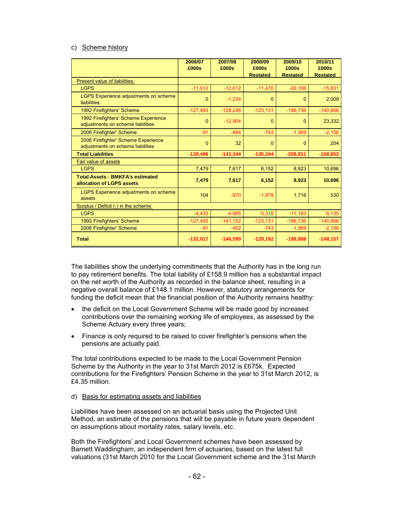#### c) Scheme history

|                                                                           | 2006/07<br>£000s | 2007/08<br>£000s | 2008/09<br>£000s | 2009/10<br>£000s | 2010/11<br>£000s |
|---------------------------------------------------------------------------|------------------|------------------|------------------|------------------|------------------|
| Present value of liabilities:                                             |                  |                  | <b>Restated</b>  | <b>Restated</b>  | <b>Restated</b>  |
| <b>LGPS</b>                                                               | $-11,912$        | $-12,612$        | $-11,470$        | $-20.106$        | $-15,831$        |
| LGPS Experience adjustments on scheme<br>liabilities                      | 0                | $-1,234$         | $\Omega$         | $\Omega$         | 2,009            |
| 1992 Firefighters' Scheme                                                 | $-127,493$       | $-128,248$       | $-123,131$       | $-186,736$       | $-140,866$       |
| 1992 Firefighters' Scheme Experience<br>adjustments on scheme liabilities | 0                | $-12,904$        | 0                | $\Omega$         | 23,332           |
| 2006 Firefighter' Scheme                                                  | $-91$            | $-484$           | $-743$           | $-1,969$         | $-2,156$         |
| 2006 Firefighter' Scheme Experience<br>adjustments on scheme liabilities  | 0                | 32               | $\Omega$         | $\Omega$         | 204              |
| <b>Total Liabilities</b>                                                  | $-139,496$       | $-141,344$       | $-135,344$       | $-208,811$       | $-158,853$       |
| <b>Fair value of assets</b>                                               |                  |                  |                  |                  |                  |
| <b>LGPS</b>                                                               | 7,479            | 7,617            | 6,152            | 8,923            | 10,696           |
| <b>Total Assets - BMKFA's estimated</b><br>allocation of LGPS assets      | 7,479            | 7,617            | 6,152            | 8,923            | 10,696           |
| LGPS Experience adjustments on scheme<br>assets                           | 104              | $-970$           | $-1,878$         | 1,716            | 530              |
| Surplus / Deficit (-) in the scheme:                                      |                  |                  |                  |                  |                  |
| <b>LGPS</b>                                                               | $-4,433$         | $-4.995$         | $-5,318$         | $-11,183$        | $-5,135$         |
| 1992 Firefighters' Scheme                                                 | $-127,493$       | $-141,152$       | $-123,131$       | $-186,736$       | $-140,866$       |
| 2006 Firefighter' Scheme                                                  | $-91$            | $-452$           | $-743$           | $-1,969$         | $-2,156$         |
| <b>Total</b>                                                              | $-132,017$       | $-146,599$       | $-129,192$       | $-199,888$       | $-148,157$       |

The liabilities show the underlying commitments that the Authority has in the long run to pay retirement benefits. The total liability of £158.9 million has a substantial impact on the net worth of the Authority as recorded in the balance sheet, resulting in a negative overall balance of £148.1 million. However, statutory arrangements for funding the deficit mean that the financial position of the Authority remains healthy:

- the deficit on the Local Government Scheme will be made good by increased contributions over the remaining working life of employees, as assessed by the Scheme Actuary every three years;
- Finance is only required to be raised to cover firefighter's pensions when the pensions are actually paid.

The total contributions expected to be made to the Local Government Pension Scheme by the Authority in the year to 31st March 2012 is £675k. Expected contributions for the Firefighters' Pension Scheme in the year to 31st March 2012, is £4.35 million.

# d) Basis for estimating assets and liabilities

Liabilities have been assessed on an actuarial basis using the Projected Unit Method, an estimate of the pensions that will be payable in future years dependent on assumptions about mortality rates, salary levels, etc.

Both the Firefighters' and Local Government schemes have been assessed by Barnett Waddingham, an independent firm of actuaries, based on the latest full valuations (31st March 2010 for the Local Government scheme and the 31st March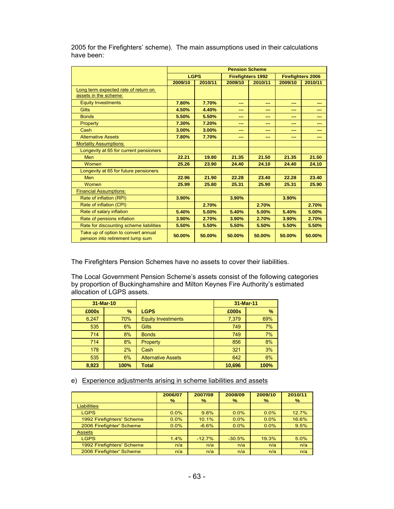|                                         | <b>Pension Scheme</b> |         |         |                          |                          |         |  |  |
|-----------------------------------------|-----------------------|---------|---------|--------------------------|--------------------------|---------|--|--|
|                                         | <b>LGPS</b>           |         |         | <b>Firefighters 1992</b> | <b>Firefighters 2006</b> |         |  |  |
|                                         | 2009/10               | 2010/11 | 2009/10 | 2010/11                  | 2009/10                  | 2010/11 |  |  |
| Long term expected rate of return on    |                       |         |         |                          |                          |         |  |  |
| assets in the scheme:                   |                       |         |         |                          |                          |         |  |  |
| <b>Equity Investments</b>               | 7.80%                 | 7.70%   | ---     | ---                      | ---                      | ---     |  |  |
| <b>Gilts</b>                            | 4.50%                 | 4.40%   | ---     | ---                      | ---                      | ---     |  |  |
| <b>Bonds</b>                            | 5.50%                 | 5.50%   | ---     | ---                      | ---                      | ---     |  |  |
| Property                                | 7.30%                 | 7.20%   | ---     | ---                      | ---                      | ---     |  |  |
| Cash                                    | 3.00%                 | 3.00%   | ---     | ---                      | ---                      | ---     |  |  |
| <b>Alternative Assets</b>               | 7.80%                 | 7.70%   | ---     | ---                      | ---                      | ---     |  |  |
| <b>Mortality Assumptions:</b>           |                       |         |         |                          |                          |         |  |  |
| Longevity at 65 for current pensioners  |                       |         |         |                          |                          |         |  |  |
| Men                                     | 22.21                 | 19.80   | 21.35   | 21.50                    | 21.35                    | 21.50   |  |  |
| Women                                   | 25.26                 | 23.90   | 24.40   | 24.10                    | 24.40                    | 24.10   |  |  |
| Longevity at 65 for future pensioners   |                       |         |         |                          |                          |         |  |  |
| Men                                     | 22.96                 | 21.90   | 22.28   | 23.40                    | 22.28                    | 23.40   |  |  |
| Women                                   | 25.99                 | 25.80   | 25.31   | 25.90                    | 25.31                    | 25.90   |  |  |
| <b>Financial Assumptions:</b>           |                       |         |         |                          |                          |         |  |  |
| Rate of inflation (RPI)                 | 3.90%                 |         | 3.90%   |                          | 3.90%                    |         |  |  |
| Rate of inflation (CPI)                 |                       | 2.70%   |         | 2.70%                    |                          | 2.70%   |  |  |
| Rate of salary inflation                | 5.40%                 | 5.00%   | 5.40%   | 5.00%                    | 5.40%                    | 5.00%   |  |  |
| Rate of pensions inflation              | 3.90%                 | 2.70%   | 3.90%   | 2.70%                    | 3.90%                    | 2.70%   |  |  |
| Rate for discounting scheme liabilities | 5.50%                 | 5.50%   | 5.50%   | 5.50%                    | 5.50%                    | 5.50%   |  |  |
| Take up of option to convert annual     |                       |         |         |                          |                          |         |  |  |
| pension into retirement lump sum        | 50.00%                | 50.00%  | 50.00%  | 50.00%                   | 50.00%                   | 50.00%  |  |  |

2005 for the Firefighters' scheme). The main assumptions used in their calculations have been:

The Firefighters Pension Schemes have no assets to cover their liabilities.

The Local Government Pension Scheme's assets consist of the following categories by proportion of Buckinghamshire and Milton Keynes Fire Authority's estimated allocation of LGPS assets.

|       | 31-Mar-10 |                           | 31-Mar-11 |      |
|-------|-----------|---------------------------|-----------|------|
| £000s | $\%$      | <b>LGPS</b>               | £000s     | $\%$ |
| 6,247 | 70%       | <b>Equity Investments</b> | 7,379     | 69%  |
| 535   | 6%        | <b>Gilts</b>              | 749       | 7%   |
| 714   | 8%        | <b>Bonds</b>              | 749       | 7%   |
| 714   | 8%        | <b>Property</b>           | 856       | 8%   |
| 178   | 2%        | Cash                      | 321       | 3%   |
| 535   | 6%        | <b>Alternative Assets</b> | 642       | 6%   |
| 8.923 | 100%      | Total                     | 10,696    | 100% |

e) Experience adjustments arising in scheme liabilities and assets

|                           | 2006/07<br>℅ | 2007/08<br>% | 2008/09<br>% | 2009/10<br>$\%$ | 2010/11<br>% |
|---------------------------|--------------|--------------|--------------|-----------------|--------------|
| <b>Liabilities</b>        |              |              |              |                 |              |
| <b>LGPS</b>               | 0.0%         | 9.8%         | $0.0\%$      | $0.0\%$         | 12.7%        |
| 1992 Firefighters' Scheme | 0.0%         | 10.1%        | $0.0\%$      | $0.0\%$         | 16.6%        |
| 2006 Firefighter' Scheme  | 0.0%         | $-6.6%$      | 0.0%         | 0.0%            | 9.5%         |
| <b>Assets</b>             |              |              |              |                 |              |
| <b>LGPS</b>               | 1.4%         | $-12.7%$     | $-30.5%$     | 19.3%           | 5.0%         |
| 1992 Firefighters' Scheme | n/a          | n/a          | n/a          | n/a             | n/a          |
| 2006 Firefighter' Scheme  | n/a          | n/a          | n/a          | n/a             | n/a          |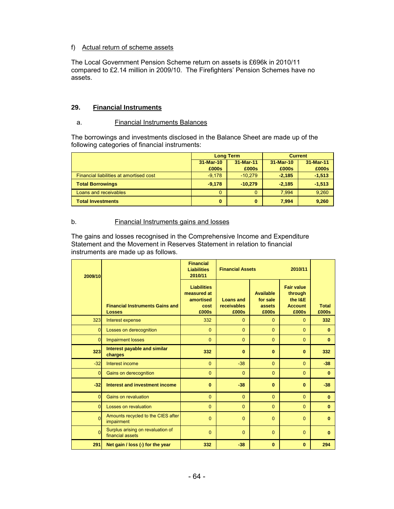# f) Actual return of scheme assets

The Local Government Pension Scheme return on assets is £696k in 2010/11 compared to £2.14 million in 2009/10. The Firefighters' Pension Schemes have no assets.

# **29. Financial Instruments**

#### a. Financial Instruments Balances

The borrowings and investments disclosed in the Balance Sheet are made up of the following categories of financial instruments:

|                                         |           | <b>Long Term</b> | <b>Current</b> |           |  |
|-----------------------------------------|-----------|------------------|----------------|-----------|--|
|                                         | 31-Mar-10 | 31-Mar-11        | 31-Mar-10      | 31-Mar-11 |  |
|                                         | £000s     | £000s            | £000s          | £000s     |  |
| Financial liabilities at amortised cost | $-9.178$  | $-10.279$        | $-2,185$       | $-1,513$  |  |
| <b>Total Borrowings</b>                 | $-9.178$  | $-10.279$        | $-2.185$       | $-1,513$  |  |
| Loans and receivables                   | 0         | $\Omega$         | 7.994          | 9,260     |  |
| <b>Total Investments</b>                | 0         | $\bf{0}$         | 7.994          | 9,260     |  |

#### b. Financial Instruments gains and losses

The gains and losses recognised in the Comprehensive Income and Expenditure Statement and the Movement in Reserves Statement in relation to financial instruments are made up as follows.

| 2009/10        |                                                         | <b>Financial</b><br><b>Liabilities</b><br>2010/11               | <b>Financial Assets</b><br>2010/11       |                                                 |                                                                    |                       |
|----------------|---------------------------------------------------------|-----------------------------------------------------------------|------------------------------------------|-------------------------------------------------|--------------------------------------------------------------------|-----------------------|
|                | <b>Financial Instruments Gains and</b><br><b>Losses</b> | <b>Liabilities</b><br>measured at<br>amortised<br>cost<br>£000s | <b>Loans and</b><br>receivables<br>£000s | <b>Available</b><br>for sale<br>assets<br>£000s | <b>Fair value</b><br>through<br>the I&E<br><b>Account</b><br>£000s | <b>Total</b><br>£000s |
| 323            | Interest expense                                        | 332                                                             | $\Omega$                                 | $\Omega$                                        | $\Omega$                                                           | 332                   |
| 0              | Losses on derecognition                                 | $\Omega$                                                        | $\Omega$                                 | $\Omega$                                        | $\Omega$                                                           | $\bf{0}$              |
| $\overline{0}$ | <b>Impairment losses</b>                                | $\Omega$                                                        | $\Omega$                                 | $\Omega$                                        | $\Omega$                                                           | $\bf{0}$              |
| 323            | Interest payable and similar<br>charges                 | 332                                                             | $\bf{0}$                                 | $\bf{0}$                                        | $\bf{0}$                                                           | 332                   |
| $-32$          | Interest income                                         | $\Omega$                                                        | $-38$                                    | $\Omega$                                        | $\Omega$                                                           | $-38$                 |
| 0              | Gains on derecognition                                  | $\Omega$                                                        | $\Omega$                                 | $\Omega$                                        | $\Omega$                                                           | $\bf{0}$              |
| $-32$          | Interest and investment income                          | $\bf{0}$                                                        | $-38$                                    | $\bf{0}$                                        | $\bf{0}$                                                           | $-38$                 |
| $\Omega$       | <b>Gains on revaluation</b>                             | $\Omega$                                                        | $\Omega$                                 | $\Omega$                                        | $\Omega$                                                           | $\bf{0}$              |
| $\Omega$       | Losses on revaluation                                   | $\Omega$                                                        | $\Omega$                                 | $\Omega$                                        | $\Omega$                                                           | $\bf{0}$              |
| $\Omega$       | Amounts recycled to the CIES after<br>impairment        | $\Omega$                                                        | $\Omega$                                 | $\Omega$                                        | $\Omega$                                                           | $\bf{0}$              |
| $\Omega$       | Surplus arising on revaluation of<br>financial assets   | $\overline{0}$                                                  | $\Omega$                                 | $\Omega$                                        | $\Omega$                                                           | $\bf{0}$              |
| 291            | Net gain / loss (-) for the year                        | 332                                                             | $-38$                                    | $\bf{0}$                                        | $\bf{0}$                                                           | 294                   |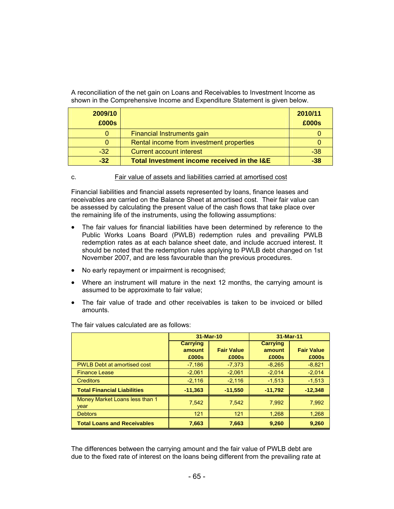A reconciliation of the net gain on Loans and Receivables to Investment Income as shown in the Comprehensive Income and Expenditure Statement is given below.

| 2009/10<br>£000s |                                             | 2010/11<br>£000s |
|------------------|---------------------------------------------|------------------|
|                  | Financial Instruments gain                  |                  |
|                  | Rental income from investment properties    |                  |
| $-32$            | Current account interest                    | $-38$            |
| $-32$            | Total Investment income received in the I&E | $-38$            |

#### c. Fair value of assets and liabilities carried at amortised cost

Financial liabilities and financial assets represented by loans, finance leases and receivables are carried on the Balance Sheet at amortised cost. Their fair value can be assessed by calculating the present value of the cash flows that take place over the remaining life of the instruments, using the following assumptions:

- The fair values for financial liabilities have been determined by reference to the Public Works Loans Board (PWLB) redemption rules and prevailing PWLB redemption rates as at each balance sheet date, and include accrued interest. It should be noted that the redemption rules applying to PWLB debt changed on 1st November 2007, and are less favourable than the previous procedures.
- No early repayment or impairment is recognised;
- Where an instrument will mature in the next 12 months, the carrying amount is assumed to be approximate to fair value;
- The fair value of trade and other receivables is taken to be invoiced or billed amounts.

|                                        | 31-Mar-10                          |                            | 31-Mar-11                          |                            |  |
|----------------------------------------|------------------------------------|----------------------------|------------------------------------|----------------------------|--|
|                                        | <b>Carrying</b><br>amount<br>£000s | <b>Fair Value</b><br>£000s | <b>Carrying</b><br>amount<br>£000s | <b>Fair Value</b><br>£000s |  |
| <b>PWLB Debt at amortised cost</b>     | $-7,186$                           | $-7,373$                   | $-8.265$                           | $-8,821$                   |  |
| <b>Finance Lease</b>                   | $-2,061$                           | $-2.061$                   | $-2,014$                           | $-2,014$                   |  |
| <b>Creditors</b>                       | $-2,116$                           | $-2,116$                   | $-1,513$                           | $-1,513$                   |  |
| <b>Total Financial Liabilities</b>     | $-11,363$                          | $-11,550$                  | $-11,792$                          | $-12,348$                  |  |
| Money Market Loans less than 1<br>vear | 7,542                              | 7.542                      | 7.992                              | 7.992                      |  |
| <b>Debtors</b>                         | 121                                | 121                        | 1,268                              | 1,268                      |  |
| <b>Total Loans and Receivables</b>     | 7,663                              | 7,663                      | 9,260                              | 9.260                      |  |

The fair values calculated are as follows:

The differences between the carrying amount and the fair value of PWLB debt are due to the fixed rate of interest on the loans being different from the prevailing rate at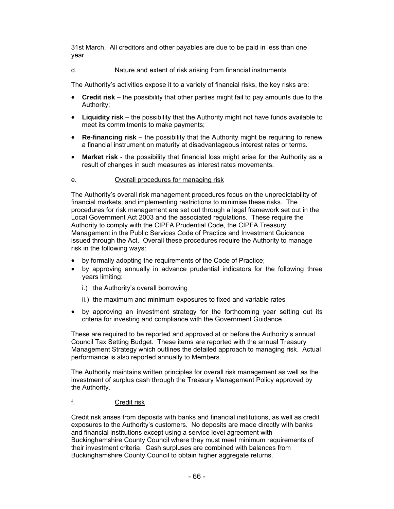31st March. All creditors and other payables are due to be paid in less than one year.

# d. Nature and extent of risk arising from financial instruments

The Authority's activities expose it to a variety of financial risks, the key risks are:

- **Credit risk** the possibility that other parties might fail to pay amounts due to the Authority;
- **Liquidity risk** the possibility that the Authority might not have funds available to meet its commitments to make payments;
- **Re-financing risk** the possibility that the Authority might be requiring to renew a financial instrument on maturity at disadvantageous interest rates or terms.
- **Market risk** the possibility that financial loss might arise for the Authority as a result of changes in such measures as interest rates movements.

### e. Overall procedures for managing risk

The Authority's overall risk management procedures focus on the unpredictability of financial markets, and implementing restrictions to minimise these risks. The procedures for risk management are set out through a legal framework set out in the Local Government Act 2003 and the associated regulations. These require the Authority to comply with the CIPFA Prudential Code, the CIPFA Treasury Management in the Public Services Code of Practice and Investment Guidance issued through the Act. Overall these procedures require the Authority to manage risk in the following ways:

- by formally adopting the requirements of the Code of Practice;
- by approving annually in advance prudential indicators for the following three years limiting:
	- i.) the Authority's overall borrowing
	- ii.) the maximum and minimum exposures to fixed and variable rates
- by approving an investment strategy for the forthcoming year setting out its criteria for investing and compliance with the Government Guidance.

These are required to be reported and approved at or before the Authority's annual Council Tax Setting Budget. These items are reported with the annual Treasury Management Strategy which outlines the detailed approach to managing risk. Actual performance is also reported annually to Members.

The Authority maintains written principles for overall risk management as well as the investment of surplus cash through the Treasury Management Policy approved by the Authority.

### f. Credit risk

Credit risk arises from deposits with banks and financial institutions, as well as credit exposures to the Authority's customers. No deposits are made directly with banks and financial institutions except using a service level agreement with Buckinghamshire County Council where they must meet minimum requirements of their investment criteria. Cash surpluses are combined with balances from Buckinghamshire County Council to obtain higher aggregate returns.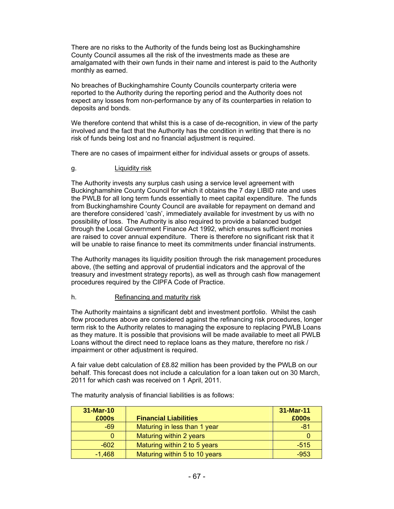There are no risks to the Authority of the funds being lost as Buckinghamshire County Council assumes all the risk of the investments made as these are amalgamated with their own funds in their name and interest is paid to the Authority monthly as earned.

No breaches of Buckinghamshire County Councils counterparty criteria were reported to the Authority during the reporting period and the Authority does not expect any losses from non-performance by any of its counterparties in relation to deposits and bonds.

We therefore contend that whilst this is a case of de-recognition, in view of the party involved and the fact that the Authority has the condition in writing that there is no risk of funds being lost and no financial adjustment is required.

There are no cases of impairment either for individual assets or groups of assets.

### g. **Liquidity risk**

The Authority invests any surplus cash using a service level agreement with Buckinghamshire County Council for which it obtains the 7 day LIBID rate and uses the PWLB for all long term funds essentially to meet capital expenditure. The funds from Buckinghamshire County Council are available for repayment on demand and are therefore considered 'cash', immediately available for investment by us with no possibility of loss. The Authority is also required to provide a balanced budget through the Local Government Finance Act 1992, which ensures sufficient monies are raised to cover annual expenditure. There is therefore no significant risk that it will be unable to raise finance to meet its commitments under financial instruments.

The Authority manages its liquidity position through the risk management procedures above, (the setting and approval of prudential indicators and the approval of the treasury and investment strategy reports), as well as through cash flow management procedures required by the CIPFA Code of Practice.

### h. Refinancing and maturity risk

The Authority maintains a significant debt and investment portfolio. Whilst the cash flow procedures above are considered against the refinancing risk procedures, longer term risk to the Authority relates to managing the exposure to replacing PWLB Loans as they mature. It is possible that provisions will be made available to meet all PWLB Loans without the direct need to replace loans as they mature, therefore no risk / impairment or other adjustment is required.

A fair value debt calculation of £8.82 million has been provided by the PWLB on our behalf. This forecast does not include a calculation for a loan taken out on 30 March, 2011 for which cash was received on 1 April, 2011.

| 31-Mar-10 |                               | 31-Mar-11 |
|-----------|-------------------------------|-----------|
| £000s     | <b>Financial Liabilities</b>  | £000s     |
| $-69$     | Maturing in less than 1 year  | $-81$     |
|           | Maturing within 2 years       |           |
| $-602$    | Maturing within 2 to 5 years  | $-515$    |
| $-1,468$  | Maturing within 5 to 10 years | $-953$    |

The maturity analysis of financial liabilities is as follows: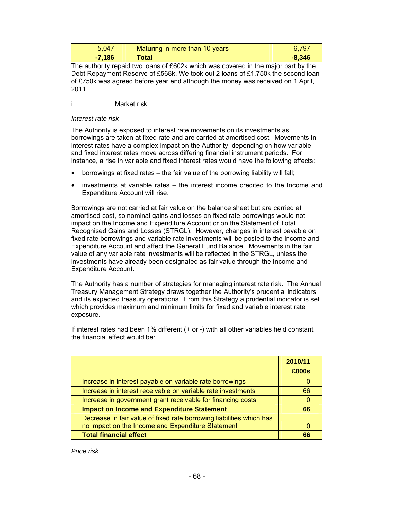| $-5,047$ | Maturing in more than 10 years | $-6,797$ |
|----------|--------------------------------|----------|
| $-7,186$ | Total                          | $-8,346$ |

The authority repaid two loans of £602k which was covered in the major part by the Debt Repayment Reserve of £568k. We took out 2 loans of £1,750k the second loan of £750k was agreed before year end although the money was received on 1 April, 2011.

# i. Market risk

#### *Interest rate risk*

The Authority is exposed to interest rate movements on its investments as borrowings are taken at fixed rate and are carried at amortised cost. Movements in interest rates have a complex impact on the Authority, depending on how variable and fixed interest rates move across differing financial instrument periods. For instance, a rise in variable and fixed interest rates would have the following effects:

- borrowings at fixed rates the fair value of the borrowing liability will fall;
- investments at variable rates the interest income credited to the Income and Expenditure Account will rise.

Borrowings are not carried at fair value on the balance sheet but are carried at amortised cost, so nominal gains and losses on fixed rate borrowings would not impact on the Income and Expenditure Account or on the Statement of Total Recognised Gains and Losses (STRGL). However, changes in interest payable on fixed rate borrowings and variable rate investments will be posted to the Income and Expenditure Account and affect the General Fund Balance. Movements in the fair value of any variable rate investments will be reflected in the STRGL, unless the investments have already been designated as fair value through the Income and Expenditure Account.

The Authority has a number of strategies for managing interest rate risk. The Annual Treasury Management Strategy draws together the Authority's prudential indicators and its expected treasury operations. From this Strategy a prudential indicator is set which provides maximum and minimum limits for fixed and variable interest rate exposure.

If interest rates had been 1% different (+ or -) with all other variables held constant the financial effect would be:

|                                                                      | 2010/11<br>£000s |
|----------------------------------------------------------------------|------------------|
| Increase in interest payable on variable rate borrowings             |                  |
| Increase in interest receivable on variable rate investments         | 66               |
| Increase in government grant receivable for financing costs          |                  |
| <b>Impact on Income and Expenditure Statement</b>                    | 66               |
| Decrease in fair value of fixed rate borrowing liabilities which has |                  |
| no impact on the Income and Expenditure Statement                    |                  |
| <b>Total financial effect</b>                                        | 66               |

*Price risk*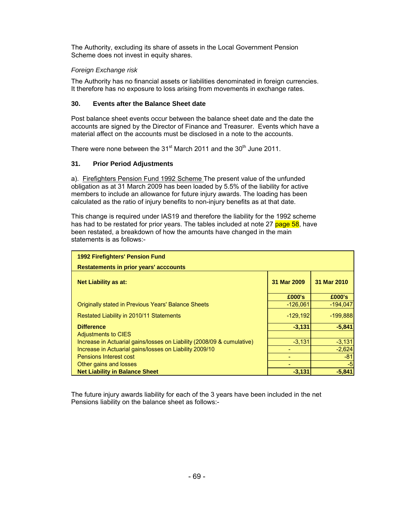The Authority, excluding its share of assets in the Local Government Pension Scheme does not invest in equity shares.

# *Foreign Exchange risk*

The Authority has no financial assets or liabilities denominated in foreign currencies. It therefore has no exposure to loss arising from movements in exchange rates.

### **30. Events after the Balance Sheet date**

Post balance sheet events occur between the balance sheet date and the date the accounts are signed by the Director of Finance and Treasurer. Events which have a material affect on the accounts must be disclosed in a note to the accounts.

There were none between the 31<sup>st</sup> March 2011 and the 30<sup>th</sup> June 2011.

### **31. Prior Period Adjustments**

a). Firefighters Pension Fund 1992 Scheme The present value of the unfunded obligation as at 31 March 2009 has been loaded by 5.5% of the liability for active members to include an allowance for future injury awards. The loading has been calculated as the ratio of injury benefits to non-injury benefits as at that date.

This change is required under IAS19 and therefore the liability for the 1992 scheme has had to be restated for prior years. The tables included at note 27 page 58, have been restated, a breakdown of how the amounts have changed in the main statements is as follows:-

| <b>1992 Firefighters' Pension Fund</b>                                 |             |             |  |  |
|------------------------------------------------------------------------|-------------|-------------|--|--|
| <b>Restatements in prior years' acccounts</b>                          |             |             |  |  |
| <b>Net Liability as at:</b>                                            | 31 Mar 2009 | 31 Mar 2010 |  |  |
|                                                                        | £000's      | £000's      |  |  |
| <b>Originally stated in Previous Years' Balance Sheets</b>             | $-126,061$  | $-194,047$  |  |  |
| Restated Liability in 2010/11 Statements                               | $-129,192$  | $-199,888$  |  |  |
| <b>Difference</b>                                                      | $-3,131$    | $-5,841$    |  |  |
| Adjustments to CIES                                                    |             |             |  |  |
| Increase in Actuarial gains/losses on Liability (2008/09 & cumulative) | $-3,131$    | $-3,131$    |  |  |
| Increase in Actuarial gains/losses on Liability 2009/10                |             | $-2,624$    |  |  |
| <b>Pensions Interest cost</b>                                          |             | $-81$       |  |  |
| Other gains and losses                                                 |             | $-5$        |  |  |
| <b>Net Liability in Balance Sheet</b>                                  | $-3.131$    | $-5,841$    |  |  |

The future injury awards liability for each of the 3 years have been included in the net Pensions liability on the balance sheet as follows:-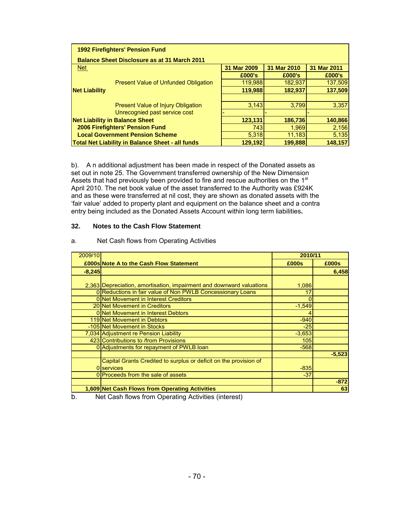| <b>1992 Firefighters' Pension Fund</b>              |             |             |             |  |  |  |  |  |
|-----------------------------------------------------|-------------|-------------|-------------|--|--|--|--|--|
| <b>Balance Sheet Disclosure as at 31 March 2011</b> |             |             |             |  |  |  |  |  |
| Net                                                 | 31 Mar 2009 | 31 Mar 2010 | 31 Mar 2011 |  |  |  |  |  |
|                                                     | £000's      | £000's      | £000's      |  |  |  |  |  |
| <b>Present Value of Unfunded Obligation</b>         | 119,988     | 182,937     | 137,509     |  |  |  |  |  |
| <b>Net Liability</b>                                | 119,988     | 182,937     | 137,509     |  |  |  |  |  |
|                                                     |             |             |             |  |  |  |  |  |
| <b>Present Value of Injury Obligation</b>           | 3,143       | 3.799       | 3,357       |  |  |  |  |  |
| Unrecognied past service cost                       |             |             |             |  |  |  |  |  |
| <b>Net Liability in Balance Sheet</b>               | 123,131     | 186,736     | 140,866     |  |  |  |  |  |
| 2006 Firefighters' Pension Fund                     | 743         | 1,969       | 2,156       |  |  |  |  |  |
| <b>Local Government Pension Scheme</b>              | 5,318       | 11,183      | 5,135       |  |  |  |  |  |
| Total Net Liability in Balance Sheet - all funds    | 129,192     | 199,888     | 148,157     |  |  |  |  |  |

b). A n additional adjustment has been made in respect of the Donated assets as set out in note 25. The Government transferred ownership of the New Dimension Assets that had previously been provided to fire and rescue authorities on the 1<sup>st</sup> April 2010. The net book value of the asset transferred to the Authority was £924K and as these were transferred at nil cost, they are shown as donated assets with the 'fair value' added to property plant and equipment on the balance sheet and a contra entry being included as the Donated Assets Account within long term liabilities**.**

#### **32. Notes to the Cash Flow Statement**

| 2009/10  |                                                                      | 2010/11  |          |
|----------|----------------------------------------------------------------------|----------|----------|
|          | <b>£000s Note A to the Cash Flow Statement</b>                       | £000s    | £000s    |
| $-8,245$ |                                                                      |          | 6,458    |
|          |                                                                      |          |          |
|          | 2,363 Depreciation, amortisation, impairment and downward valuations | 1,086    |          |
|          | 0 Reductions in fair value of Non PWLB Concessionary Loans           | 17       |          |
|          | 0 Net Movement in Interest Creditors                                 | 0        |          |
|          | 20 Net Movement in Creditors                                         | $-1.549$ |          |
|          | 0 Net Movement in Interest Debtors                                   |          |          |
|          | 119 Net Movement in Debtors                                          | $-940$   |          |
|          | -105 Net Movement in Stocks                                          | $-25$    |          |
|          | 7,034 Adjustment re Pension Liability                                | $-3,653$ |          |
|          | 423 Contributions to /from Provisions                                | 105      |          |
|          | 0 Adjustments for repayment of PWLB loan                             | $-568$   |          |
|          |                                                                      |          | $-5,523$ |
|          | Capital Grants Credited to surplus or deficit on the provision of    |          |          |
|          | 0 services                                                           | $-835$   |          |
|          | 0 Proceeds from the sale of assets                                   | $-37$    |          |
|          |                                                                      |          | $-872$   |
|          | 1,609 Net Cash Flows from Operating Activities                       |          | 63       |

#### a. Net Cash flows from Operating Activities

b. Net Cash flows from Operating Activities (interest)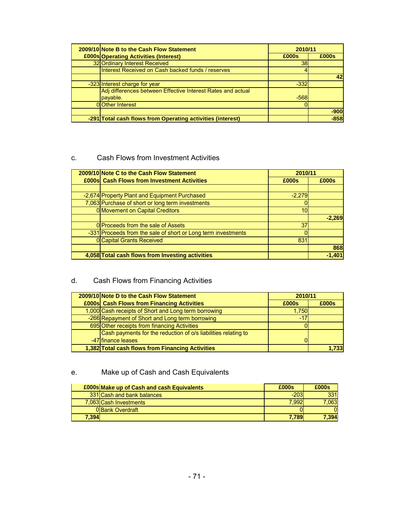| 2009/10 Note B to the Cash Flow Statement                   |        | 2010/11 |  |  |  |
|-------------------------------------------------------------|--------|---------|--|--|--|
| £000s Operating Activities (Interest)                       | £000s  | £000s   |  |  |  |
| 32 Ordinary Interest Received                               | 38     |         |  |  |  |
| Interest Received on Cash backed funds / reserves           |        |         |  |  |  |
|                                                             |        | 42      |  |  |  |
| -323 Interest charge for year                               | $-332$ |         |  |  |  |
| Adj differences between Effective Interest Rates and actual |        |         |  |  |  |
| payable.                                                    | $-568$ |         |  |  |  |
| <b>OOther Interest</b>                                      |        |         |  |  |  |
|                                                             |        | $-900$  |  |  |  |
| -291 Total cash flows from Operating activities (interest)  |        | $-858$  |  |  |  |

## c. Cash Flows from Investment Activities

| 2009/10 Note C to the Cash Flow Statement                     |          | 2010/11       |  |
|---------------------------------------------------------------|----------|---------------|--|
| £000s Cash Flows from Investment Activities                   | £000s    | £000s         |  |
|                                                               |          |               |  |
| -2,674 Property Plant and Equipment Purchased                 | $-2,279$ |               |  |
| 7,063 Purchase of short or long term investments              |          |               |  |
| 0 Movement on Capital Creditors                               | 10       |               |  |
|                                                               |          | $-2.269$      |  |
| 0 Proceeds from the sale of Assets                            | 37       |               |  |
| -331 Proceeds from the sale of short or Long term investments |          |               |  |
| <b>0</b> Capital Grants Received                              | 831      |               |  |
|                                                               |          | 868           |  |
| 4,058 Total cash flows from Investing activities              |          | $-1.40^\circ$ |  |

## d. Cash Flows from Financing Activities

| 2009/10 Note D to the Cash Flow Statement                      | 2010/11 |        |  |  |
|----------------------------------------------------------------|---------|--------|--|--|
| £000s Cash Flows from Financing Activities                     | £000s   | £000s  |  |  |
| 1,000 Cash receipts of Short and Long term borrowing           | 1,750   |        |  |  |
| -266 Repayment of Short and Long term borrowing                | $-17$   |        |  |  |
| 695 Other receipts from financing Activities                   |         |        |  |  |
| Cash payments for the reduction of o/s liabilities relating to |         |        |  |  |
| -47 finance leases                                             |         |        |  |  |
| 1,382 Total cash flows from Financing Activities               |         | 1.7331 |  |  |

## e. Make up of Cash and Cash Equivalents

|       | <b>£000s Make up of Cash and cash Equivalents</b> | £000s  | £000s    |
|-------|---------------------------------------------------|--------|----------|
|       | 331 Cash and bank balances                        | $-203$ | 331      |
|       | 7,063 Cash Investments                            | 7.992  | 7.063    |
|       | <b>OBank Overdraft</b>                            |        | $\Omega$ |
| 7,394 |                                                   | 7.789I | 7,394    |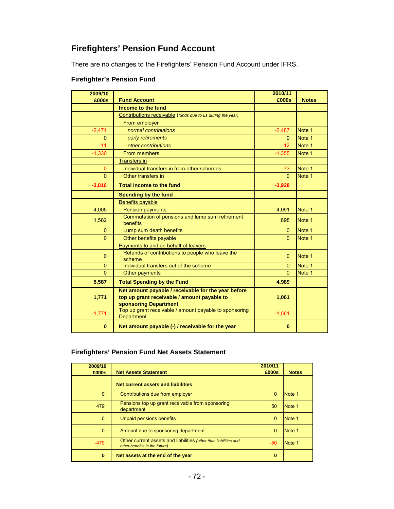## **Firefighters' Pension Fund Account**

There are no changes to the Firefighters' Pension Fund Account under IFRS.

| 2009/10      |                                                                                                                             | 2010/11  |              |
|--------------|-----------------------------------------------------------------------------------------------------------------------------|----------|--------------|
| £000s        | <b>Fund Account</b>                                                                                                         | £000s    | <b>Notes</b> |
|              | Income to the fund                                                                                                          |          |              |
|              | Contributions receivable (funds due to us during the year)                                                                  |          |              |
|              | From employer                                                                                                               |          |              |
| $-2,474$     | normal contributions                                                                                                        | $-2,487$ | Note 1       |
| $\Omega$     | early retirements                                                                                                           | $\Omega$ | Note 1       |
| $-11$        | other contributions                                                                                                         | $-12$    | Note 1       |
| $-1,330$     | From members                                                                                                                | $-1,355$ | Note 1       |
|              | <b>Transfers in</b>                                                                                                         |          |              |
| $-0$         | Individual transfers in from other schemes                                                                                  | $-73$    | Note 1       |
| $\Omega$     | Other transfers in                                                                                                          | $\Omega$ | Note 1       |
| $-3,816$     | <b>Total Income to the fund</b>                                                                                             | $-3,928$ |              |
|              | <b>Spending by the fund</b>                                                                                                 |          |              |
|              | <b>Benefits payable</b>                                                                                                     |          |              |
| 4,005        | <b>Pension payments</b>                                                                                                     | 4,091    | Note 1       |
| 1,582        | Commutation of pensions and lump sum retirement<br>benefits                                                                 | 898      | Note 1       |
| $\Omega$     | Lump sum death benefits                                                                                                     | $\Omega$ | Note 1       |
| $\Omega$     | Other benefits payable                                                                                                      | $\Omega$ | Note 1       |
|              | Payments to and on behalf of leavers                                                                                        |          |              |
| $\mathbf{0}$ | Refunds of contributions to people who leave the<br>scheme                                                                  | $\Omega$ | Note 1       |
| $\mathbf{0}$ | Individual transfers out of the scheme                                                                                      | 0        | Note 1       |
| $\Omega$     | Other payments                                                                                                              | $\Omega$ | Note 1       |
| 5,587        | <b>Total Spending by the Fund</b>                                                                                           | 4,989    |              |
| 1,771        | Net amount payable / receivable for the year before<br>top up grant receivable / amount payable to<br>sponsoring Department | 1,061    |              |
| $-1,771$     | Top up grant receivable / amount payable to sponsoring<br>Department                                                        | $-1,061$ |              |
| $\bf{0}$     | Net amount payable (-) / receivable for the year                                                                            | $\bf{0}$ |              |

### **Firefighter's Pension Fund**

#### **Firefighters' Pension Fund Net Assets Statement**

| 2009/10  |                                                                                                   | 2010/11  |              |
|----------|---------------------------------------------------------------------------------------------------|----------|--------------|
| £000s    | <b>Net Assets Statement</b>                                                                       | £000s    | <b>Notes</b> |
|          | Net current assets and liabilities                                                                |          |              |
| $\Omega$ | Contributions due from employer                                                                   | $\Omega$ | Note 1       |
| 479      | Pensions top up grant receivable from sponsoring<br>department                                    | 50       | Note 1       |
| $\Omega$ | Unpaid pensions benefits                                                                          | $\Omega$ | Note 1       |
| $\Omega$ | Amount due to sponsoring department                                                               | $\Omega$ | Note 1       |
| $-479$   | Other current assets and liabilities (other than liabilities and<br>other benefits in the future) | -50      | Note 1       |
| $\bf{0}$ | Net assets at the end of the year                                                                 | $\bf{0}$ |              |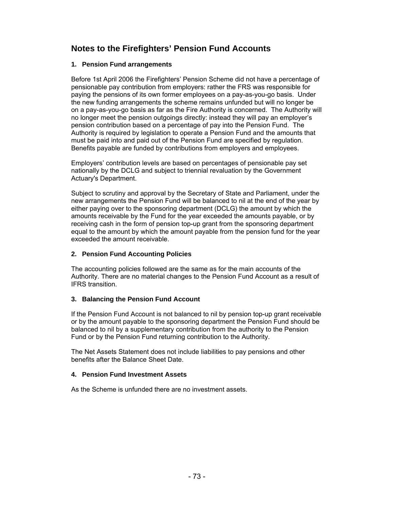## **Notes to the Firefighters' Pension Fund Accounts**

#### **1. Pension Fund arrangements**

Before 1st April 2006 the Firefighters' Pension Scheme did not have a percentage of pensionable pay contribution from employers: rather the FRS was responsible for paying the pensions of its own former employees on a pay-as-you-go basis. Under the new funding arrangements the scheme remains unfunded but will no longer be on a pay-as-you-go basis as far as the Fire Authority is concerned. The Authority will no longer meet the pension outgoings directly: instead they will pay an employer's pension contribution based on a percentage of pay into the Pension Fund. The Authority is required by legislation to operate a Pension Fund and the amounts that must be paid into and paid out of the Pension Fund are specified by regulation. Benefits payable are funded by contributions from employers and employees.

Employers' contribution levels are based on percentages of pensionable pay set nationally by the DCLG and subject to triennial revaluation by the Government Actuary's Department.

Subject to scrutiny and approval by the Secretary of State and Parliament, under the new arrangements the Pension Fund will be balanced to nil at the end of the year by either paying over to the sponsoring department (DCLG) the amount by which the amounts receivable by the Fund for the year exceeded the amounts payable, or by receiving cash in the form of pension top-up grant from the sponsoring department equal to the amount by which the amount payable from the pension fund for the year exceeded the amount receivable.

#### **2. Pension Fund Accounting Policies**

The accounting policies followed are the same as for the main accounts of the Authority. There are no material changes to the Pension Fund Account as a result of IFRS transition.

#### **3. Balancing the Pension Fund Account**

If the Pension Fund Account is not balanced to nil by pension top-up grant receivable or by the amount payable to the sponsoring department the Pension Fund should be balanced to nil by a supplementary contribution from the authority to the Pension Fund or by the Pension Fund returning contribution to the Authority.

The Net Assets Statement does not include liabilities to pay pensions and other benefits after the Balance Sheet Date.

#### **4. Pension Fund Investment Assets**

As the Scheme is unfunded there are no investment assets.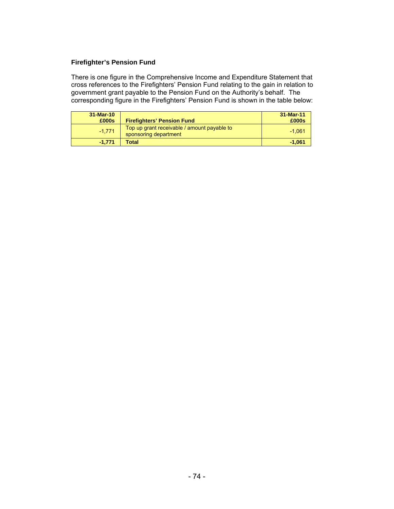#### **Firefighter's Pension Fund**

There is one figure in the Comprehensive Income and Expenditure Statement that cross references to the Firefighters' Pension Fund relating to the gain in relation to government grant payable to the Pension Fund on the Authority's behalf. The corresponding figure in the Firefighters' Pension Fund is shown in the table below:

| 31-Mar-10 |                                                                      | $31-Mar-11$ |
|-----------|----------------------------------------------------------------------|-------------|
| £000s     | <b>Firefighters' Pension Fund</b>                                    | £000s       |
| $-1.771$  | Top up grant receivable / amount payable to<br>sponsoring department | $-1.061$    |
| $-1.771$  | Total                                                                | $-1.061$    |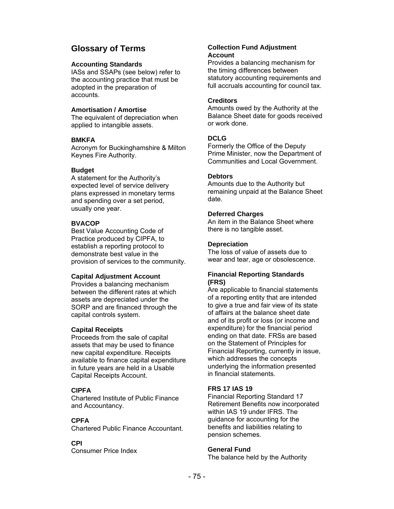## **Glossary of Terms**

#### **Accounting Standards**

IASs and SSAPs (see below) refer to the accounting practice that must be adopted in the preparation of accounts.

#### **Amortisation / Amortise**

The equivalent of depreciation when applied to intangible assets.

#### **BMKFA**

Acronym for Buckinghamshire & Milton Keynes Fire Authority.

#### **Budget**

A statement for the Authority's expected level of service delivery plans expressed in monetary terms and spending over a set period, usually one year.

#### **BVACOP**

Best Value Accounting Code of Practice produced by CIPFA, to establish a reporting protocol to demonstrate best value in the provision of services to the community.

#### **Capital Adjustment Account**

Provides a balancing mechanism between the different rates at which assets are depreciated under the SORP and are financed through the capital controls system.

#### **Capital Receipts**

Proceeds from the sale of capital assets that may be used to finance new capital expenditure. Receipts available to finance capital expenditure in future years are held in a Usable Capital Receipts Account.

#### **CIPFA**

Chartered Institute of Public Finance and Accountancy.

#### **CPFA**

Chartered Public Finance Accountant.

#### **CPI**

Consumer Price Index

#### **Collection Fund Adjustment Account**

Provides a balancing mechanism for the timing differences between statutory accounting requirements and full accruals accounting for council tax.

#### **Creditors**

Amounts owed by the Authority at the Balance Sheet date for goods received or work done.

#### **DCLG**

Formerly the Office of the Deputy Prime Minister, now the Department of Communities and Local Government.

#### **Debtors**

Amounts due to the Authority but remaining unpaid at the Balance Sheet date.

#### **Deferred Charges**

An item in the Balance Sheet where there is no tangible asset.

#### **Depreciation**

The loss of value of assets due to wear and tear, age or obsolescence.

#### **Financial Reporting Standards (FRS)**

Are applicable to financial statements of a reporting entity that are intended to give a true and fair view of its state of affairs at the balance sheet date and of its profit or loss (or income and expenditure) for the financial period ending on that date. FRSs are based on the Statement of Principles for Financial Reporting, currently in issue, which addresses the concepts underlying the information presented in financial statements.

#### **FRS 17 IAS 19**

Financial Reporting Standard 17 Retirement Benefits now incorporated within IAS 19 under IFRS. The guidance for accounting for the benefits and liabilities relating to pension schemes.

#### **General Fund**

The balance held by the Authority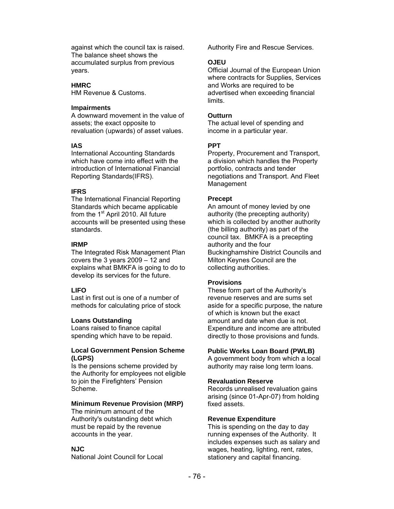against which the council tax is raised. The balance sheet shows the accumulated surplus from previous years.

#### **HMRC**

HM Revenue & Customs.

#### **Impairments**

A downward movement in the value of assets; the exact opposite to revaluation (upwards) of asset values.

#### **IAS**

International Accounting Standards which have come into effect with the introduction of International Financial Reporting Standards(IFRS).

#### **IFRS**

The International Financial Reporting Standards which became applicable from the  $1<sup>st</sup>$  April 2010. All future accounts will be presented using these standards.

#### **IRMP**

The Integrated Risk Management Plan covers the 3 years 2009 – 12 and explains what BMKFA is going to do to develop its services for the future.

#### **LIFO**

Last in first out is one of a number of methods for calculating price of stock

#### **Loans Outstanding**

Loans raised to finance capital spending which have to be repaid.

#### **Local Government Pension Scheme (LGPS)**

Is the pensions scheme provided by the Authority for employees not eligible to join the Firefighters' Pension Scheme.

#### **Minimum Revenue Provision (MRP)**

The minimum amount of the Authority's outstanding debt which must be repaid by the revenue accounts in the year.

#### **NJC**

National Joint Council for Local

Authority Fire and Rescue Services.

#### **OJEU**

Official Journal of the European Union where contracts for Supplies, Services and Works are required to be advertised when exceeding financial limits.

#### **Outturn**

The actual level of spending and income in a particular year.

#### **PPT**

Property, Procurement and Transport, a division which handles the Property portfolio, contracts and tender negotiations and Transport. And Fleet Management

#### **Precept**

An amount of money levied by one authority (the precepting authority) which is collected by another authority (the billing authority) as part of the council tax. BMKFA is a precepting authority and the four Buckinghamshire District Councils and Milton Keynes Council are the collecting authorities.

#### **Provisions**

These form part of the Authority's revenue reserves and are sums set aside for a specific purpose, the nature of which is known but the exact amount and date when due is not. Expenditure and income are attributed directly to those provisions and funds.

#### **Public Works Loan Board (PWLB)**

A government body from which a local authority may raise long term loans.

#### **Revaluation Reserve**

Records unrealised revaluation gains arising (since 01-Apr-07) from holding fixed assets.

#### **Revenue Expenditure**

This is spending on the day to day running expenses of the Authority. It includes expenses such as salary and wages, heating, lighting, rent, rates, stationery and capital financing.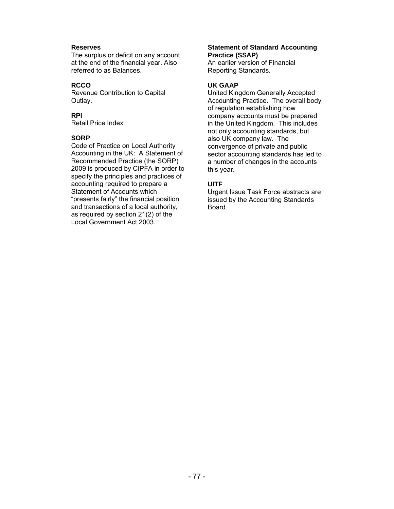#### **Reserves**

The surplus or deficit on any account at the end of the financial year. Also referred to as Balances.

#### **RCCO**

Revenue Contribution to Capital Outlay.

#### **RPI**

Retail Price Index

#### **SORP**

Code of Practice on Local Authority Accounting in the UK: A Statement of Recommended Practice (the SORP) 2009 is produced by CIPFA in order to specify the principles and practices of accounting required to prepare a Statement of Accounts which "presents fairly" the financial position and transactions of a local authority, as required by section 21(2) of the Local Government Act 2003.

#### **Statement of Standard Accounting Practice (SSAP)**

An earlier version of Financial Reporting Standards.

#### **UK GAAP**

United Kingdom Generally Accepted Accounting Practice. The overall body of regulation establishing how company accounts must be prepared in the United Kingdom. This includes not only accounting standards, but also UK company law. The convergence of private and public sector accounting standards has led to a number of changes in the accounts this year.

#### **UITF**

Urgent Issue Task Force abstracts are issued by the Accounting Standards Board.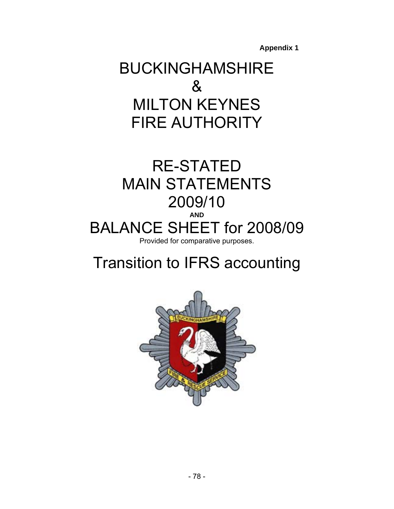**Appendix 1** 

## BUCKINGHAMSHIRE & MILTON KEYNES FIRE AUTHORITY

## RE-STATED MAIN STATEMENTS 2009/10 **AND**  BALANCE SHEET for 2008/09 Provided for comparative purposes.

# Transition to IFRS accounting

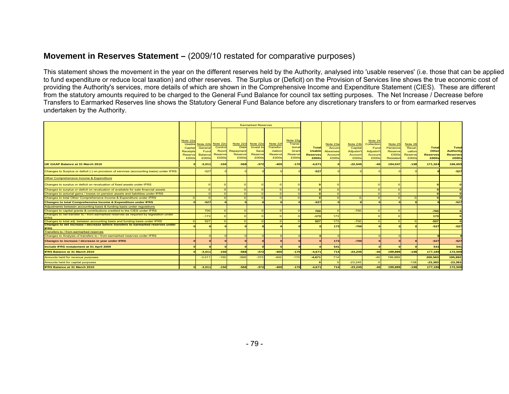## **Movement in Reserves Statement –** (2009/10 restated for comparative purposes)

This statement shows the movement in the year on the different reserves held by the Authority, analysed into 'usable reserves' (i.e. those that can be applied to fund expenditure or reduce local taxation) and other reserves. The Surplus or (Deficit) on the Provision of Services line shows the true economic cost of providing the Authority's services, more details of which are shown in the Comprehensive Income and Expenditure Statement (CIES). These are different from the statutory amounts required to be charged to the General Fund Balance for council tax setting purposes. The Net Increase / Decrease before Transfers to Earmarked Reserves line shows the Statutory General Fund Balance before any discretionary transfers to or from earmarked reserves undertaken by the Authority.

|                                                                                                      |                                                                      |                                                        |                                                        |                                                   | <b>Earmarked Reserves</b>                         |                                                    |                                                                   |                                                    |                                                  |                                                     |                                                                |                                                     |                                                          |                                                   |                                                       |
|------------------------------------------------------------------------------------------------------|----------------------------------------------------------------------|--------------------------------------------------------|--------------------------------------------------------|---------------------------------------------------|---------------------------------------------------|----------------------------------------------------|-------------------------------------------------------------------|----------------------------------------------------|--------------------------------------------------|-----------------------------------------------------|----------------------------------------------------------------|-----------------------------------------------------|----------------------------------------------------------|---------------------------------------------------|-------------------------------------------------------|
|                                                                                                      | Note 22a<br><b>Usable</b><br>Capital<br>Receipts<br>Reserve<br>£000s | Note 22b<br>General<br>Fund<br><b>Balance</b><br>£000s | Note 22d<br>Control<br>Room<br><b>Reserve</b><br>£000s | Note 22d<br>Debt<br>Repayment<br>Reserve<br>£000s | Note 22e<br>Invest to<br>Save<br>Reserve<br>£000s | Note 22<br>Transfor-<br>mation<br>Reserve<br>£000s | Note 22g<br><b>Transi-</b><br>tional<br>Grant<br>Reserve<br>£000s | Total<br><b>Usable</b><br><b>Reserves</b><br>£000s | Note 23a<br>Accun<br>Absenses<br>Accoun<br>£000s | Note 23b<br>Capita<br>Adjustm't<br>Account<br>£000s | Note 24<br>Collection<br>Func<br>Adjustm't<br>Account<br>£000s | Note 25<br>Pensions<br>Reserve<br>£000s<br>Restated | Note $26$<br><b>Reval-</b><br>uation<br>Reserve<br>£000s | <b>Total</b><br>Other<br><b>Reserves</b><br>£000s | Total<br><b>Authority</b><br><b>Reserves</b><br>£000s |
| UK GAAP Balance at 31 March 2010                                                                     |                                                                      | $-3,011$                                               | $-150$                                                 | $-568$                                            | $-372$                                            | $-400$                                             | $-170$                                                            | $-4,671$                                           |                                                  | $-22,545$                                           | $-40$                                                          | 194,047                                             | $-138$                                                   | 171,324                                           | 166,653                                               |
| Changes to Surplus or deficit (-) on provision of services (accounting basis) under IFRS             |                                                                      | $-527$                                                 |                                                        |                                                   |                                                   |                                                    |                                                                   | $-527$                                             |                                                  |                                                     |                                                                |                                                     |                                                          |                                                   | $-527$                                                |
| Other Comprehensive Income & Expenditure                                                             |                                                                      |                                                        |                                                        |                                                   |                                                   |                                                    |                                                                   |                                                    |                                                  |                                                     |                                                                |                                                     |                                                          |                                                   |                                                       |
| Changes to surplus or deficit on revaluation of fixed assets under IFRS                              |                                                                      |                                                        |                                                        |                                                   |                                                   |                                                    |                                                                   |                                                    |                                                  |                                                     |                                                                |                                                     |                                                          |                                                   |                                                       |
| Changes to surplus or deficit on revaluation of available for sale financial assets                  |                                                                      | $\Omega$                                               |                                                        |                                                   | $\Omega$                                          | $\Omega$                                           |                                                                   |                                                    |                                                  |                                                     |                                                                |                                                     |                                                          | $\sqrt{2}$                                        |                                                       |
| Changes to acturial gains / losses on pension assets and liabilities under IFRS                      |                                                                      | $\Omega$                                               |                                                        |                                                   |                                                   | $\Omega$                                           |                                                                   |                                                    |                                                  |                                                     |                                                                |                                                     |                                                          | $\sqrt{2}$                                        |                                                       |
| Changes to total Other Comprehensive Income & Expenditure under IFRS                                 | $\Omega$                                                             | $\Omega$                                               | $\Omega$                                               |                                                   | $\Omega$                                          | $\Omega$                                           |                                                                   |                                                    | $\Omega$                                         | $\Omega$                                            | $\Omega$                                                       |                                                     |                                                          | $\sqrt{2}$                                        |                                                       |
| <b>Changes to total Comprehensive Income &amp; Expenditure under IFRS</b>                            |                                                                      | $-527$                                                 |                                                        |                                                   |                                                   |                                                    |                                                                   | $-527$                                             |                                                  |                                                     |                                                                |                                                     |                                                          |                                                   | $-527$                                                |
| Adjustments between accounting basis & funding basis under regulations                               |                                                                      |                                                        |                                                        |                                                   |                                                   |                                                    |                                                                   |                                                    |                                                  |                                                     |                                                                |                                                     |                                                          |                                                   |                                                       |
| Changes to capital grants & contributions credited to the CIES under IFRS                            |                                                                      | 700                                                    |                                                        |                                                   |                                                   | $\Omega$                                           |                                                                   | 700                                                |                                                  | $-700$                                              |                                                                |                                                     |                                                          | $-700$                                            |                                                       |
| Changes to net transfer to / from earmarked reserves as required by legislation under<br><b>IFRS</b> |                                                                      | $-173$                                                 |                                                        |                                                   |                                                   |                                                    |                                                                   | $-173$                                             | 173                                              |                                                     |                                                                |                                                     |                                                          | 173                                               |                                                       |
| Changes to total adj. between accounting basis and funding basis under IFRS                          | $\Omega$                                                             | 527                                                    | $\Omega$                                               |                                                   |                                                   | $\circ$                                            |                                                                   | 527                                                | 173                                              | $-700$                                              | $\Omega$                                                       |                                                     |                                                          | $-527$                                            |                                                       |
| Changes to net increase / decrease before transfers to earmarked reserves under<br><b>IFRS</b>       |                                                                      |                                                        |                                                        |                                                   |                                                   |                                                    |                                                                   |                                                    | 173                                              | $-700$                                              |                                                                |                                                     |                                                          | $-527$                                            | $-527$                                                |
| Transfers to / from earmarked reserves                                                               |                                                                      |                                                        |                                                        |                                                   |                                                   |                                                    |                                                                   |                                                    |                                                  |                                                     |                                                                |                                                     |                                                          |                                                   |                                                       |
| Changes to Analysis of transfers to / from earmarked reserves under IFRS                             |                                                                      |                                                        |                                                        |                                                   |                                                   |                                                    |                                                                   |                                                    |                                                  |                                                     |                                                                |                                                     |                                                          |                                                   |                                                       |
| Changes to increase / decrease in year under IFRS                                                    |                                                                      |                                                        |                                                        |                                                   |                                                   |                                                    |                                                                   |                                                    | 173                                              | $-700$                                              |                                                                |                                                     |                                                          | $-527$                                            | $-527$                                                |
| Include IFRS restatement at 01 April 2009                                                            |                                                                      |                                                        |                                                        |                                                   |                                                   |                                                    |                                                                   |                                                    | 541                                              |                                                     |                                                                |                                                     |                                                          | 541                                               | 541                                                   |
| <b>IFRS Balance at 31 March 2010</b>                                                                 |                                                                      | $-3,011$                                               | $-150$                                                 | $-568$                                            | $-372$                                            | $-400$                                             | $-170$                                                            | $-4,671$                                           | 714                                              | $-23,245$                                           | $-40$                                                          | 199,889                                             | $-138$                                                   | 177,180                                           | 172,509                                               |
| Amounts held for revenue purposes                                                                    |                                                                      | $-3,011$                                               | $-150$                                                 | $-568$                                            | $-372$                                            | $-400$                                             | $-170$                                                            | $-4,671$                                           | 714                                              |                                                     | $-40$                                                          | 199,889                                             |                                                          | 200,563                                           | 195,892                                               |
| Amounts held for capital purposes                                                                    |                                                                      |                                                        |                                                        |                                                   |                                                   |                                                    |                                                                   |                                                    |                                                  | $-23,245$                                           |                                                                |                                                     | $-138$                                                   | $-23,383$                                         | $-23,383$                                             |
| <b>IFRS Balance at 31 March 2010</b>                                                                 |                                                                      | $-3.011$                                               | $-150$                                                 | $-568$                                            | $-372$                                            | $-400$                                             | $-170$                                                            | $-4,671$                                           | 714                                              | $-23,245$                                           | $-40$                                                          | 199,889                                             | $-138$                                                   | 177,180                                           | 172,509                                               |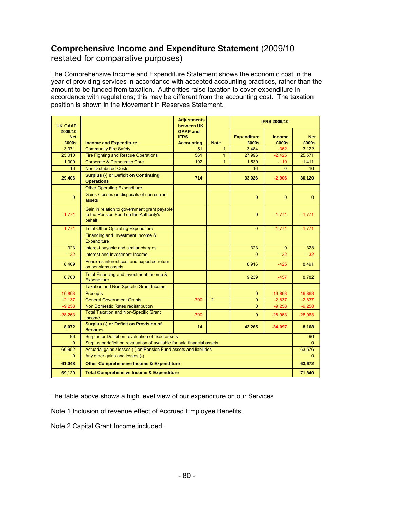## **Comprehensive Income and Expenditure Statement** (2009/10

restated for comparative purposes)

The Comprehensive Income and Expenditure Statement shows the economic cost in the year of providing services in accordance with accepted accounting practices, rather than the amount to be funded from taxation. Authorities raise taxation to cover expenditure in accordance with regulations; this may be different from the accounting cost. The taxation position is shown in the Movement in Reserves Statement.

| <b>UK GAAP</b>                 |                                                                                                  | <b>Adjustments</b><br>between UK                    |                | <b>IFRS 2009/10</b>         |                        |                     |  |  |
|--------------------------------|--------------------------------------------------------------------------------------------------|-----------------------------------------------------|----------------|-----------------------------|------------------------|---------------------|--|--|
| 2009/10<br><b>Net</b><br>£000s | <b>Income and Expenditure</b>                                                                    | <b>GAAP and</b><br><b>IFRS</b><br><b>Accounting</b> | <b>Note</b>    | <b>Expenditure</b><br>£000s | <b>Income</b><br>£000s | <b>Net</b><br>£000s |  |  |
| 3,071                          | <b>Community Fire Safety</b>                                                                     | 51                                                  | $\mathbf{1}$   | 3,484                       | $-362$                 | 3,122               |  |  |
| 25.010                         | <b>Fire Fighting and Rescue Operations</b>                                                       | 561                                                 | $\mathbf{1}$   | 27,996                      | $-2.425$               | 25,571              |  |  |
| 1,309                          | <b>Corporate &amp; Democratic Core</b>                                                           | 102                                                 | $\mathbf{1}$   | 1,530                       | $-119$                 | 1,411               |  |  |
| 16                             | <b>Non Distributed Costs</b>                                                                     |                                                     |                | 16                          | $\Omega$               | 16                  |  |  |
| 29,406                         | <b>Surplus (-) or Deficit on Continuing</b><br><b>Operations</b>                                 | 714                                                 |                | 33,026                      | $-2,906$               | 30,120              |  |  |
|                                | <b>Other Operating Expenditure</b>                                                               |                                                     |                |                             |                        |                     |  |  |
| $\Omega$                       | Gains / losses on disposals of non current<br>assets                                             |                                                     |                | $\Omega$                    | $\Omega$               | $\mathbf{0}$        |  |  |
| $-1,771$                       | Gain in relation to government grant payable<br>to the Pension Fund on the Authority's<br>behalf |                                                     |                | $\overline{0}$              | $-1,771$               | $-1,771$            |  |  |
| $-1,771$                       | <b>Total Other Operating Expenditure</b>                                                         |                                                     |                | $\Omega$                    | $-1,771$               | $-1,771$            |  |  |
|                                | Financing and Investment Income &<br>Expenditure                                                 |                                                     |                |                             |                        |                     |  |  |
| 323                            | Interest payable and similar charges                                                             |                                                     |                | 323                         | $\mathbf{0}$           | 323                 |  |  |
| $-32$                          | Interest and Investment Income                                                                   |                                                     |                | $\overline{0}$              | $-32$                  | $-32$               |  |  |
| 8,409                          | Pensions interest cost and expected return<br>on pensions assets                                 |                                                     |                | 8,916                       | $-425$                 | 8,491               |  |  |
| 8,700                          | Total Financing and Investment Income &<br><b>Expenditure</b>                                    |                                                     |                | 9,239                       | $-457$                 | 8,782               |  |  |
|                                | <b>Taxation and Non-Specific Grant Income</b>                                                    |                                                     |                |                             |                        |                     |  |  |
| $-16,868$                      | Precepts                                                                                         |                                                     |                | $\mathbf{0}$                | $-16,868$              | $-16,868$           |  |  |
| $-2,137$                       | <b>General Government Grants</b>                                                                 | $-700$                                              | $\overline{2}$ | $\mathbf{0}$                | $-2,837$               | $-2,837$            |  |  |
| $-9,258$                       | Non Domestic Rates redistribution                                                                |                                                     |                | $\Omega$                    | $-9,258$               | $-9,258$            |  |  |
| $-28,263$                      | <b>Total Taxation and Non-Specific Grant</b><br>Income                                           | $-700$                                              |                | $\mathbf{0}$                | $-28,963$              | $-28,963$           |  |  |
| 8,072                          | Surplus (-) or Deficit on Provision of<br><b>Services</b>                                        | 14                                                  |                | 42,265                      | $-34,097$              | 8,168               |  |  |
| 96                             | Surplus or Deficit on revaluation of fixed assets                                                |                                                     |                |                             |                        | 96                  |  |  |
| $\Omega$                       | Surplus or deficit on revaluation of available for sale financial assets                         |                                                     |                |                             |                        |                     |  |  |
| 60,952                         | Actuarial gains / losses (-) on Pension Fund assets and liabilities                              |                                                     |                |                             |                        | 63,576              |  |  |
| $\overline{0}$                 | Any other gains and losses (-)                                                                   |                                                     |                |                             |                        |                     |  |  |
| 61,048                         | <b>Other Comprehensive Income &amp; Expenditure</b>                                              |                                                     |                |                             |                        | 63,672              |  |  |
| 69.120                         | <b>Total Comprehensive Income &amp; Expenditure</b><br>71,840                                    |                                                     |                |                             |                        |                     |  |  |

The table above shows a high level view of our expenditure on our Services

Note 1 Inclusion of revenue effect of Accrued Employee Benefits.

Note 2 Capital Grant Income included.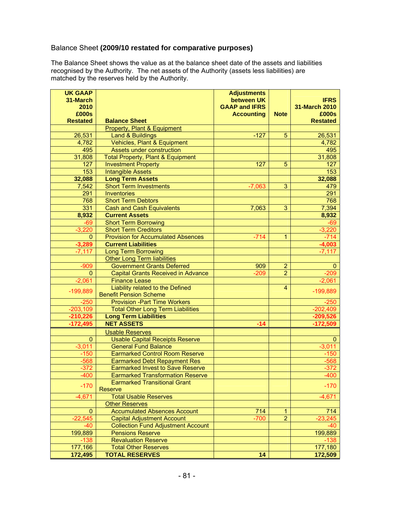## Balance Sheet **(2009/10 restated for comparative purposes)**

The Balance Sheet shows the value as at the balance sheet date of the assets and liabilities recognised by the Authority. The net assets of the Authority (assets less liabilities) are matched by the reserves held by the Authority.

| <b>UK GAAP</b>  |                                              | <b>Adjustments</b>   |                |                 |
|-----------------|----------------------------------------------|----------------------|----------------|-----------------|
| 31-March        |                                              | between UK           |                | <b>IFRS</b>     |
| 2010            |                                              | <b>GAAP and IFRS</b> |                | 31-March 2010   |
| £000s           |                                              | <b>Accounting</b>    | <b>Note</b>    | £000s           |
| <b>Restated</b> | <b>Balance Sheet</b>                         |                      |                | <b>Restated</b> |
|                 | <b>Property, Plant &amp; Equipment</b>       |                      |                |                 |
| 26,531          | <b>Land &amp; Buildings</b>                  | $-127$               | 5              | 26,531          |
| 4,782           | Vehicles, Plant & Equipment                  |                      |                | 4,782           |
| 495             | <b>Assets under construction</b>             |                      |                | 495             |
| 31,808          | <b>Total Property, Plant &amp; Equipment</b> |                      |                | 31,808          |
| 127             | <b>Investment Property</b>                   | 127                  | 5              | 127             |
| 153             | <b>Intangible Assets</b>                     |                      |                | 153             |
| 32,088          | <b>Long Term Assets</b>                      |                      |                | 32,088          |
| 7,542           | <b>Short Term Investments</b>                | $-7,063$             | 3              | 479             |
| 291             | <b>Inventories</b>                           |                      |                | 291             |
| 768             | <b>Short Term Debtors</b>                    |                      |                | 768             |
| 331             | <b>Cash and Cash Equivalents</b>             | 7,063                | 3              | 7,394           |
| 8,932           | <b>Current Assets</b>                        |                      |                | 8,932           |
| $-69$           | <b>Short Term Borrowing</b>                  |                      |                | $-69$           |
| $-3,220$        | <b>Short Term Creditors</b>                  |                      |                | $-3,220$        |
| $\overline{0}$  | <b>Provision for Accumulated Absences</b>    | $-714$               | 1              | $-714$          |
| $-3,289$        | <b>Current Liabilities</b>                   |                      |                | $-4,003$        |
| $-7,117$        | <b>Long Term Borrowing</b>                   |                      |                | $-7,117$        |
|                 | <b>Other Long Term liabilities</b>           |                      |                |                 |
| $-909$          | <b>Government Grants Deferred</b>            | 909                  | $\overline{2}$ | 0               |
| $\overline{0}$  | <b>Capital Grants Received in Advance</b>    | $-209$               | $\overline{2}$ | $-209$          |
| $-2,061$        | <b>Finance Lease</b>                         |                      |                | $-2,061$        |
|                 | Liability related to the Defined             |                      | 4              |                 |
| $-199,889$      | <b>Benefit Pension Scheme</b>                |                      |                | $-199,889$      |
| $-250$          | <b>Provision - Part Time Workers</b>         |                      |                | $-250$          |
| $-203,109$      | <b>Total Other Long Term Liabilities</b>     |                      |                | $-202,409$      |
| $-210,226$      | <b>Long Term Liabilities</b>                 |                      |                | $-209,526$      |
| $-172,495$      | <b>NET ASSETS</b>                            | $-14$                |                | $-172,509$      |
|                 | <b>Usable Reserves</b>                       |                      |                |                 |
| 0               | <b>Usable Capital Receipts Reserve</b>       |                      |                | 0               |
| $-3,011$        | <b>General Fund Balance</b>                  |                      |                | $-3,011$        |
| $-150$          | <b>Earmarked Control Room Reserve</b>        |                      |                | $-150$          |
| $-568$          | <b>Earmarked Debt Repayment Res</b>          |                      |                | $-568$          |
| $-372$          | <b>Earmarked Invest to Save Reserve</b>      |                      |                | $-372$          |
| $-400$          | <b>Earmarked Transformation Reserve</b>      |                      |                | $-400$          |
|                 | <b>Earmarked Transitional Grant</b>          |                      |                |                 |
| $-170$          | Reserve                                      |                      |                | $-170$          |
| $-4,671$        | <b>Total Usable Reserves</b>                 |                      |                | $-4,671$        |
|                 | <b>Other Reserves</b>                        |                      |                |                 |
| 0               | <b>Accumulated Absences Account</b>          | 714                  | 1              | 714             |
| $-22,545$       | <b>Capital Adjustment Account</b>            | $-700$               | $\overline{2}$ | $-23,245$       |
| $-40$           | <b>Collection Fund Adjustment Account</b>    |                      |                | -40             |
| 199,889         | <b>Pensions Reserve</b>                      |                      |                | 199,889         |
| $-138$          | <b>Revaluation Reserve</b>                   |                      |                | $-138$          |
| 177,166         | <b>Total Other Reserves</b>                  |                      |                | 177,180         |
| 172,495         | <b>TOTAL RESERVES</b>                        | 14                   |                | 172,509         |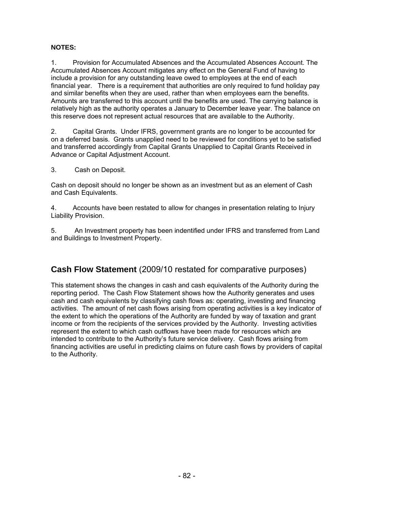#### **NOTES:**

1. Provision for Accumulated Absences and the Accumulated Absences Account. The Accumulated Absences Account mitigates any effect on the General Fund of having to include a provision for any outstanding leave owed to employees at the end of each financial year. There is a requirement that authorities are only required to fund holiday pay and similar benefits when they are used, rather than when employees earn the benefits. Amounts are transferred to this account until the benefits are used. The carrying balance is relatively high as the authority operates a January to December leave year. The balance on this reserve does not represent actual resources that are available to the Authority.

2. Capital Grants. Under IFRS, government grants are no longer to be accounted for on a deferred basis. Grants unapplied need to be reviewed for conditions yet to be satisfied and transferred accordingly from Capital Grants Unapplied to Capital Grants Received in Advance or Capital Adjustment Account.

#### 3. Cash on Deposit.

Cash on deposit should no longer be shown as an investment but as an element of Cash and Cash Equivalents.

4. Accounts have been restated to allow for changes in presentation relating to Injury Liability Provision.

5. An Investment property has been indentified under IFRS and transferred from Land and Buildings to Investment Property.

## **Cash Flow Statement** (2009/10 restated for comparative purposes)

This statement shows the changes in cash and cash equivalents of the Authority during the reporting period. The Cash Flow Statement shows how the Authority generates and uses cash and cash equivalents by classifying cash flows as: operating, investing and financing activities. The amount of net cash flows arising from operating activities is a key indicator of the extent to which the operations of the Authority are funded by way of taxation and grant income or from the recipients of the services provided by the Authority. Investing activities represent the extent to which cash outflows have been made for resources which are intended to contribute to the Authority's future service delivery. Cash flows arising from financing activities are useful in predicting claims on future cash flows by providers of capital to the Authority.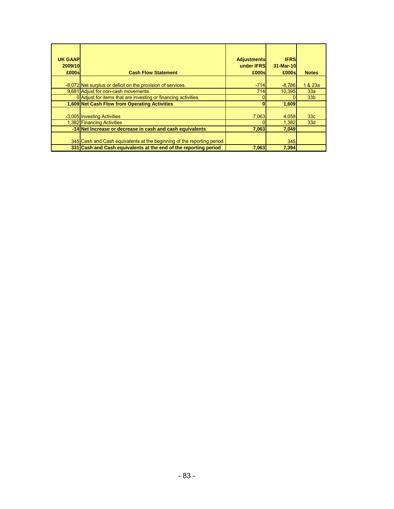| <b>UK GAAP</b><br>2009/10<br>£000s | <b>Cash Flow Statement</b>                                             | <b>Adjustments</b><br>under <b>IFRS</b><br>£000sl | <b>IFRS</b><br>31-Mar-10<br>£000sl | <b>Notes</b>    |
|------------------------------------|------------------------------------------------------------------------|---------------------------------------------------|------------------------------------|-----------------|
|                                    | -8,072 Net surplus or deficit on the provision of services.            | $-714$                                            | $-8,786$                           | 1 & 23a         |
|                                    | 9.681 Adjust for non-cash movements.                                   | 714                                               | 10.395                             | 33a             |
|                                    | 0 Adjust for items that are investing or financing activities.         |                                                   |                                    | 33 <sub>b</sub> |
|                                    | 1,609 Net Cash Flow from Operating Activities                          |                                                   | 1,609                              |                 |
|                                    |                                                                        |                                                   |                                    |                 |
|                                    | -3,005 Investing Activities                                            | 7,063                                             | 4,058                              | 33 <sub>c</sub> |
|                                    | 1,382 Financing Activities                                             |                                                   | 1.382                              | 33 <sub>d</sub> |
|                                    | -14 Net Increase or decrease in cash and cash equivalents              | 7,063                                             | 7,049                              |                 |
|                                    | 345 Cash and Cash equivalents at the beginning of the reporting period |                                                   | 345                                |                 |
|                                    | 331 Cash and Cash equivalents at the end of the reporting period       | 7,063                                             | 7,394                              |                 |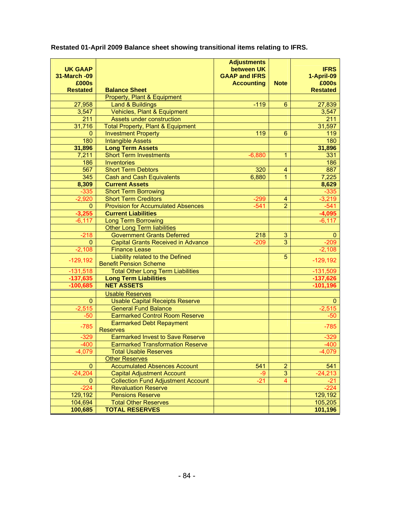| <b>UK GAAP</b>         |                                                                                | <b>Adjustments</b><br>between UK |                                  | <b>IFRS</b>        |
|------------------------|--------------------------------------------------------------------------------|----------------------------------|----------------------------------|--------------------|
| 31-March -09           |                                                                                | <b>GAAP and IFRS</b>             |                                  | 1-April-09         |
| £000s                  |                                                                                | <b>Accounting</b>                | <b>Note</b>                      | £000s              |
| <b>Restated</b>        | <b>Balance Sheet</b>                                                           |                                  |                                  | <b>Restated</b>    |
|                        | Property, Plant & Equipment                                                    |                                  |                                  |                    |
| 27,958                 | <b>Land &amp; Buildings</b>                                                    | $-119$                           | 6                                | 27,839             |
| 3,547                  | Vehicles, Plant & Equipment                                                    |                                  |                                  | 3,547              |
| 211                    | <b>Assets under construction</b>                                               |                                  |                                  | 211                |
| 31,716                 | <b>Total Property, Plant &amp; Equipment</b>                                   |                                  |                                  | 31,597             |
| $\mathbf{0}$           | <b>Investment Property</b>                                                     | 119                              | $6\phantom{1}6$                  | 119                |
| 180                    | <b>Intangible Assets</b>                                                       |                                  |                                  | 180                |
| 31,896                 | <b>Long Term Assets</b>                                                        |                                  |                                  | 31,896             |
| 7,211                  | <b>Short Term Investments</b>                                                  | $-6,880$                         | 1                                | 331                |
| 186                    | <b>Inventories</b>                                                             |                                  |                                  | 186                |
| 567                    | <b>Short Term Debtors</b>                                                      | 320                              | $\overline{4}$                   | 887                |
| 345                    | <b>Cash and Cash Equivalents</b>                                               | 6,880                            | $\overline{1}$                   | 7,225              |
| 8,309                  | <b>Current Assets</b><br><b>Short Term Borrowing</b>                           |                                  |                                  | 8,629              |
| $-335$<br>$-2,920$     | <b>Short Term Creditors</b>                                                    | $-299$                           | $\overline{4}$                   | $-335$<br>$-3,219$ |
| $\mathbf{0}$           | <b>Provision for Accumulated Absences</b>                                      | $-541$                           | $\overline{2}$                   | $-541$             |
| $-3,255$               | <b>Current Liabilities</b>                                                     |                                  |                                  | $-4,095$           |
| $-6, 117$              | <b>Long Term Borrowing</b>                                                     |                                  |                                  | $-6,117$           |
|                        | <b>Other Long Term liabilities</b>                                             |                                  |                                  |                    |
| $-218$                 | <b>Government Grants Deferred</b>                                              | 218                              | $\overline{3}$                   | $\mathbf{0}$       |
| $\mathbf{0}$           | <b>Capital Grants Received in Advance</b>                                      | $-209$                           | 3                                | $-209$             |
| $-2,108$               | <b>Finance Lease</b>                                                           |                                  |                                  | $-2,108$           |
|                        | Liability related to the Defined                                               |                                  | 5                                |                    |
| $-129,192$             | <b>Benefit Pension Scheme</b>                                                  |                                  |                                  | $-129,192$         |
| $-131,518$             | <b>Total Other Long Term Liabilities</b>                                       |                                  |                                  | $-131,509$         |
| $-137,635$             | <b>Long Term Liabilities</b>                                                   |                                  |                                  | $-137,626$         |
| $-100,685$             | <b>NET ASSETS</b>                                                              |                                  |                                  | $-101,196$         |
|                        | <b>Usable Reserves</b>                                                         |                                  |                                  |                    |
| $\mathbf 0$            | <b>Usable Capital Receipts Reserve</b>                                         |                                  |                                  | 0                  |
| $-2,515$               | <b>General Fund Balance</b>                                                    |                                  |                                  | $-2,515$           |
| $-50$                  | <b>Earmarked Control Room Reserve</b>                                          |                                  |                                  | $-50$              |
| $-785$                 | <b>Earmarked Debt Repayment</b>                                                |                                  |                                  | $-785$             |
|                        | <b>Reserves</b>                                                                |                                  |                                  |                    |
| $-329$                 | <b>Earmarked Invest to Save Reserve</b>                                        |                                  |                                  | $-329$             |
| $-400$                 | <b>Earmarked Transformation Reserve</b>                                        |                                  |                                  | $-400$             |
| $-4,079$               | <b>Total Usable Reserves</b>                                                   |                                  |                                  | $-4,079$           |
|                        | <b>Other Reserves</b>                                                          |                                  |                                  |                    |
| $\mathbf{0}$           | <b>Accumulated Absences Account</b>                                            | 541                              | $\overline{2}$                   | 541                |
| $-24,204$              | <b>Capital Adjustment Account</b><br><b>Collection Fund Adjustment Account</b> | -9<br>$-21$                      | $\overline{3}$<br>$\overline{4}$ | $-24,213$          |
| $\mathbf{0}$<br>$-224$ |                                                                                |                                  |                                  | $-21$<br>$-224$    |
| 129,192                | <b>Revaluation Reserve</b><br><b>Pensions Reserve</b>                          |                                  |                                  | 129,192            |
| 104,694                | <b>Total Other Reserves</b>                                                    |                                  |                                  | 105,205            |
| 100,685                | <b>TOTAL RESERVES</b>                                                          |                                  |                                  | 101,196            |
|                        |                                                                                |                                  |                                  |                    |

**Restated 01-April 2009 Balance sheet showing transitional items relating to IFRS.**